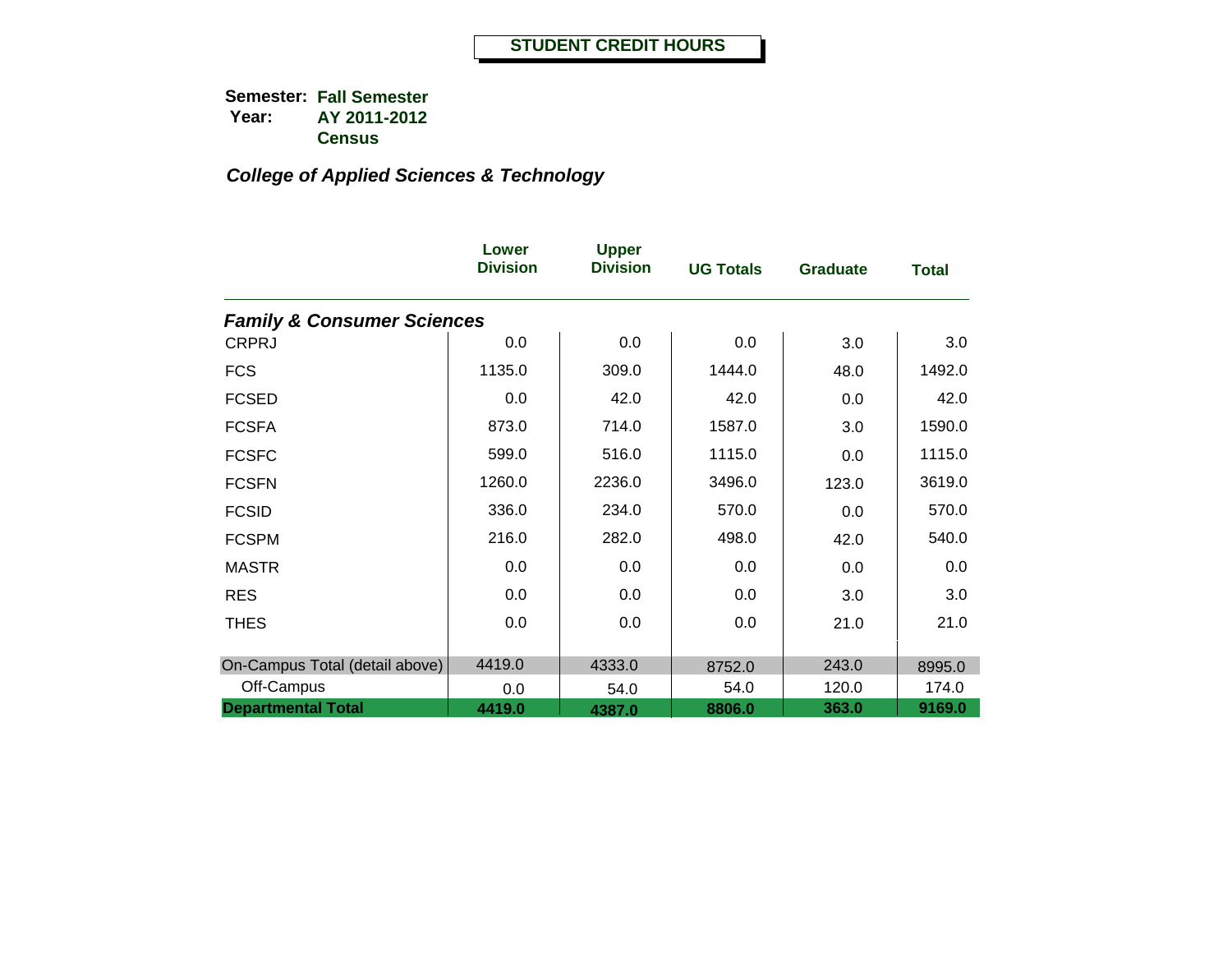|                                       | Lower<br><b>Division</b> | <b>Upper</b><br><b>Division</b> | <b>UG Totals</b> | <b>Graduate</b> | <b>Total</b> |
|---------------------------------------|--------------------------|---------------------------------|------------------|-----------------|--------------|
| <b>Family &amp; Consumer Sciences</b> |                          |                                 |                  |                 |              |
| <b>CRPRJ</b>                          | 0.0                      | 0.0                             | 0.0              | 3.0             | 3.0          |
| <b>FCS</b>                            | 1135.0                   | 309.0                           | 1444.0           | 48.0            | 1492.0       |
| <b>FCSED</b>                          | 0.0                      | 42.0                            | 42.0             | 0.0             | 42.0         |
| <b>FCSFA</b>                          | 873.0                    | 714.0                           | 1587.0           | 3.0             | 1590.0       |
| <b>FCSFC</b>                          | 599.0                    | 516.0                           | 1115.0           | 0.0             | 1115.0       |
| <b>FCSFN</b>                          | 1260.0                   | 2236.0                          | 3496.0           | 123.0           | 3619.0       |
| <b>FCSID</b>                          | 336.0                    | 234.0                           | 570.0            | 0.0             | 570.0        |
| <b>FCSPM</b>                          | 216.0                    | 282.0                           | 498.0            | 42.0            | 540.0        |
| <b>MASTR</b>                          | 0.0                      | 0.0                             | 0.0              | 0.0             | 0.0          |
| <b>RES</b>                            | 0.0                      | 0.0                             | 0.0              | 3.0             | 3.0          |
| <b>THES</b>                           | 0.0                      | 0.0                             | 0.0              | 21.0            | 21.0         |
|                                       |                          |                                 |                  |                 |              |
| On-Campus Total (detail above)        | 4419.0                   | 4333.0                          | 8752.0           | 243.0           | 8995.0       |
| Off-Campus                            | 0.0                      | 54.0                            | 54.0             | 120.0           | 174.0        |
| <b>Departmental Total</b>             | 4419.0                   | 4387.0                          | 8806.0           | 363.0           | 9169.0       |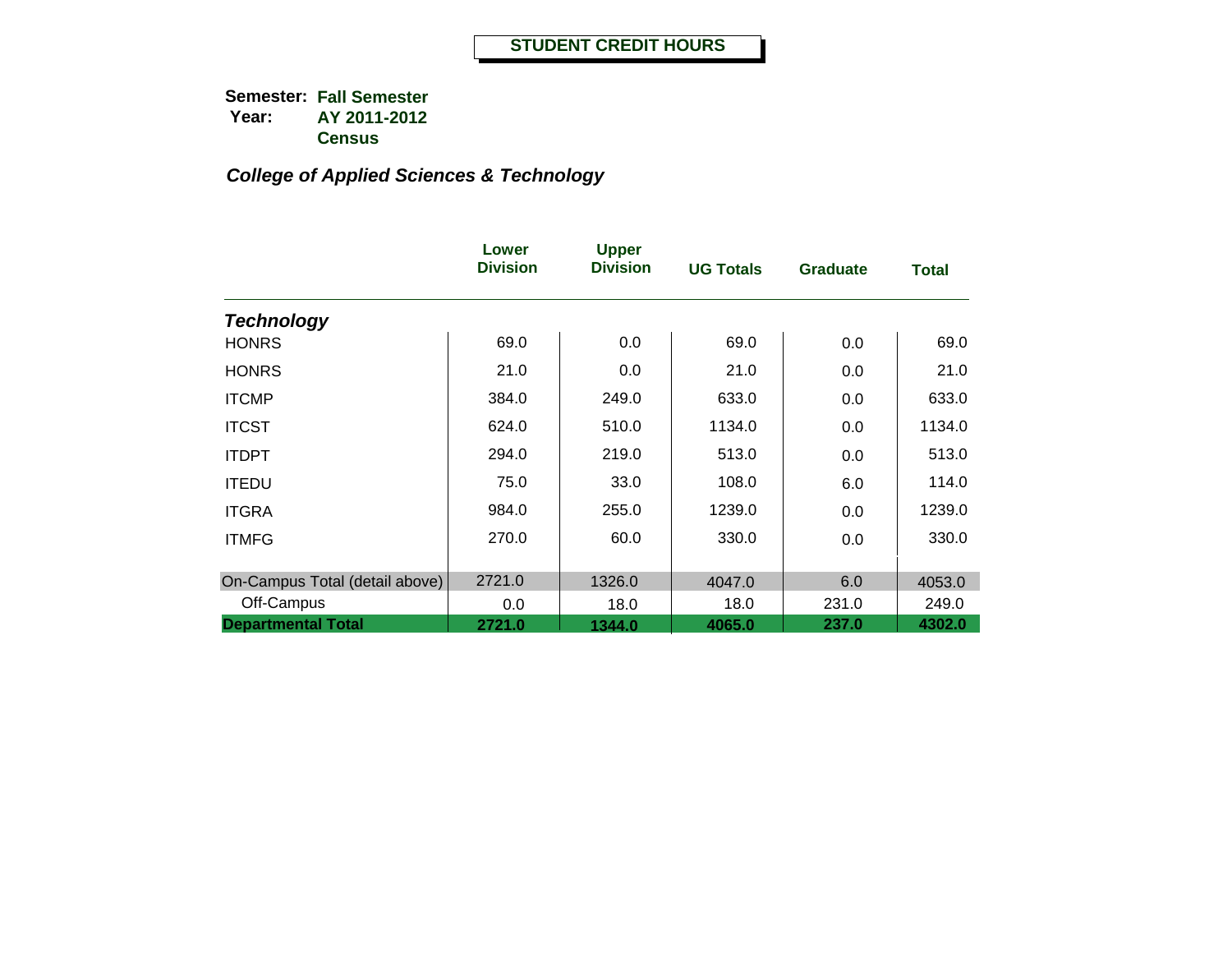|                                | Lower<br><b>Division</b> | <b>Upper</b><br><b>Division</b> | <b>UG Totals</b> | <b>Graduate</b> | Total  |
|--------------------------------|--------------------------|---------------------------------|------------------|-----------------|--------|
| <b>Technology</b>              |                          |                                 |                  |                 |        |
| <b>HONRS</b>                   | 69.0                     | 0.0                             | 69.0             | 0.0             | 69.0   |
| <b>HONRS</b>                   | 21.0                     | 0.0                             | 21.0             | 0.0             | 21.0   |
| <b>ITCMP</b>                   | 384.0                    | 249.0                           | 633.0            | 0.0             | 633.0  |
| <b>ITCST</b>                   | 624.0                    | 510.0                           | 1134.0           | 0.0             | 1134.0 |
| <b>ITDPT</b>                   | 294.0                    | 219.0                           | 513.0            | 0.0             | 513.0  |
| <b>ITEDU</b>                   | 75.0                     | 33.0                            | 108.0            | 6.0             | 114.0  |
| <b>ITGRA</b>                   | 984.0                    | 255.0                           | 1239.0           | 0.0             | 1239.0 |
| <b>ITMFG</b>                   | 270.0                    | 60.0                            | 330.0            | 0.0             | 330.0  |
| On-Campus Total (detail above) | 2721.0                   | 1326.0                          | 4047.0           | 6.0             | 4053.0 |
| Off-Campus                     | 0.0                      | 18.0                            | 18.0             | 231.0           | 249.0  |
| <b>Departmental Total</b>      | 2721.0                   | 1344.0                          | 4065.0           | 237.0           | 4302.0 |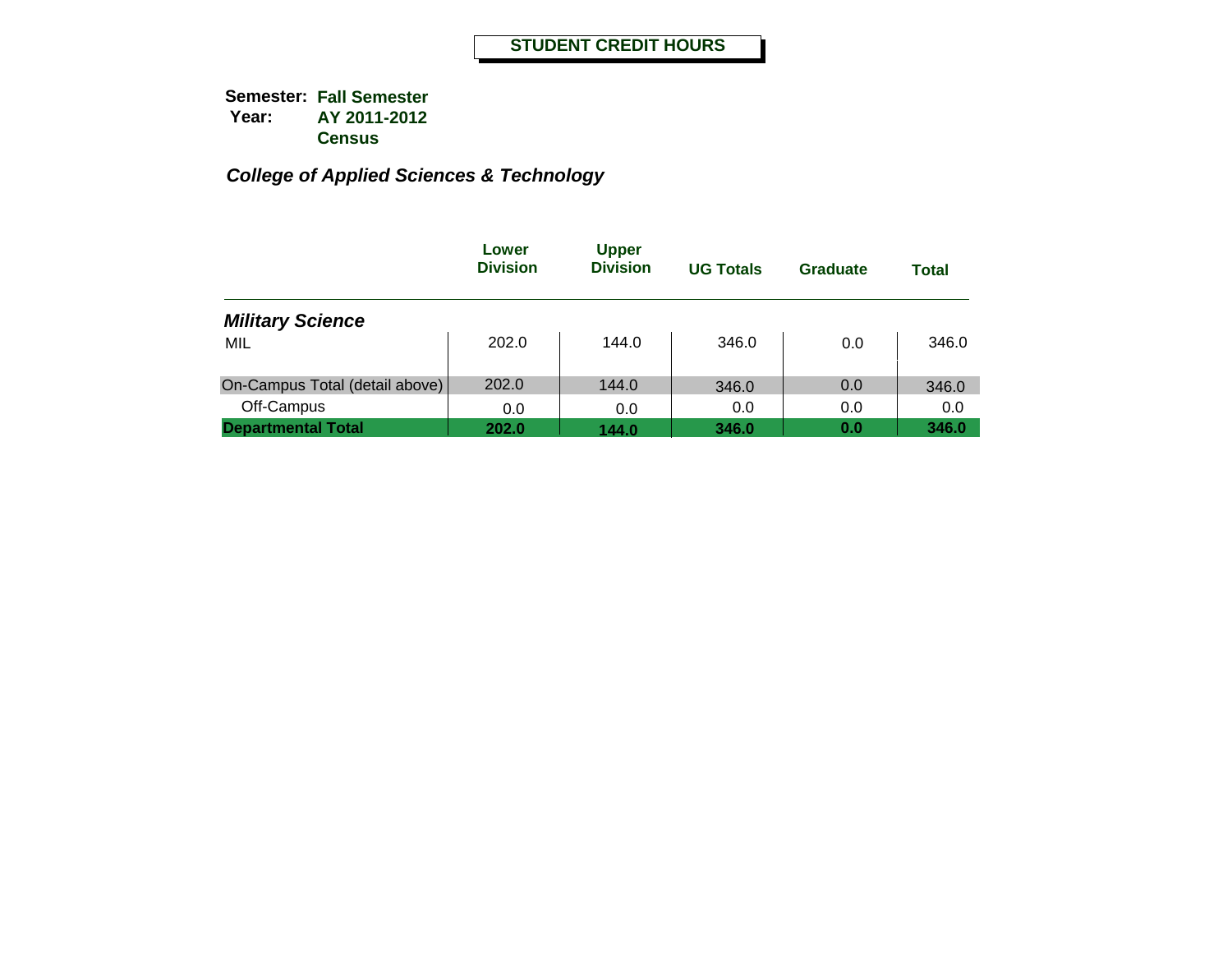|                                | Lower<br><b>Division</b> | <b>Upper</b><br><b>Division</b> | <b>UG Totals</b> | Graduate | Total |
|--------------------------------|--------------------------|---------------------------------|------------------|----------|-------|
| <b>Military Science</b>        |                          |                                 |                  |          |       |
| MIL                            | 202.0                    | 144.0                           | 346.0            | 0.0      | 346.0 |
| On-Campus Total (detail above) | 202.0                    | 144.0                           | 346.0            | 0.0      | 346.0 |
| Off-Campus                     | 0.0                      | 0.0                             | 0.0              | 0.0      | 0.0   |
| <b>Departmental Total</b>      | 202.0                    | 144.0                           | 346.0            | 0.0      | 346.0 |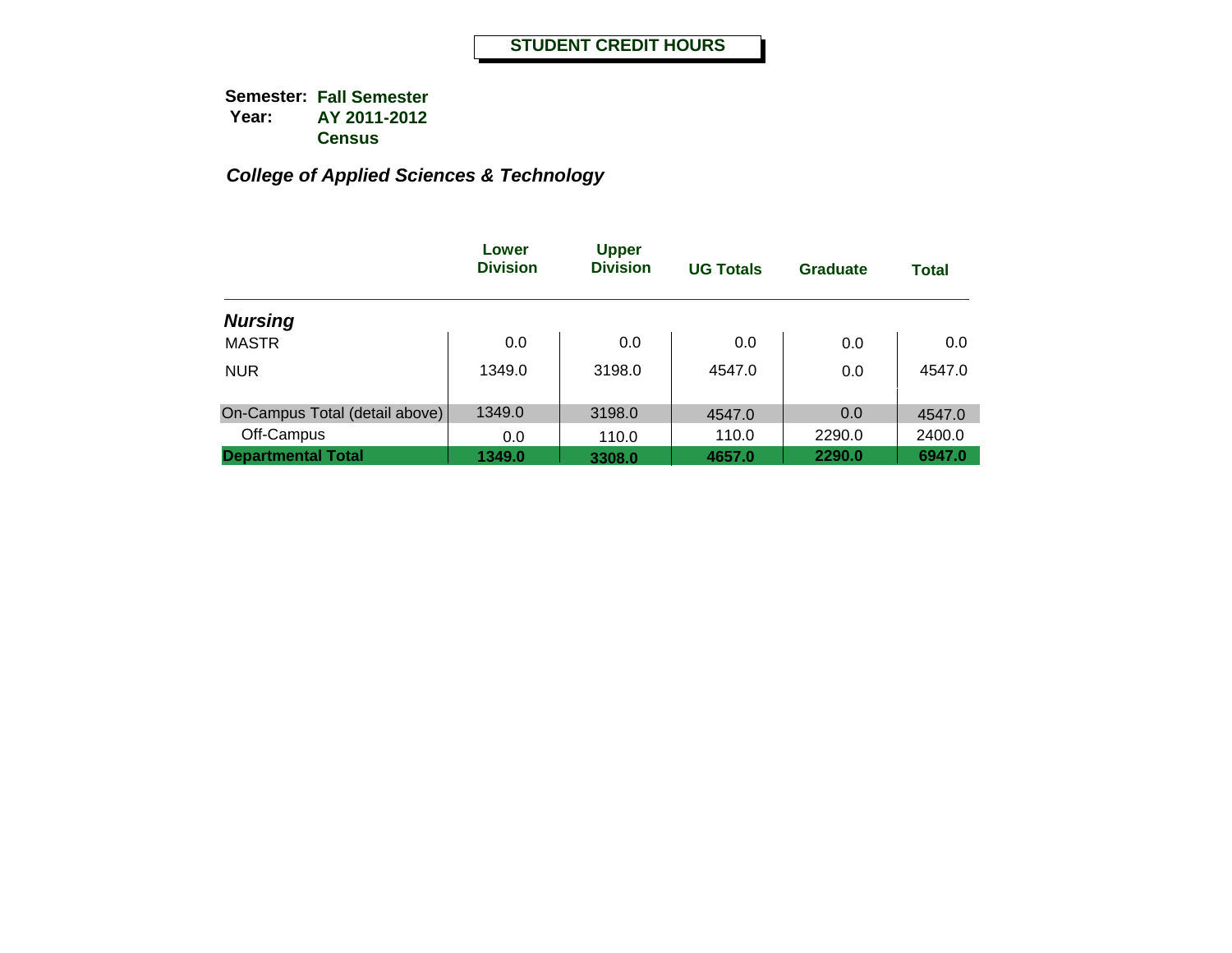|                                | Lower<br><b>Division</b> | <b>Upper</b><br><b>Division</b> | <b>UG Totals</b> | <b>Graduate</b> | <b>Total</b> |
|--------------------------------|--------------------------|---------------------------------|------------------|-----------------|--------------|
| <b>Nursing</b>                 |                          |                                 |                  |                 |              |
| <b>MASTR</b>                   | 0.0                      | 0.0                             | 0.0              | 0.0             | 0.0          |
| <b>NUR</b>                     | 1349.0                   | 3198.0                          | 4547.0           | 0.0             | 4547.0       |
| On-Campus Total (detail above) | 1349.0                   | 3198.0                          | 4547.0           | 0.0             | 4547.0       |
| Off-Campus                     | 0.0                      | 110.0                           | 110.0            | 2290.0          | 2400.0       |
| <b>Departmental Total</b>      | 1349.0                   | 3308.0                          | 4657.0           | 2290.0          | 6947.0       |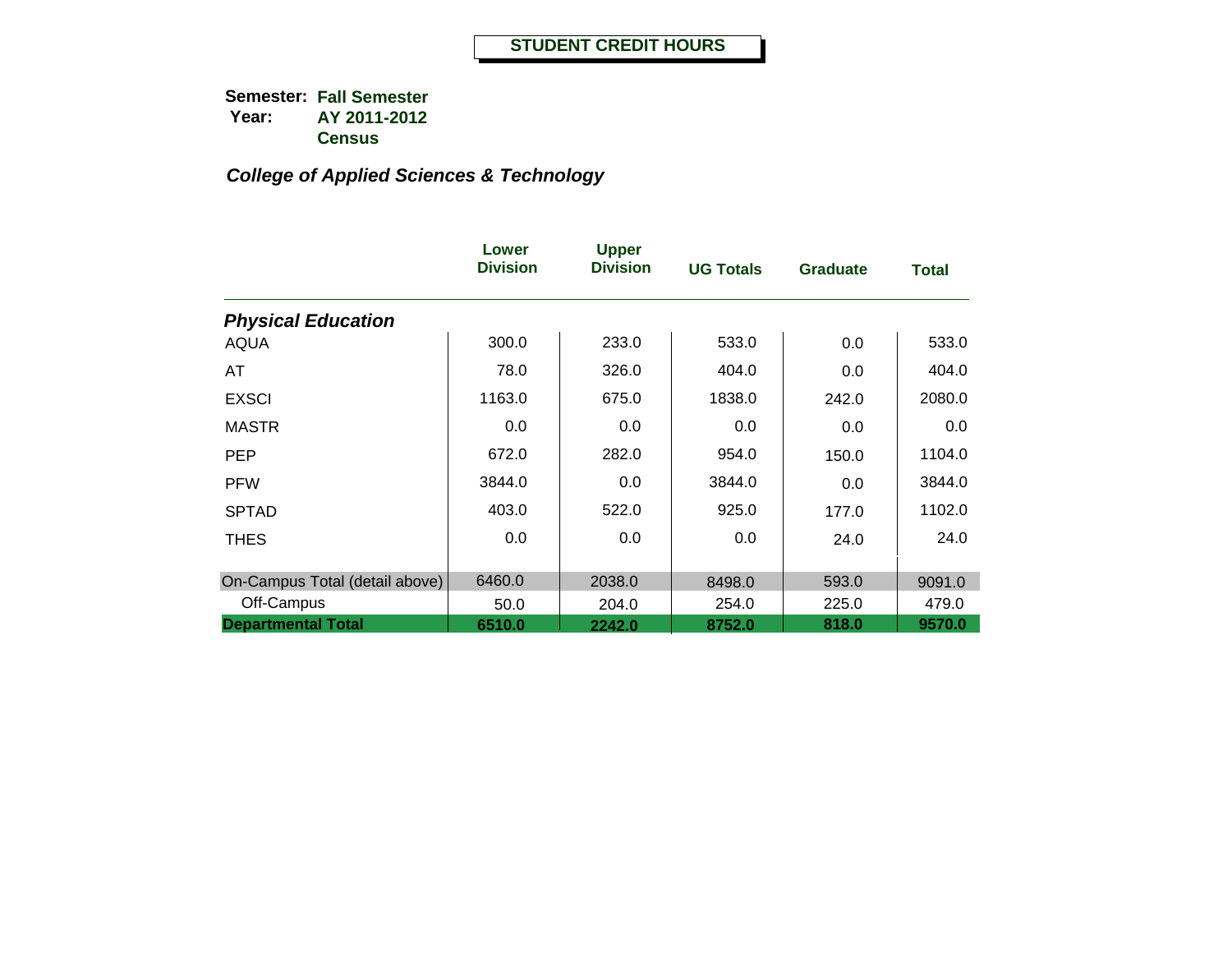|                                | Lower<br><b>Division</b> | <b>Upper</b><br><b>Division</b> | <b>UG Totals</b> | <b>Graduate</b> | <b>Total</b> |
|--------------------------------|--------------------------|---------------------------------|------------------|-----------------|--------------|
| <b>Physical Education</b>      |                          |                                 |                  |                 |              |
| <b>AQUA</b>                    | 300.0                    | 233.0                           | 533.0            | 0.0             | 533.0        |
| AT                             | 78.0                     | 326.0                           | 404.0            | 0.0             | 404.0        |
| <b>EXSCI</b>                   | 1163.0                   | 675.0                           | 1838.0           | 242.0           | 2080.0       |
| <b>MASTR</b>                   | 0.0                      | 0.0                             | 0.0              | 0.0             | 0.0          |
| <b>PEP</b>                     | 672.0                    | 282.0                           | 954.0            | 150.0           | 1104.0       |
| <b>PFW</b>                     | 3844.0                   | 0.0                             | 3844.0           | 0.0             | 3844.0       |
| <b>SPTAD</b>                   | 403.0                    | 522.0                           | 925.0            | 177.0           | 1102.0       |
| <b>THES</b>                    | 0.0                      | 0.0                             | 0.0              | 24.0            | 24.0         |
| On-Campus Total (detail above) | 6460.0                   | 2038.0                          | 8498.0           | 593.0           | 9091.0       |
| Off-Campus                     | 50.0                     | 204.0                           | 254.0            | 225.0           | 479.0        |
| <b>Departmental Total</b>      | 6510.0                   | 2242.0                          | 8752.0           | 818.0           | 9570.0       |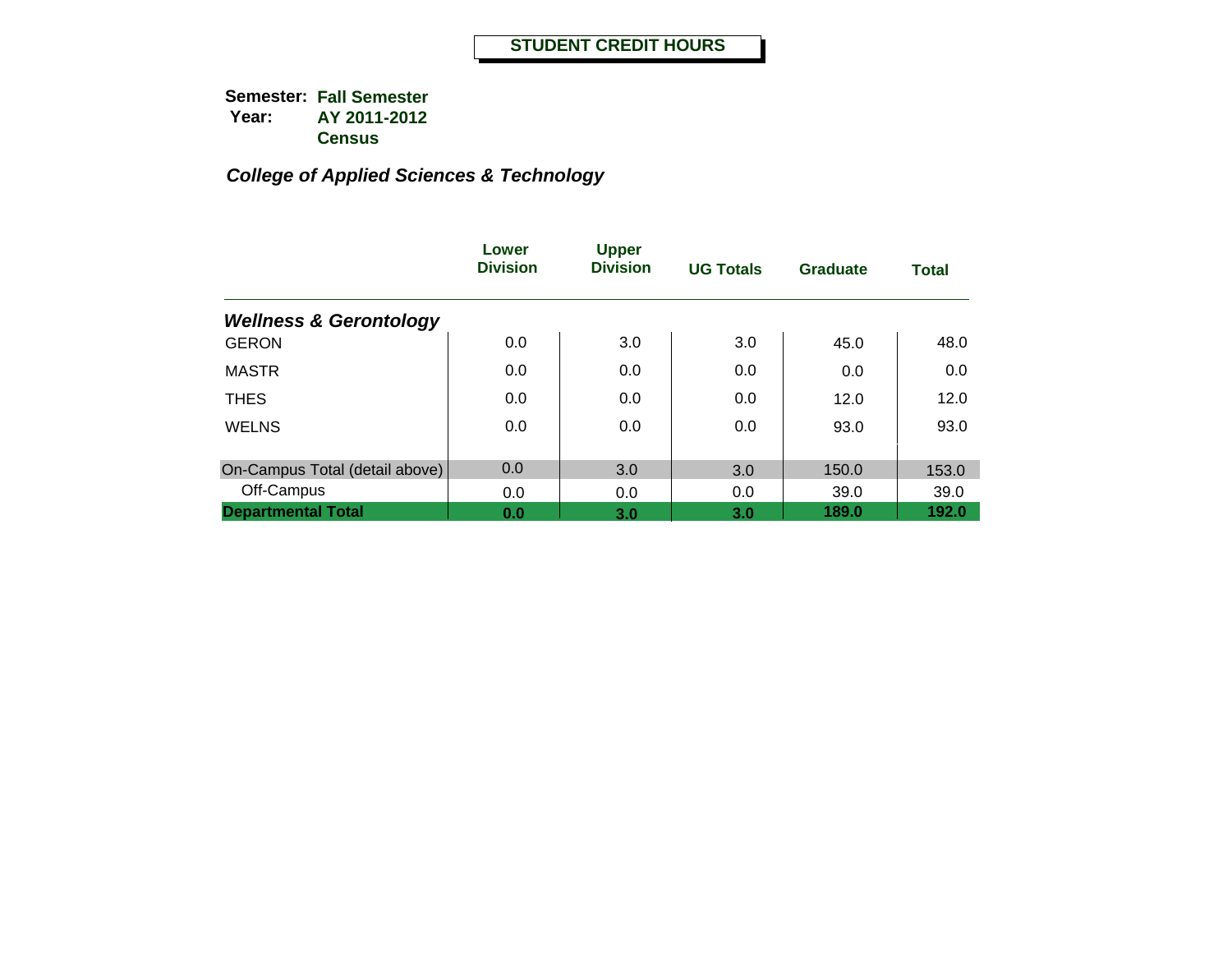|                                   | Lower<br><b>Division</b> | <b>Upper</b><br><b>Division</b> | <b>UG Totals</b> | Graduate | <b>Total</b> |
|-----------------------------------|--------------------------|---------------------------------|------------------|----------|--------------|
| <b>Wellness &amp; Gerontology</b> |                          |                                 |                  |          |              |
| <b>GERON</b>                      | 0.0                      | 3.0                             | 3.0              | 45.0     | 48.0         |
| <b>MASTR</b>                      | 0.0                      | 0.0                             | 0.0              | 0.0      | 0.0          |
| <b>THES</b>                       | 0.0                      | 0.0                             | 0.0              | 12.0     | 12.0         |
| <b>WELNS</b>                      | 0.0                      | 0.0                             | 0.0              | 93.0     | 93.0         |
| On-Campus Total (detail above)    | 0.0                      | 3.0                             | 3.0              | 150.0    | 153.0        |
| Off-Campus                        | 0.0                      | 0.0                             | 0.0              | 39.0     | 39.0         |
| <b>Departmental Total</b>         | 0.0                      | 3.0                             | 3.0              | 189.0    | 192.0        |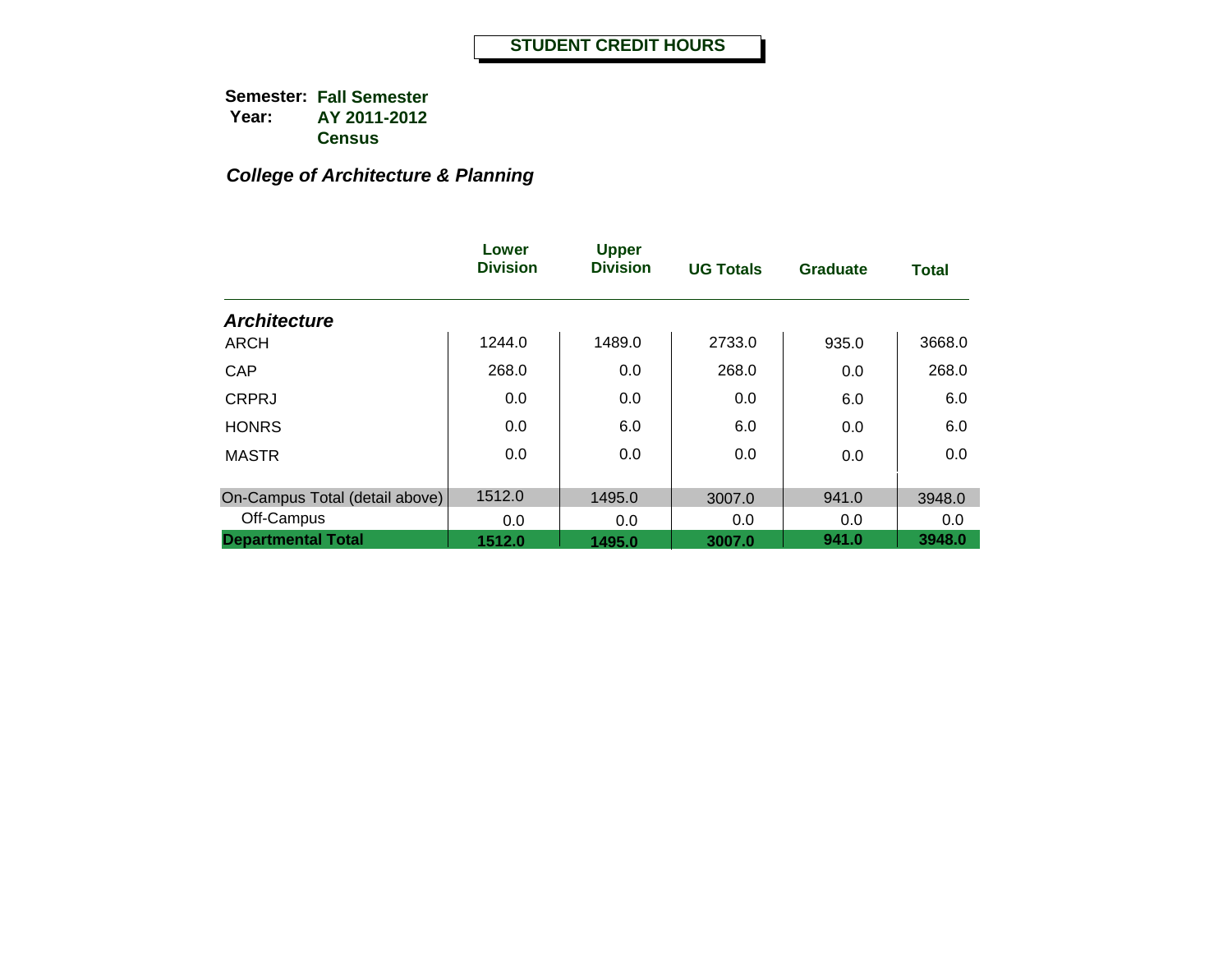## *College of Architecture & Planning*

|                                | Lower<br><b>Division</b> | <b>Upper</b><br><b>Division</b> | <b>UG Totals</b> | <b>Graduate</b> | <b>Total</b> |
|--------------------------------|--------------------------|---------------------------------|------------------|-----------------|--------------|
| <b>Architecture</b>            |                          |                                 |                  |                 |              |
| <b>ARCH</b>                    | 1244.0                   | 1489.0                          | 2733.0           | 935.0           | 3668.0       |
| CAP                            | 268.0                    | 0.0                             | 268.0            | 0.0             | 268.0        |
| <b>CRPRJ</b>                   | 0.0                      | 0.0                             | 0.0              | 6.0             | 6.0          |
| <b>HONRS</b>                   | 0.0                      | 6.0                             | 6.0              | 0.0             | 6.0          |
| <b>MASTR</b>                   | 0.0                      | 0.0                             | 0.0              | 0.0             | 0.0          |
|                                |                          |                                 |                  |                 |              |
| On-Campus Total (detail above) | 1512.0                   | 1495.0                          | 3007.0           | 941.0           | 3948.0       |
| Off-Campus                     | 0.0                      | 0.0                             | 0.0              | 0.0             | 0.0          |
| <b>Departmental Total</b>      | 1512.0                   | 1495.0                          | 3007.0           | 941.0           | 3948.0       |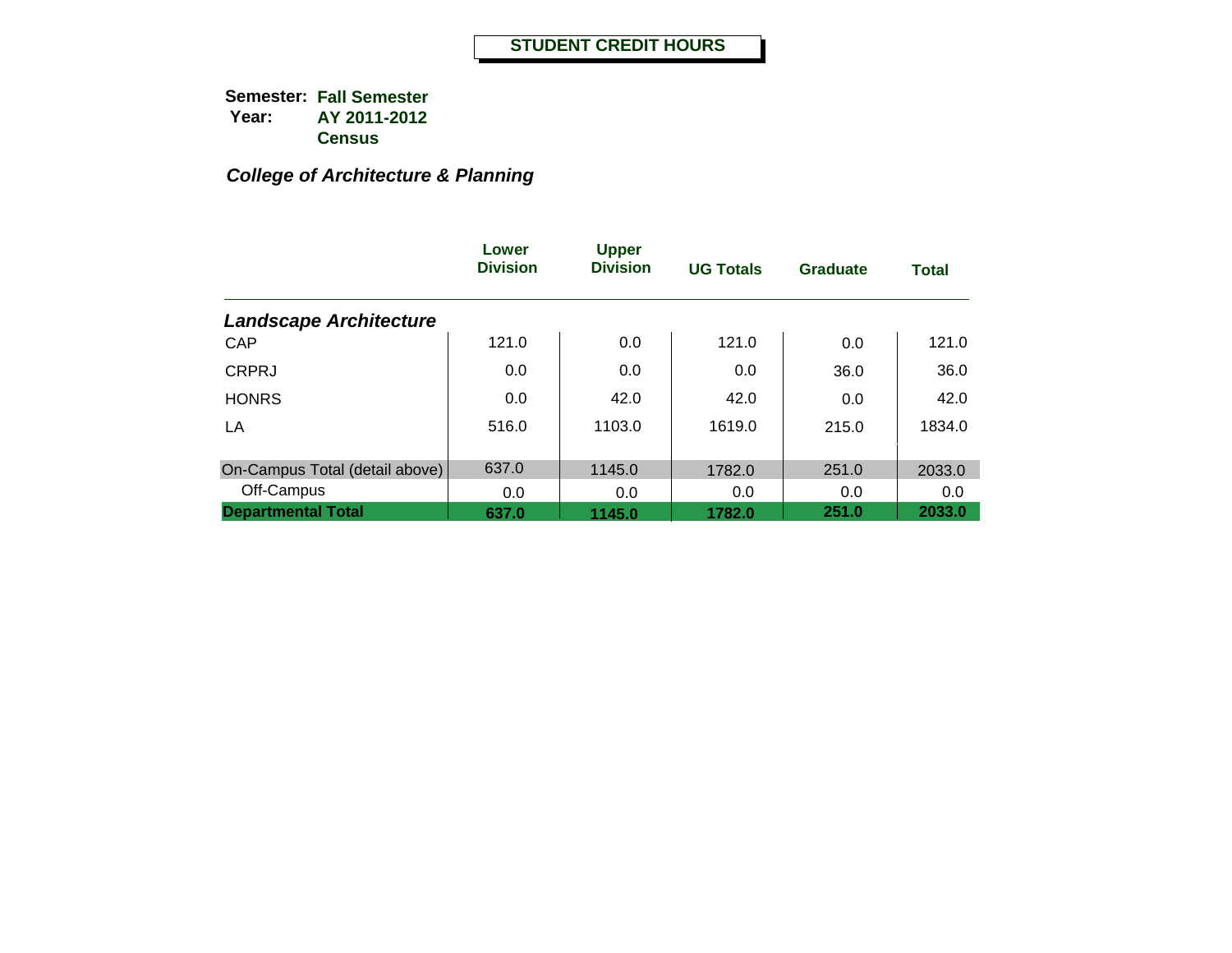## *College of Architecture & Planning*

|                                | Lower<br><b>Division</b> | <b>Upper</b><br><b>Division</b> | <b>UG Totals</b> | <b>Graduate</b> | <b>Total</b> |
|--------------------------------|--------------------------|---------------------------------|------------------|-----------------|--------------|
| <b>Landscape Architecture</b>  |                          |                                 |                  |                 |              |
| <b>CAP</b>                     | 121.0                    | 0.0                             | 121.0            | 0.0             | 121.0        |
| <b>CRPRJ</b>                   | 0.0                      | 0.0                             | 0.0              | 36.0            | 36.0         |
| <b>HONRS</b>                   | 0.0                      | 42.0                            | 42.0             | 0.0             | 42.0         |
| LA                             | 516.0                    | 1103.0                          | 1619.0           | 215.0           | 1834.0       |
| On-Campus Total (detail above) | 637.0                    | 1145.0                          | 1782.0           | 251.0           | 2033.0       |
| Off-Campus                     | 0.0                      | 0.0                             | 0.0              | 0.0             | 0.0          |
| <b>Departmental Total</b>      | 637.0                    | 1145.0                          | 1782.0           | 251.0           | 2033.0       |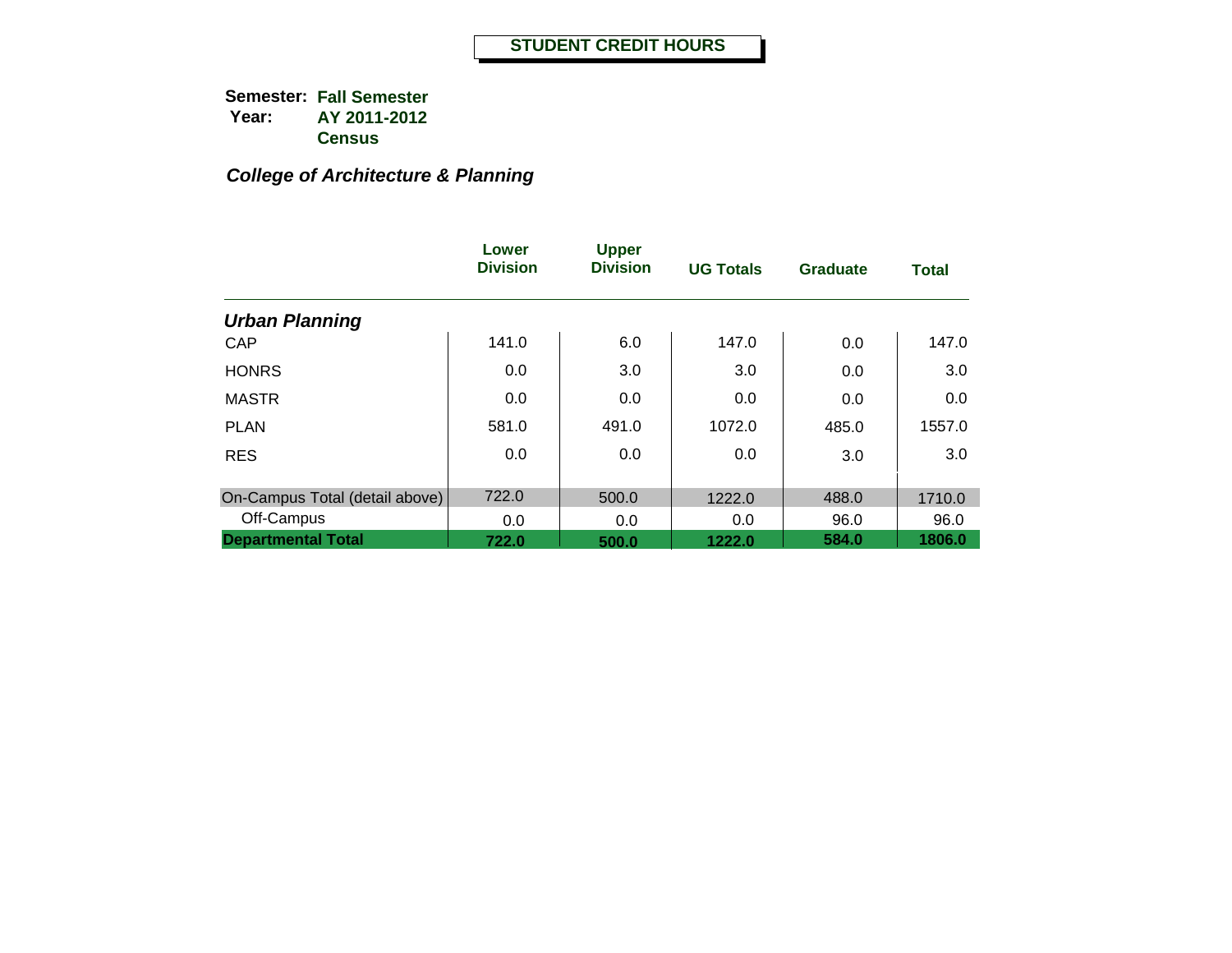## *College of Architecture & Planning*

|                                | Lower<br><b>Division</b> | <b>Upper</b><br><b>Division</b> | <b>UG Totals</b> | <b>Graduate</b> | <b>Total</b> |
|--------------------------------|--------------------------|---------------------------------|------------------|-----------------|--------------|
| <b>Urban Planning</b>          |                          |                                 |                  |                 |              |
| <b>CAP</b>                     | 141.0                    | 6.0                             | 147.0            | 0.0             | 147.0        |
| <b>HONRS</b>                   | 0.0                      | 3.0                             | 3.0              | 0.0             | 3.0          |
| <b>MASTR</b>                   | 0.0                      | 0.0                             | 0.0              | 0.0             | 0.0          |
| <b>PLAN</b>                    | 581.0                    | 491.0                           | 1072.0           | 485.0           | 1557.0       |
| <b>RES</b>                     | 0.0                      | 0.0                             | 0.0              | 3.0             | 3.0          |
| On-Campus Total (detail above) | 722.0                    | 500.0                           | 1222.0           | 488.0           | 1710.0       |
| Off-Campus                     | 0.0                      | 0.0                             | 0.0              | 96.0            | 96.0         |
| <b>Departmental Total</b>      | 722.0                    | 500.0                           | 1222.0           | 584.0           | 1806.0       |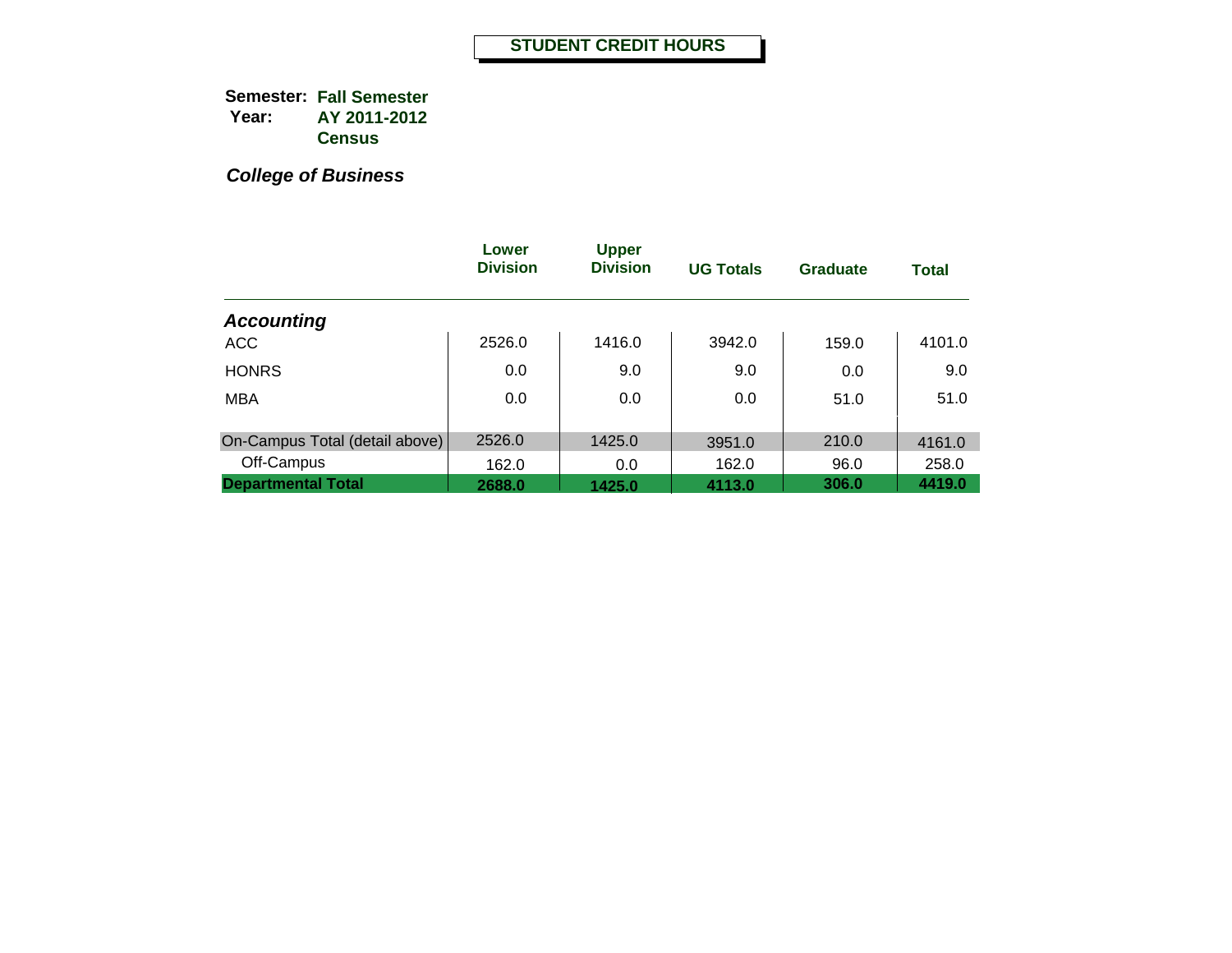|                                | Lower<br><b>Division</b> | <b>Upper</b><br><b>Division</b> | <b>UG Totals</b> | <b>Graduate</b> | <b>Total</b> |
|--------------------------------|--------------------------|---------------------------------|------------------|-----------------|--------------|
| <b>Accounting</b>              |                          |                                 |                  |                 |              |
| <b>ACC</b>                     | 2526.0                   | 1416.0                          | 3942.0           | 159.0           | 4101.0       |
| <b>HONRS</b>                   | 0.0                      | 9.0                             | 9.0              | 0.0             | 9.0          |
| <b>MBA</b>                     | 0.0                      | 0.0                             | 0.0              | 51.0            | 51.0         |
| On-Campus Total (detail above) | 2526.0                   | 1425.0                          | 3951.0           | 210.0           | 4161.0       |
| Off-Campus                     | 162.0                    | 0.0                             | 162.0            | 96.0            | 258.0        |
| <b>Departmental Total</b>      | 2688.0                   | 1425.0                          | 4113.0           | 306.0           | 4419.0       |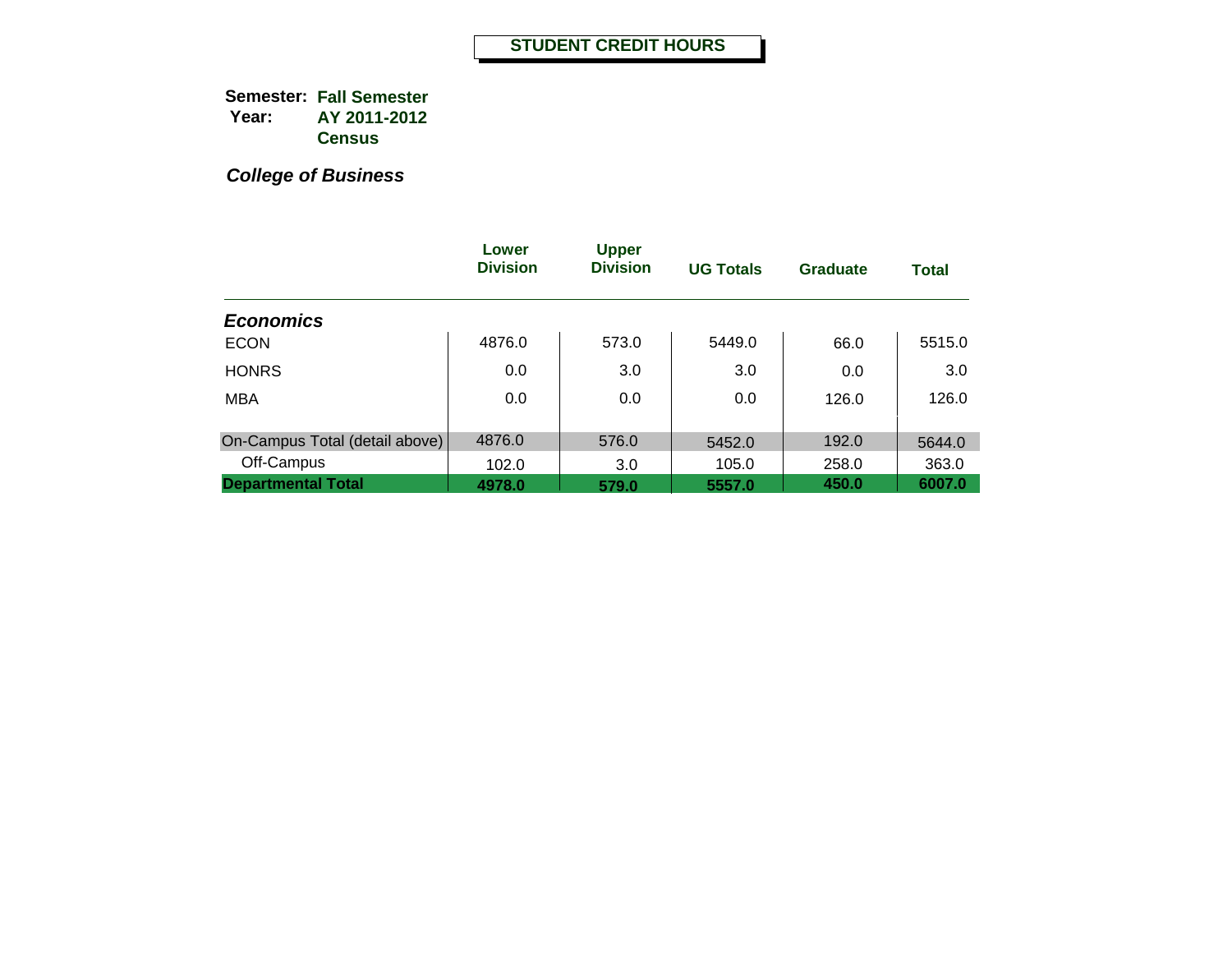|                                | Lower<br><b>Division</b> | <b>Upper</b><br><b>Division</b> | <b>UG Totals</b> | <b>Graduate</b> | <b>Total</b> |
|--------------------------------|--------------------------|---------------------------------|------------------|-----------------|--------------|
| <b>Economics</b>               |                          |                                 |                  |                 |              |
| <b>ECON</b>                    | 4876.0                   | 573.0                           | 5449.0           | 66.0            | 5515.0       |
| <b>HONRS</b>                   | 0.0                      | 3.0                             | 3.0              | 0.0             | 3.0          |
| <b>MBA</b>                     | 0.0                      | 0.0                             | 0.0              | 126.0           | 126.0        |
|                                |                          |                                 |                  |                 |              |
| On-Campus Total (detail above) | 4876.0                   | 576.0                           | 5452.0           | 192.0           | 5644.0       |
| Off-Campus                     | 102.0                    | 3.0                             | 105.0            | 258.0           | 363.0        |
| <b>Departmental Total</b>      | 4978.0                   | 579.0                           | 5557.0           | 450.0           | 6007.0       |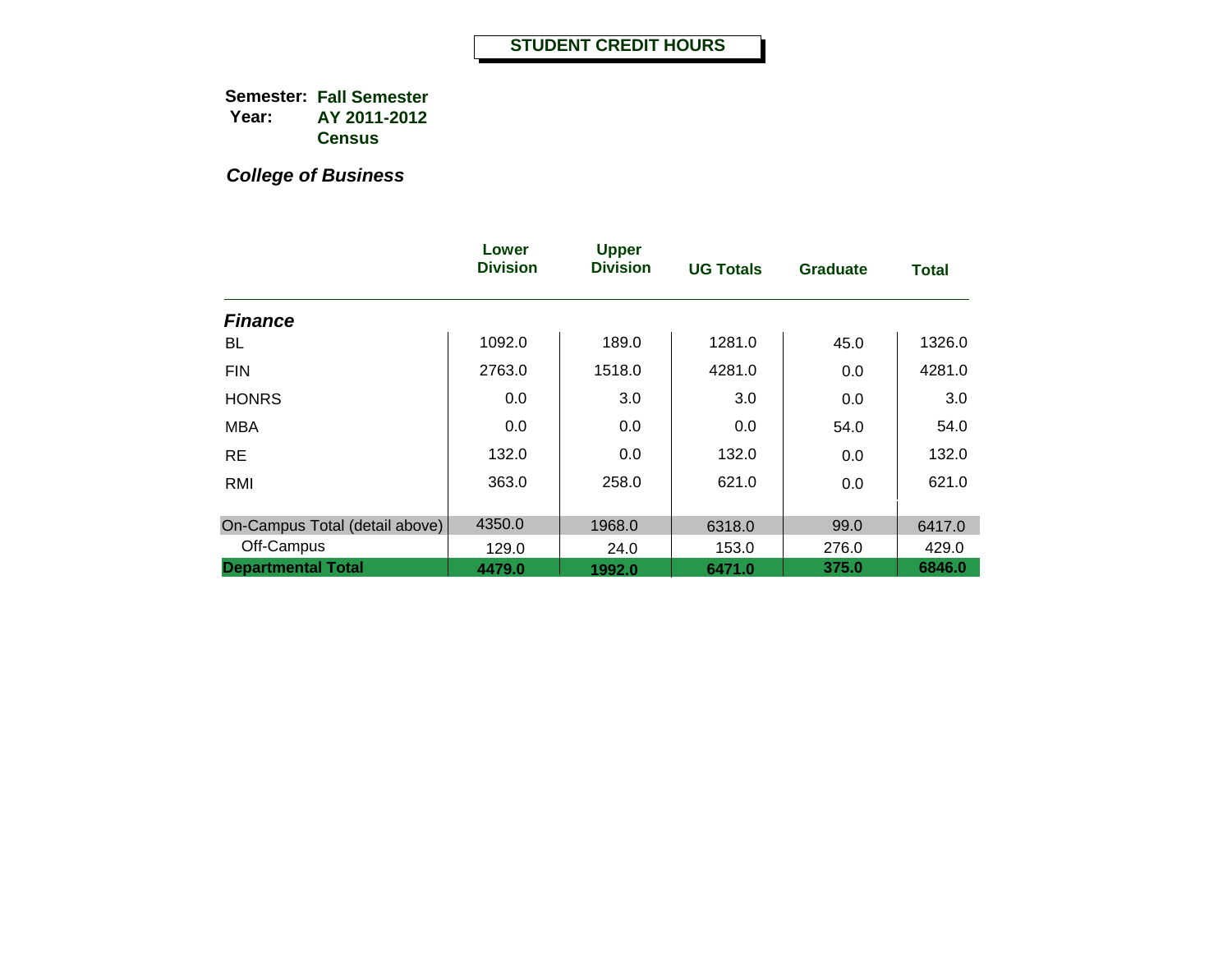|                                | Lower<br><b>Division</b> | <b>Upper</b><br><b>Division</b> | <b>UG Totals</b> | <b>Graduate</b> | <b>Total</b> |
|--------------------------------|--------------------------|---------------------------------|------------------|-----------------|--------------|
| <b>Finance</b>                 |                          |                                 |                  |                 |              |
| BL                             | 1092.0                   | 189.0                           | 1281.0           | 45.0            | 1326.0       |
| <b>FIN</b>                     | 2763.0                   | 1518.0                          | 4281.0           | 0.0             | 4281.0       |
| <b>HONRS</b>                   | 0.0                      | 3.0                             | 3.0              | 0.0             | 3.0          |
| <b>MBA</b>                     | 0.0                      | 0.0                             | 0.0              | 54.0            | 54.0         |
| <b>RE</b>                      | 132.0                    | 0.0                             | 132.0            | 0.0             | 132.0        |
| RMI                            | 363.0                    | 258.0                           | 621.0            | 0.0             | 621.0        |
| On-Campus Total (detail above) | 4350.0                   | 1968.0                          | 6318.0           | 99.0            | 6417.0       |
| Off-Campus                     | 129.0                    | 24.0                            | 153.0            | 276.0           | 429.0        |
| <b>Departmental Total</b>      | 4479.0                   | 1992.0                          | 6471.0           | 375.0           | 6846.0       |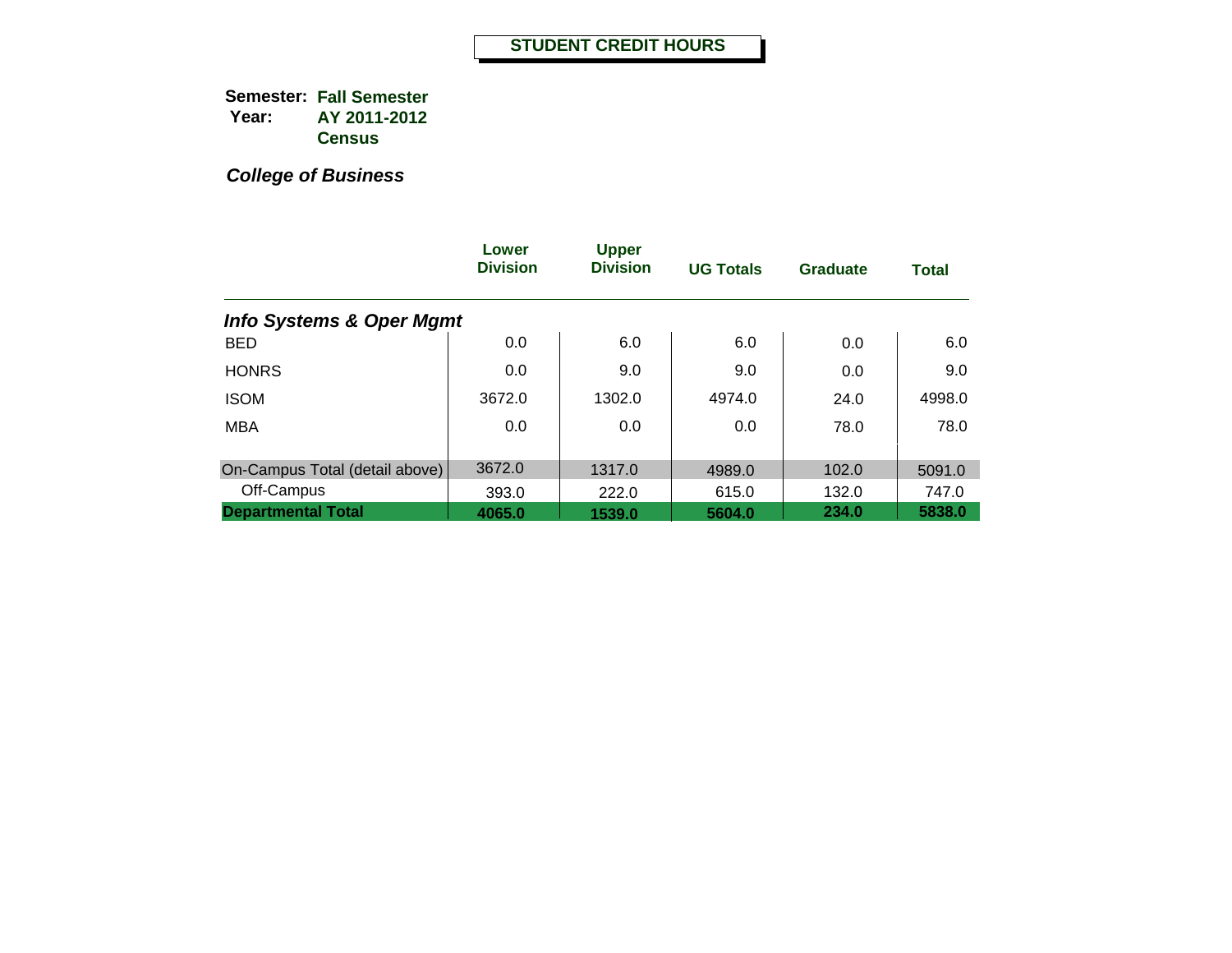|                                     | Lower<br><b>Division</b> | <b>Upper</b><br><b>Division</b> | <b>UG Totals</b> | <b>Graduate</b> | <b>Total</b> |
|-------------------------------------|--------------------------|---------------------------------|------------------|-----------------|--------------|
| <b>Info Systems &amp; Oper Mgmt</b> |                          |                                 |                  |                 |              |
| <b>BED</b>                          | 0.0                      | 6.0                             | 6.0              | 0.0             | 6.0          |
| <b>HONRS</b>                        | 0.0                      | 9.0                             | 9.0              | 0.0             | 9.0          |
| <b>ISOM</b>                         | 3672.0                   | 1302.0                          | 4974.0           | 24.0            | 4998.0       |
| <b>MBA</b>                          | 0.0                      | 0.0                             | 0.0              | 78.0            | 78.0         |
|                                     |                          |                                 |                  |                 |              |
| On-Campus Total (detail above)      | 3672.0                   | 1317.0                          | 4989.0           | 102.0           | 5091.0       |
| Off-Campus                          | 393.0                    | 222.0                           | 615.0            | 132.0           | 747.0        |
| <b>Departmental Total</b>           | 4065.0                   | 1539.0                          | 5604.0           | 234.0           | 5838.0       |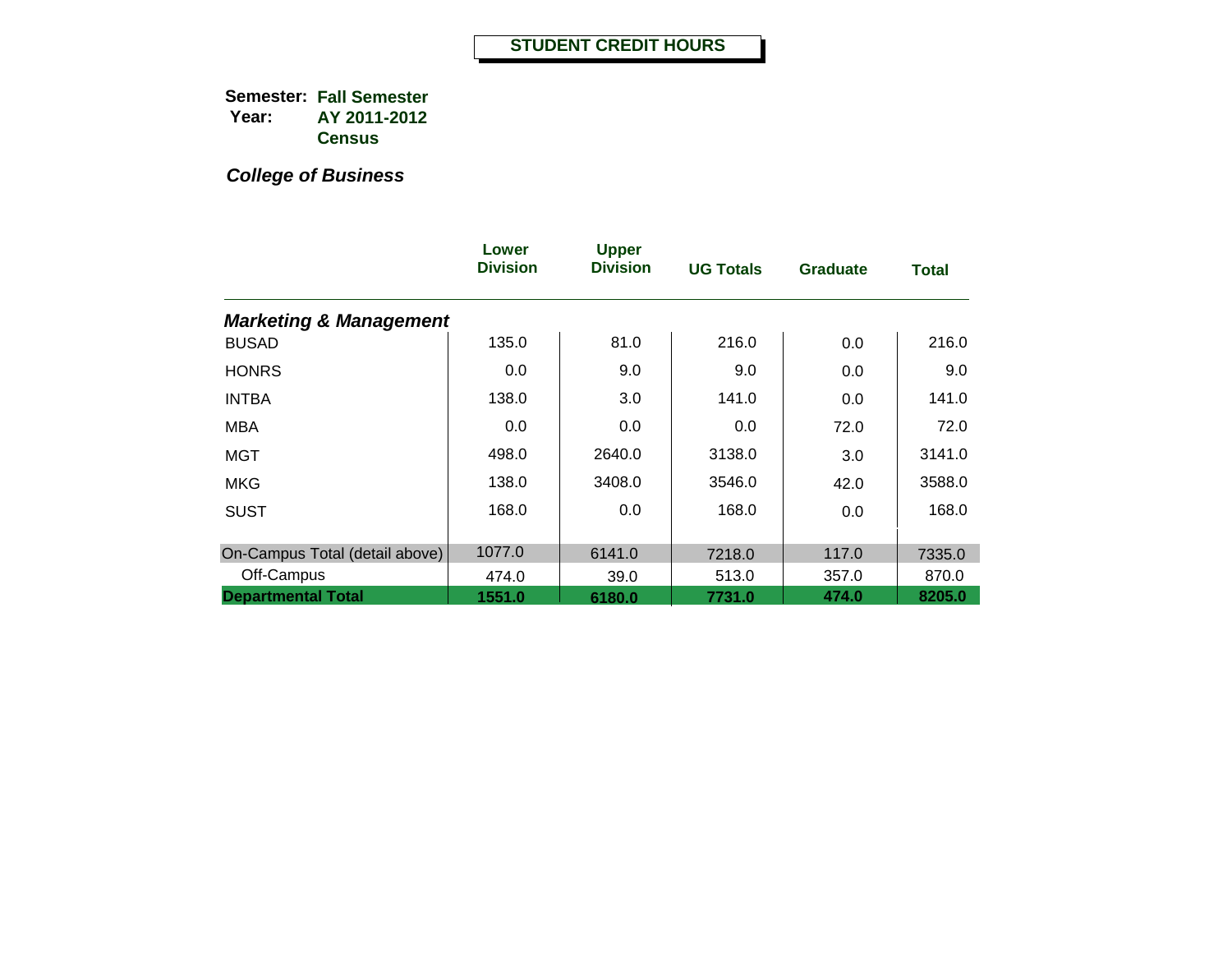|                                   | Lower<br><b>Division</b> | <b>Upper</b><br><b>Division</b> | <b>UG Totals</b> | <b>Graduate</b> | <b>Total</b> |
|-----------------------------------|--------------------------|---------------------------------|------------------|-----------------|--------------|
| <b>Marketing &amp; Management</b> |                          |                                 |                  |                 |              |
| <b>BUSAD</b>                      | 135.0                    | 81.0                            | 216.0            | 0.0             | 216.0        |
| <b>HONRS</b>                      | 0.0                      | 9.0                             | 9.0              | 0.0             | 9.0          |
| <b>INTBA</b>                      | 138.0                    | 3.0                             | 141.0            | 0.0             | 141.0        |
| MBA                               | 0.0                      | 0.0                             | 0.0              | 72.0            | 72.0         |
| MGT                               | 498.0                    | 2640.0                          | 3138.0           | 3.0             | 3141.0       |
| <b>MKG</b>                        | 138.0                    | 3408.0                          | 3546.0           | 42.0            | 3588.0       |
| <b>SUST</b>                       | 168.0                    | 0.0                             | 168.0            | 0.0             | 168.0        |
| On-Campus Total (detail above)    | 1077.0                   | 6141.0                          | 7218.0           | 117.0           | 7335.0       |
| Off-Campus                        | 474.0                    | 39.0                            | 513.0            | 357.0           | 870.0        |
| <b>Departmental Total</b>         | 1551.0                   | 6180.0                          | 7731.0           | 474.0           | 8205.0       |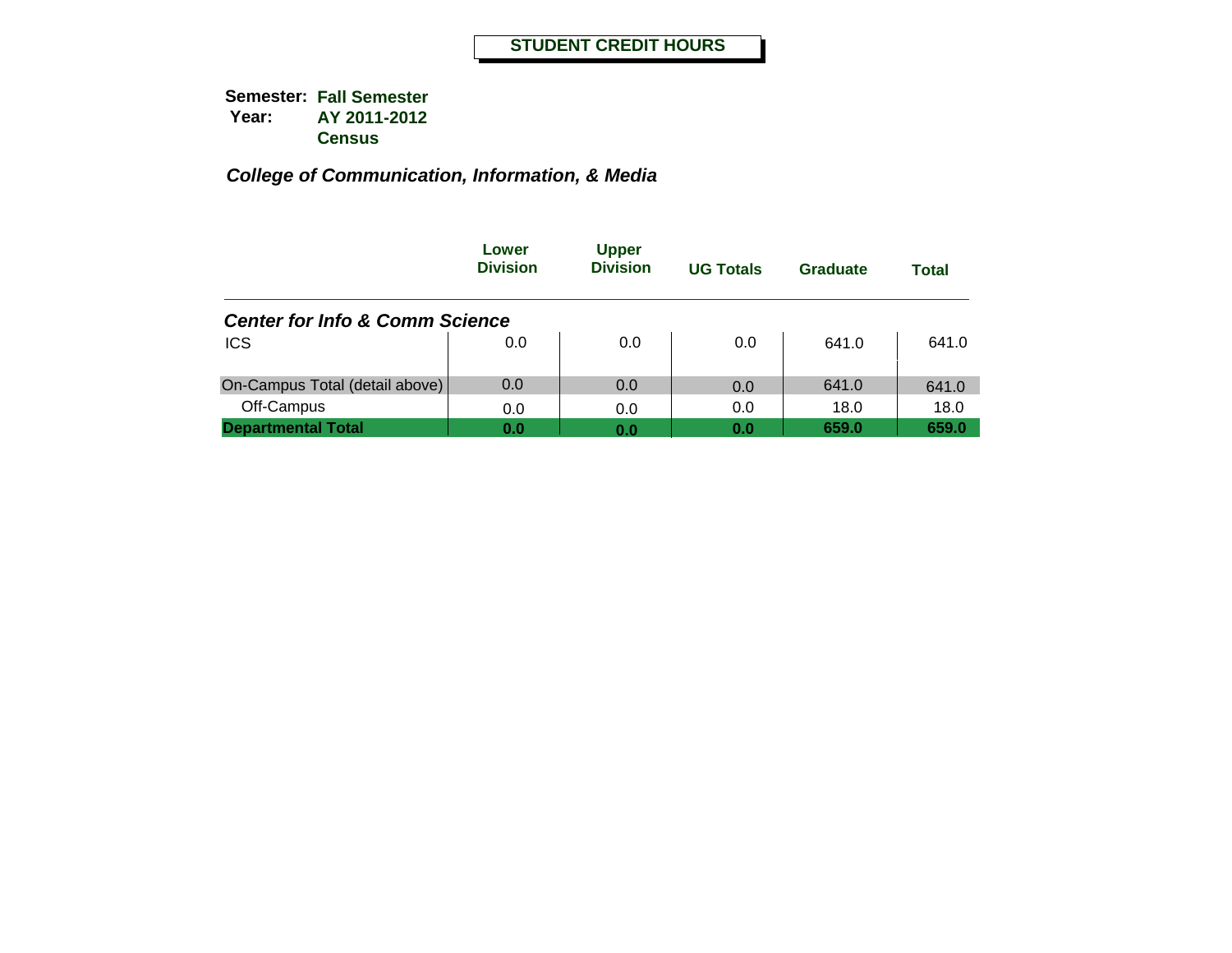|                                           | Lower<br><b>Division</b> | <b>Upper</b><br><b>Division</b> | <b>UG Totals</b> | Graduate | Total |
|-------------------------------------------|--------------------------|---------------------------------|------------------|----------|-------|
| <b>Center for Info &amp; Comm Science</b> |                          |                                 |                  |          |       |
| <b>ICS</b>                                | 0.0                      | 0.0                             | 0.0              | 641.0    | 641.0 |
| On-Campus Total (detail above)            | 0.0                      | 0.0                             | 0.0              | 641.0    | 641.0 |
| Off-Campus                                | 0.0                      | 0.0                             | 0.0              | 18.0     | 18.0  |
| <b>Departmental Total</b>                 | 0.0                      | 0.0                             | 0.0              | 659.0    | 659.0 |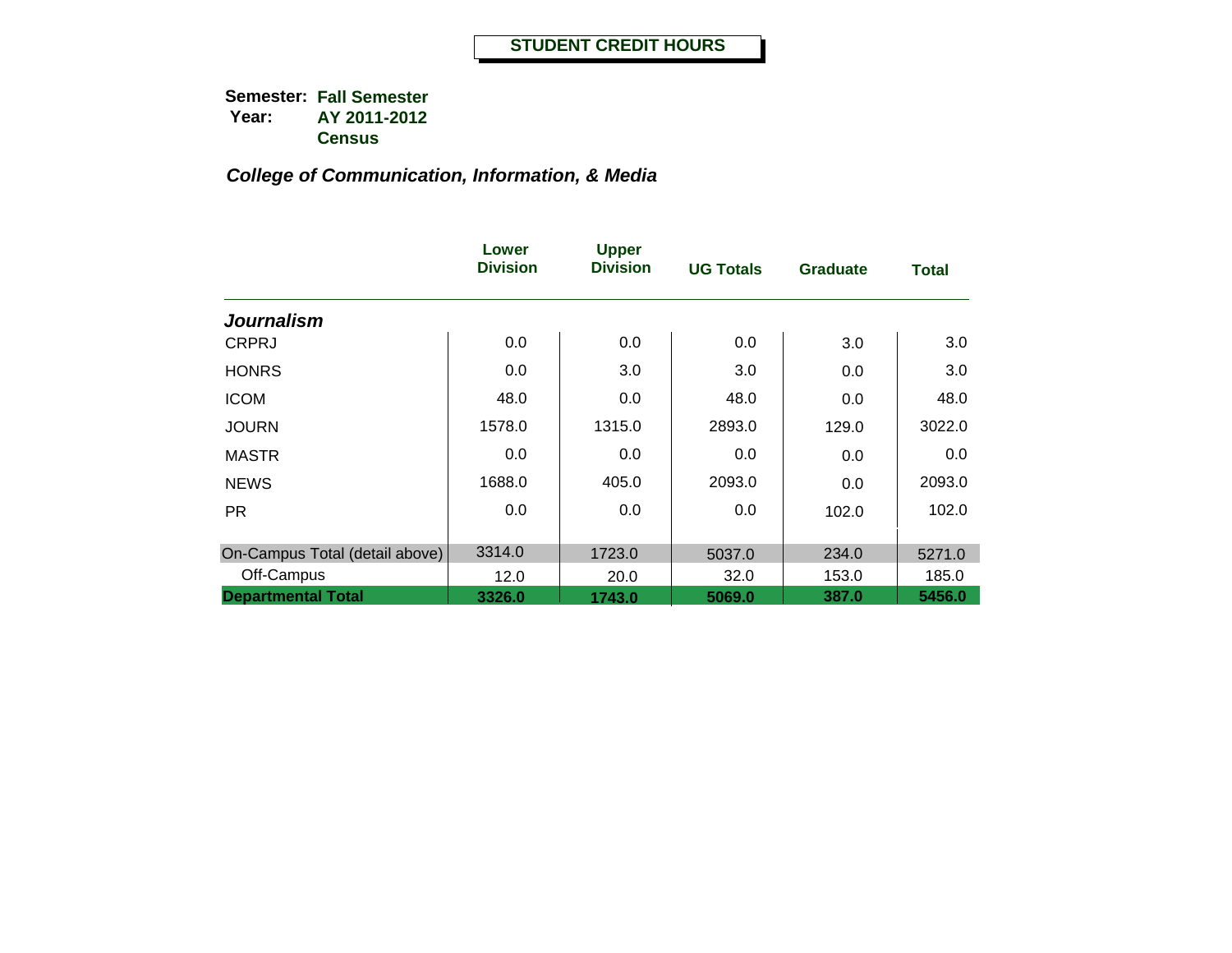|                                | Lower<br><b>Division</b> | <b>Upper</b><br><b>Division</b> | <b>UG Totals</b> | <b>Graduate</b> | <b>Total</b> |
|--------------------------------|--------------------------|---------------------------------|------------------|-----------------|--------------|
| <b>Journalism</b>              |                          |                                 |                  |                 |              |
| <b>CRPRJ</b>                   | 0.0                      | 0.0                             | 0.0              | 3.0             | 3.0          |
| <b>HONRS</b>                   | 0.0                      | 3.0                             | 3.0              | 0.0             | 3.0          |
| <b>ICOM</b>                    | 48.0                     | 0.0                             | 48.0             | 0.0             | 48.0         |
| <b>JOURN</b>                   | 1578.0                   | 1315.0                          | 2893.0           | 129.0           | 3022.0       |
| <b>MASTR</b>                   | 0.0                      | 0.0                             | 0.0              | 0.0             | 0.0          |
| <b>NEWS</b>                    | 1688.0                   | 405.0                           | 2093.0           | 0.0             | 2093.0       |
| <b>PR</b>                      | 0.0                      | 0.0                             | 0.0              | 102.0           | 102.0        |
| On-Campus Total (detail above) | 3314.0                   | 1723.0                          | 5037.0           | 234.0           | 5271.0       |
| Off-Campus                     | 12.0                     | 20.0                            | 32.0             | 153.0           | 185.0        |
| <b>Departmental Total</b>      | 3326.0                   | 1743.0                          | 5069.0           | 387.0           | 5456.0       |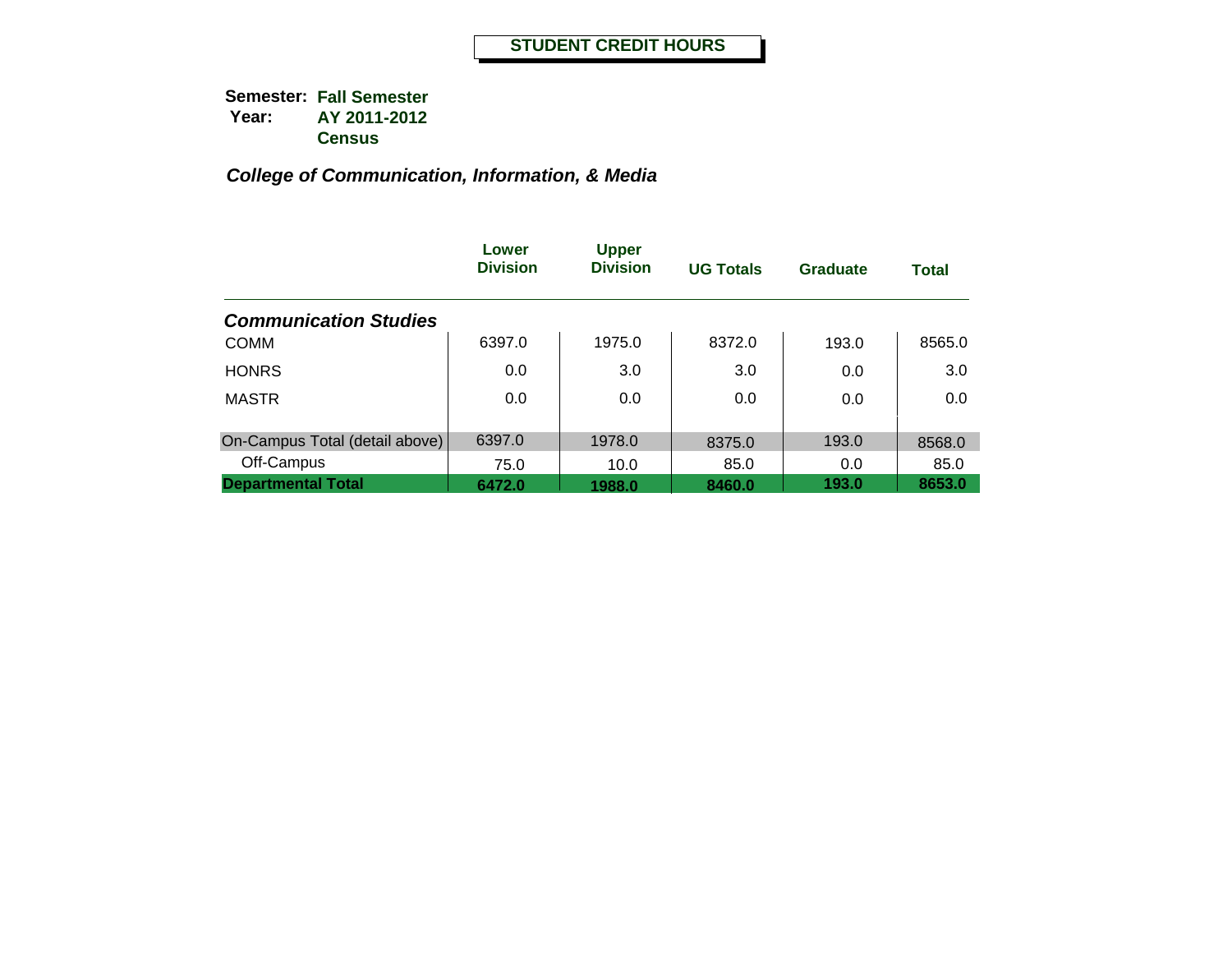|                                | Lower<br><b>Division</b> | <b>Upper</b><br><b>Division</b> | <b>UG Totals</b> | Graduate | <b>Total</b> |
|--------------------------------|--------------------------|---------------------------------|------------------|----------|--------------|
| <b>Communication Studies</b>   |                          |                                 |                  |          |              |
| <b>COMM</b>                    | 6397.0                   | 1975.0                          | 8372.0           | 193.0    | 8565.0       |
| <b>HONRS</b>                   | 0.0                      | 3.0                             | 3.0              | 0.0      | 3.0          |
| <b>MASTR</b>                   | 0.0                      | 0.0                             | 0.0              | 0.0      | 0.0          |
| On-Campus Total (detail above) | 6397.0                   | 1978.0                          | 8375.0           | 193.0    | 8568.0       |
| Off-Campus                     | 75.0                     | 10.0                            | 85.0             | 0.0      | 85.0         |
| <b>Departmental Total</b>      | 6472.0                   | 1988.0                          | 8460.0           | 193.0    | 8653.0       |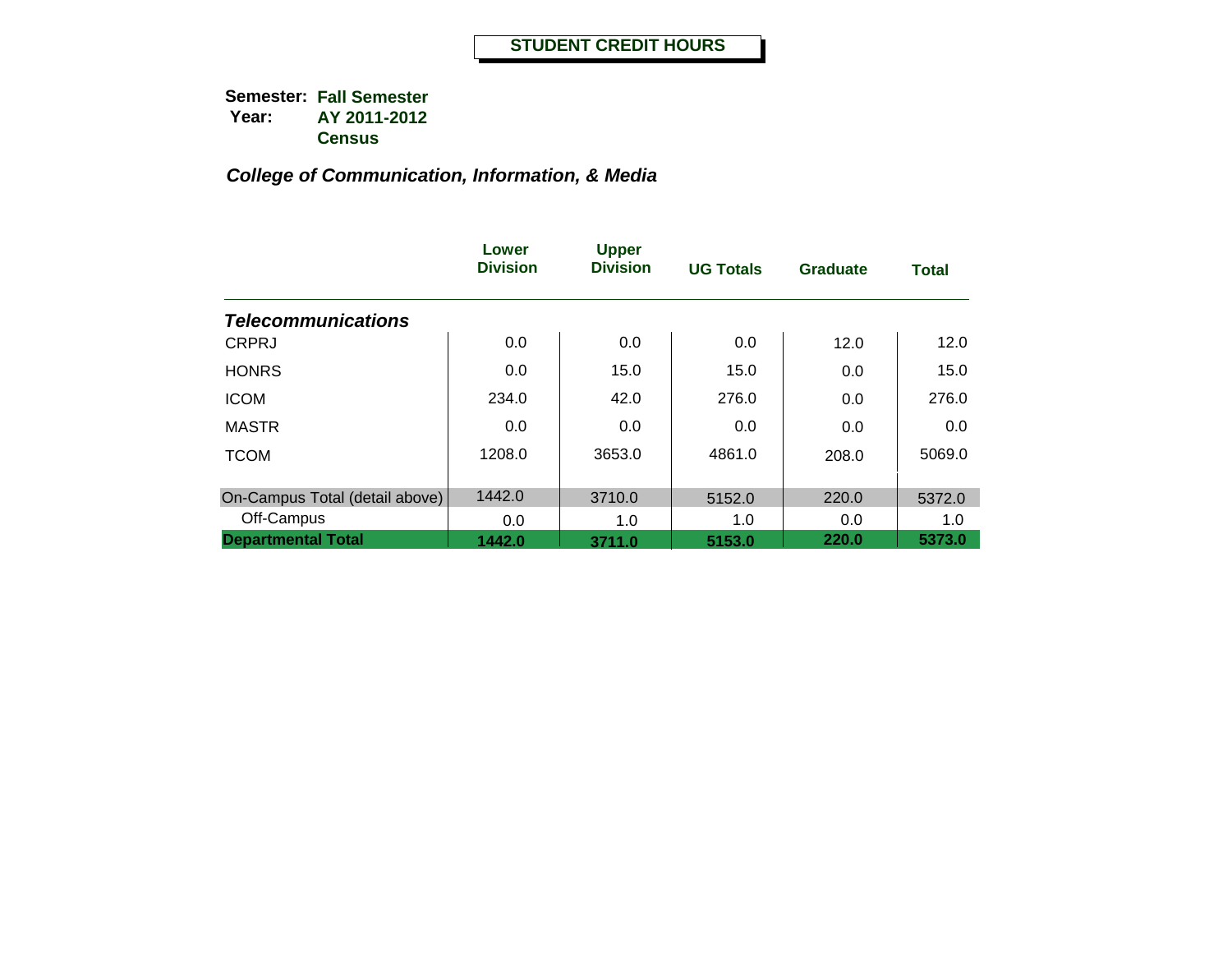|                                | Lower<br><b>Division</b> | <b>Upper</b><br><b>Division</b> | <b>UG Totals</b> | <b>Graduate</b> | <b>Total</b> |
|--------------------------------|--------------------------|---------------------------------|------------------|-----------------|--------------|
| <b>Telecommunications</b>      |                          |                                 |                  |                 |              |
| <b>CRPRJ</b>                   | 0.0                      | 0.0                             | 0.0              | 12.0            | 12.0         |
| <b>HONRS</b>                   | 0.0                      | 15.0                            | 15.0             | 0.0             | 15.0         |
| <b>ICOM</b>                    | 234.0                    | 42.0                            | 276.0            | 0.0             | 276.0        |
| <b>MASTR</b>                   | 0.0                      | 0.0                             | 0.0              | 0.0             | 0.0          |
| <b>TCOM</b>                    | 1208.0                   | 3653.0                          | 4861.0           | 208.0           | 5069.0       |
| On-Campus Total (detail above) | 1442.0                   | 3710.0                          | 5152.0           | 220.0           | 5372.0       |
| Off-Campus                     | 0.0                      | 1.0                             | 1.0              | 0.0             | 1.0          |
| <b>Departmental Total</b>      | 1442.0                   | 3711.0                          | 5153.0           | 220.0           | 5373.0       |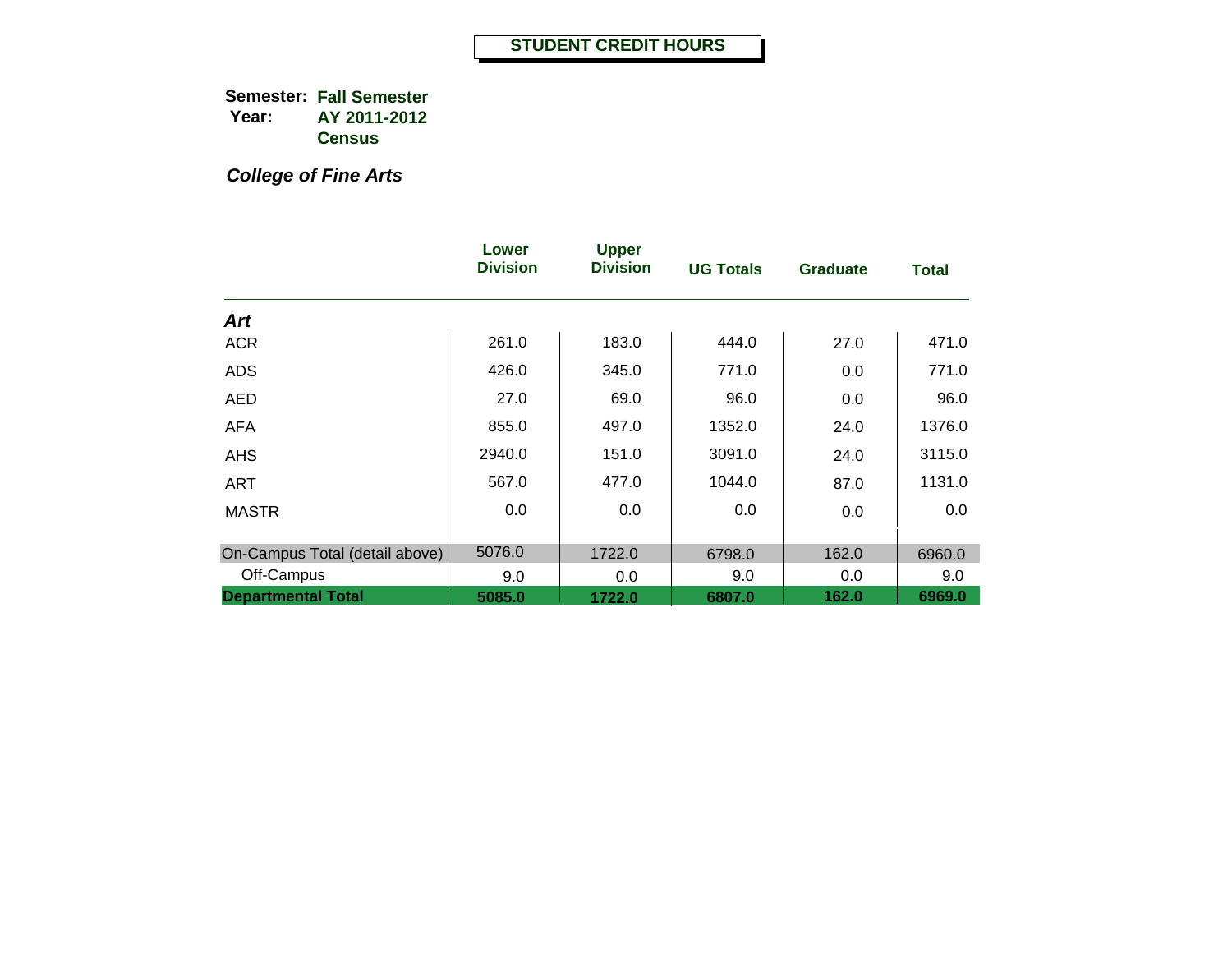*College of Fine Arts*

|                                | Lower<br><b>Division</b> | <b>Upper</b><br><b>Division</b> | <b>UG Totals</b> | <b>Graduate</b> | <b>Total</b> |
|--------------------------------|--------------------------|---------------------------------|------------------|-----------------|--------------|
| Art                            |                          |                                 |                  |                 |              |
| <b>ACR</b>                     | 261.0                    | 183.0                           | 444.0            | 27.0            | 471.0        |
| <b>ADS</b>                     | 426.0                    | 345.0                           | 771.0            | 0.0             | 771.0        |
| <b>AED</b>                     | 27.0                     | 69.0                            | 96.0             | 0.0             | 96.0         |
| <b>AFA</b>                     | 855.0                    | 497.0                           | 1352.0           | 24.0            | 1376.0       |
| <b>AHS</b>                     | 2940.0                   | 151.0                           | 3091.0           | 24.0            | 3115.0       |
| <b>ART</b>                     | 567.0                    | 477.0                           | 1044.0           | 87.0            | 1131.0       |
| <b>MASTR</b>                   | 0.0                      | 0.0                             | 0.0              | 0.0             | 0.0          |
| On-Campus Total (detail above) | 5076.0                   | 1722.0                          | 6798.0           | 162.0           | 6960.0       |
| Off-Campus                     | 9.0                      | 0.0                             | 9.0              | 0.0             | 9.0          |
| <b>Departmental Total</b>      | 5085.0                   | 1722.0                          | 6807.0           | 162.0           | 6969.0       |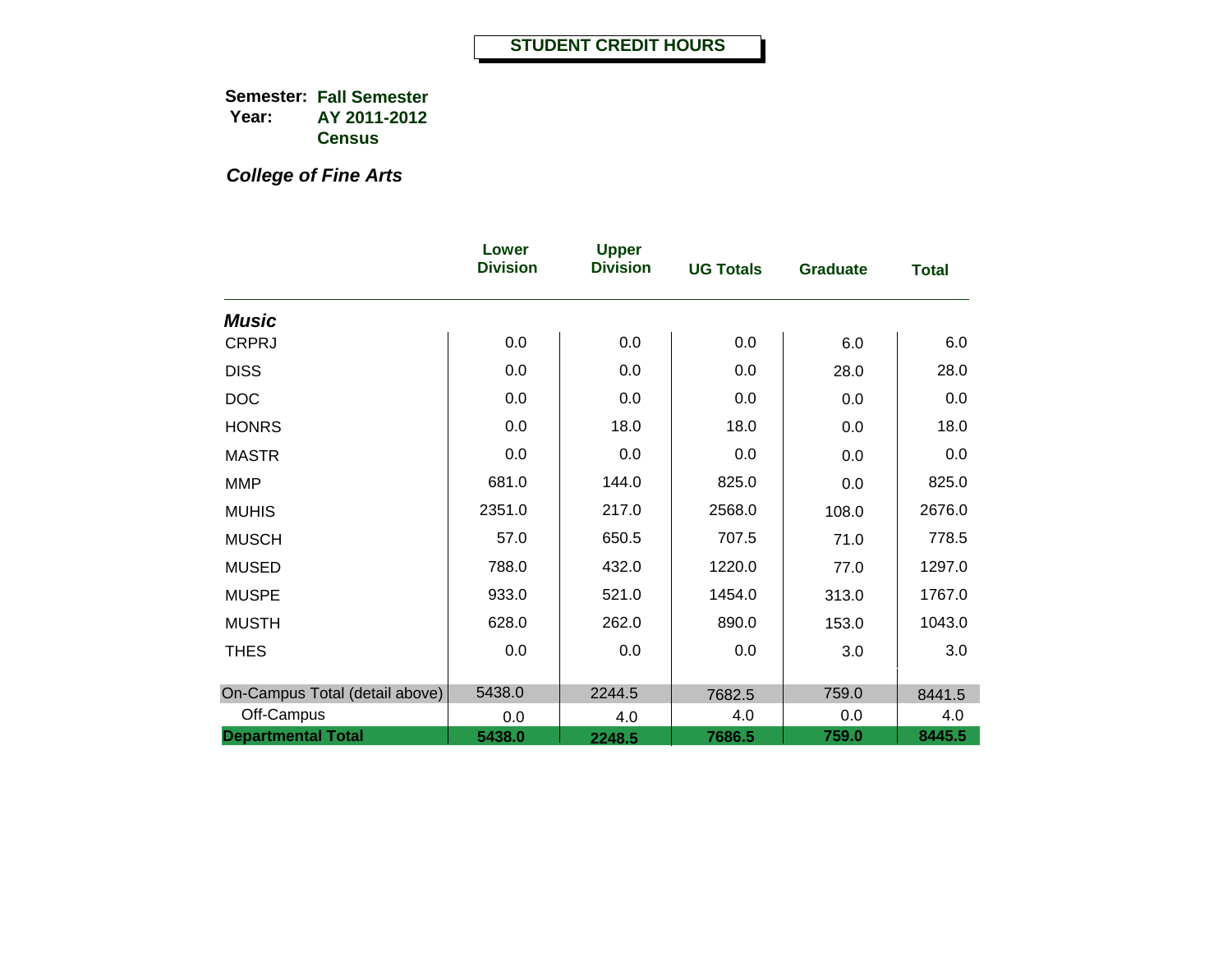*College of Fine Arts*

|                                | Lower<br><b>Division</b> | <b>Upper</b><br><b>Division</b> | <b>UG Totals</b> | <b>Graduate</b> | <b>Total</b> |
|--------------------------------|--------------------------|---------------------------------|------------------|-----------------|--------------|
| <b>Music</b>                   |                          |                                 |                  |                 |              |
| <b>CRPRJ</b>                   | 0.0                      | 0.0                             | 0.0              | 6.0             | 6.0          |
| <b>DISS</b>                    | 0.0                      | 0.0                             | 0.0              | 28.0            | 28.0         |
| <b>DOC</b>                     | 0.0                      | 0.0                             | 0.0              | 0.0             | 0.0          |
| <b>HONRS</b>                   | 0.0                      | 18.0                            | 18.0             | 0.0             | 18.0         |
| <b>MASTR</b>                   | 0.0                      | 0.0                             | 0.0              | 0.0             | 0.0          |
| <b>MMP</b>                     | 681.0                    | 144.0                           | 825.0            | 0.0             | 825.0        |
| <b>MUHIS</b>                   | 2351.0                   | 217.0                           | 2568.0           | 108.0           | 2676.0       |
| <b>MUSCH</b>                   | 57.0                     | 650.5                           | 707.5            | 71.0            | 778.5        |
| <b>MUSED</b>                   | 788.0                    | 432.0                           | 1220.0           | 77.0            | 1297.0       |
| <b>MUSPE</b>                   | 933.0                    | 521.0                           | 1454.0           | 313.0           | 1767.0       |
| <b>MUSTH</b>                   | 628.0                    | 262.0                           | 890.0            | 153.0           | 1043.0       |
| <b>THES</b>                    | 0.0                      | 0.0                             | 0.0              | 3.0             | 3.0          |
| On-Campus Total (detail above) | 5438.0                   | 2244.5                          | 7682.5           | 759.0           | 8441.5       |
| Off-Campus                     | 0.0                      | 4.0                             | 4.0              | 0.0             | 4.0          |
| <b>Departmental Total</b>      | 5438.0                   | 2248.5                          | 7686.5           | 759.0           | 8445.5       |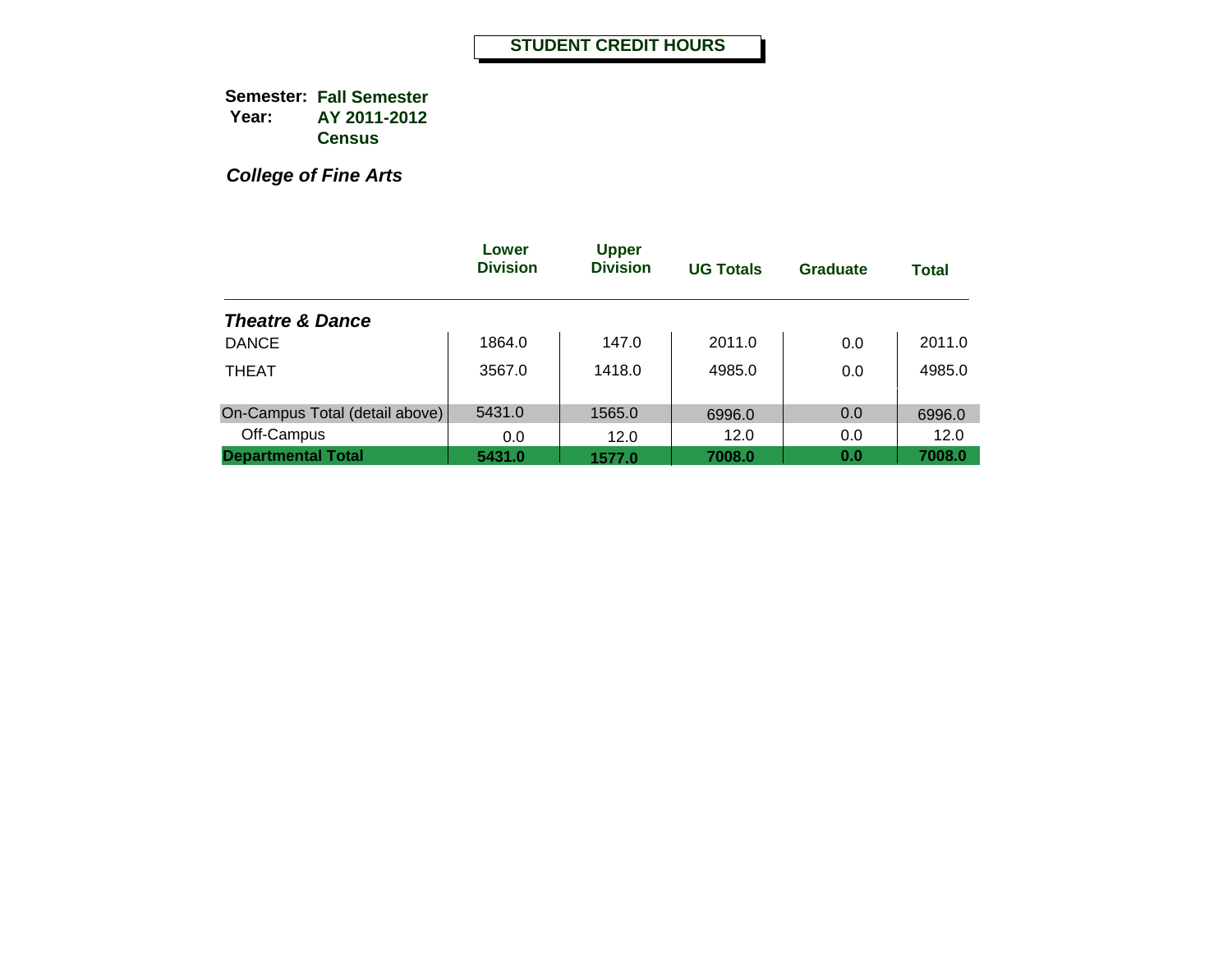*College of Fine Arts*

|                                | Lower<br><b>Division</b> | <b>Upper</b><br><b>Division</b> | <b>UG Totals</b> | Graduate | <b>Total</b> |
|--------------------------------|--------------------------|---------------------------------|------------------|----------|--------------|
| <b>Theatre &amp; Dance</b>     |                          |                                 |                  |          |              |
| <b>DANCE</b>                   | 1864.0                   | 147.0                           | 2011.0           | 0.0      | 2011.0       |
| <b>THEAT</b>                   | 3567.0                   | 1418.0                          | 4985.0           | 0.0      | 4985.0       |
| On-Campus Total (detail above) | 5431.0                   | 1565.0                          | 6996.0           | 0.0      | 6996.0       |
| Off-Campus                     | 0.0                      | 12.0                            | 12.0             | 0.0      | 12.0         |
| <b>Departmental Total</b>      | 5431.0                   | 1577.0                          | 7008.0           | 0.0      | 7008.0       |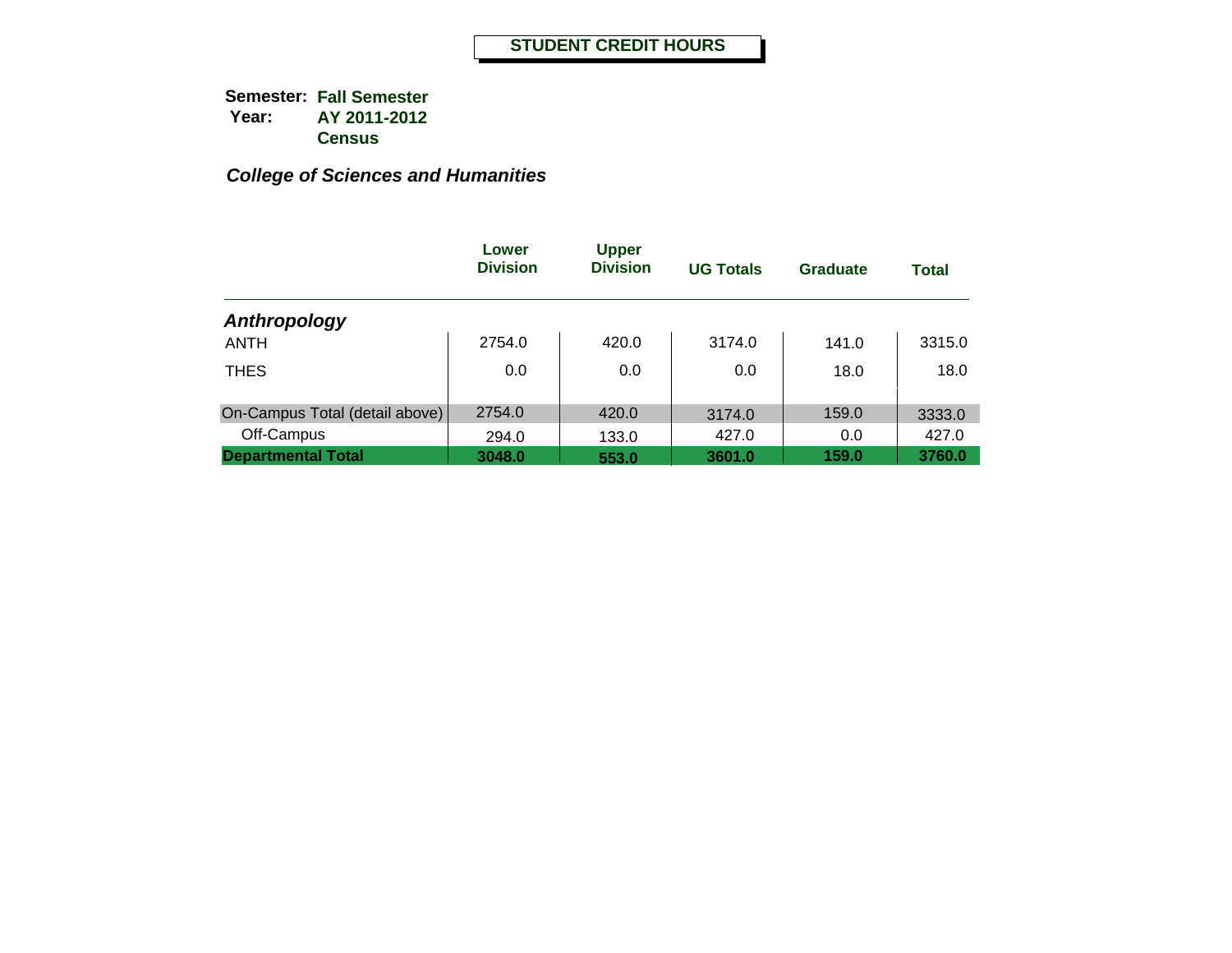|                                | Lower<br><b>Division</b> | <b>Upper</b><br><b>Division</b> | <b>UG Totals</b> | <b>Graduate</b> | <b>Total</b> |
|--------------------------------|--------------------------|---------------------------------|------------------|-----------------|--------------|
| Anthropology                   |                          |                                 |                  |                 |              |
| <b>ANTH</b>                    | 2754.0                   | 420.0                           | 3174.0           | 141.0           | 3315.0       |
| <b>THES</b>                    | 0.0                      | 0.0                             | 0.0              | 18.0            | 18.0         |
| On-Campus Total (detail above) | 2754.0                   | 420.0                           | 3174.0           | 159.0           | 3333.0       |
| Off-Campus                     | 294.0                    | 133.0                           | 427.0            | 0.0             | 427.0        |
| <b>Departmental Total</b>      | 3048.0                   | 553.0                           | 3601.0           | 159.0           | 3760.0       |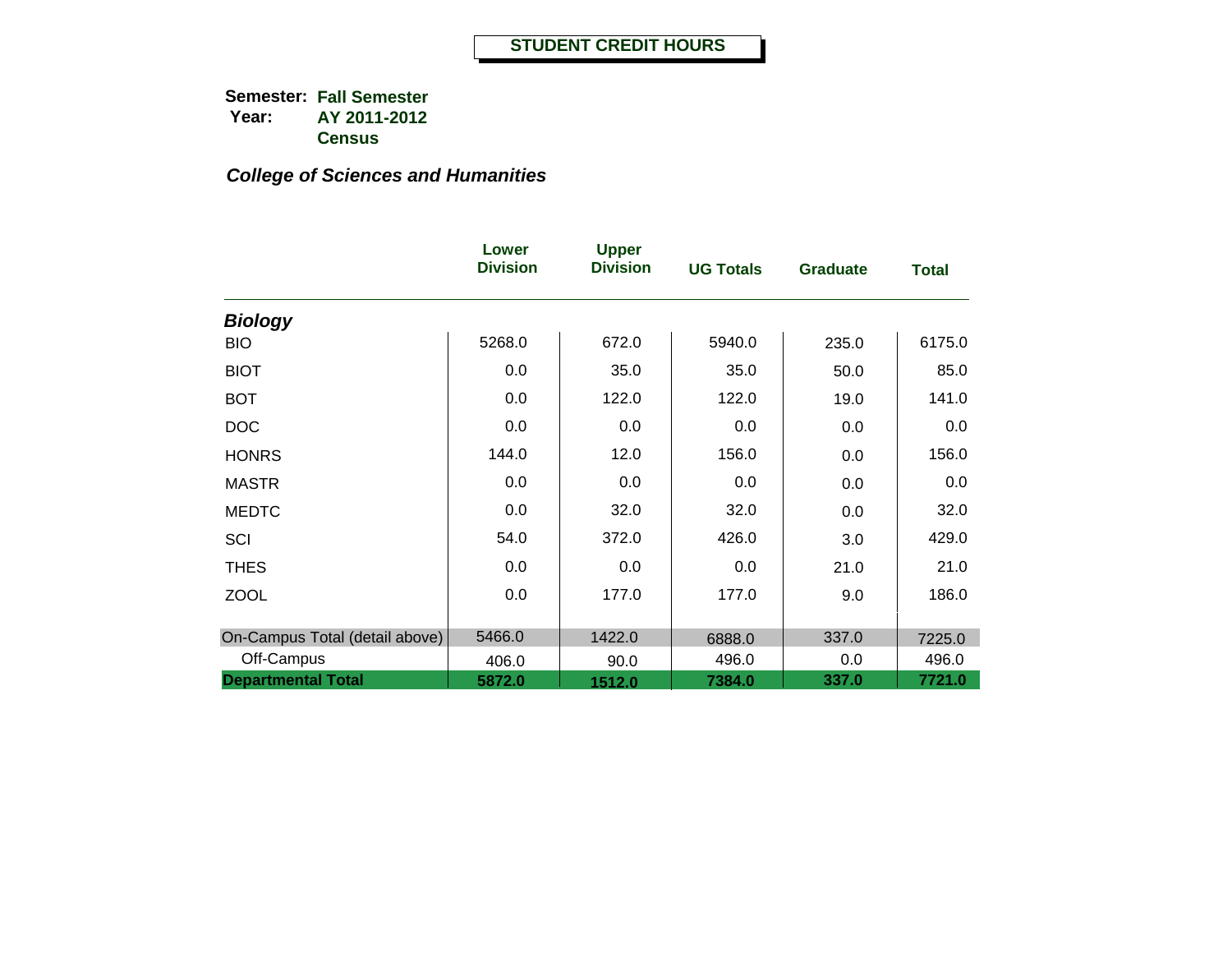|                                | Lower<br><b>Division</b> | <b>Upper</b><br><b>Division</b> | <b>UG Totals</b> | <b>Graduate</b> | <b>Total</b> |
|--------------------------------|--------------------------|---------------------------------|------------------|-----------------|--------------|
| <b>Biology</b>                 |                          |                                 |                  |                 |              |
| <b>BIO</b>                     | 5268.0                   | 672.0                           | 5940.0           | 235.0           | 6175.0       |
| <b>BIOT</b>                    | 0.0                      | 35.0                            | 35.0             | 50.0            | 85.0         |
| <b>BOT</b>                     | 0.0                      | 122.0                           | 122.0            | 19.0            | 141.0        |
| <b>DOC</b>                     | 0.0                      | 0.0                             | 0.0              | 0.0             | 0.0          |
| <b>HONRS</b>                   | 144.0                    | 12.0                            | 156.0            | 0.0             | 156.0        |
| <b>MASTR</b>                   | 0.0                      | 0.0                             | 0.0              | 0.0             | 0.0          |
| <b>MEDTC</b>                   | 0.0                      | 32.0                            | 32.0             | 0.0             | 32.0         |
| SCI                            | 54.0                     | 372.0                           | 426.0            | 3.0             | 429.0        |
| <b>THES</b>                    | 0.0                      | 0.0                             | 0.0              | 21.0            | 21.0         |
| <b>ZOOL</b>                    | 0.0                      | 177.0                           | 177.0            | 9.0             | 186.0        |
| On-Campus Total (detail above) | 5466.0                   | 1422.0                          | 6888.0           | 337.0           | 7225.0       |
| Off-Campus                     | 406.0                    | 90.0                            | 496.0            | 0.0             | 496.0        |
| <b>Departmental Total</b>      | 5872.0                   | 1512.0                          | 7384.0           | 337.0           | 7721.0       |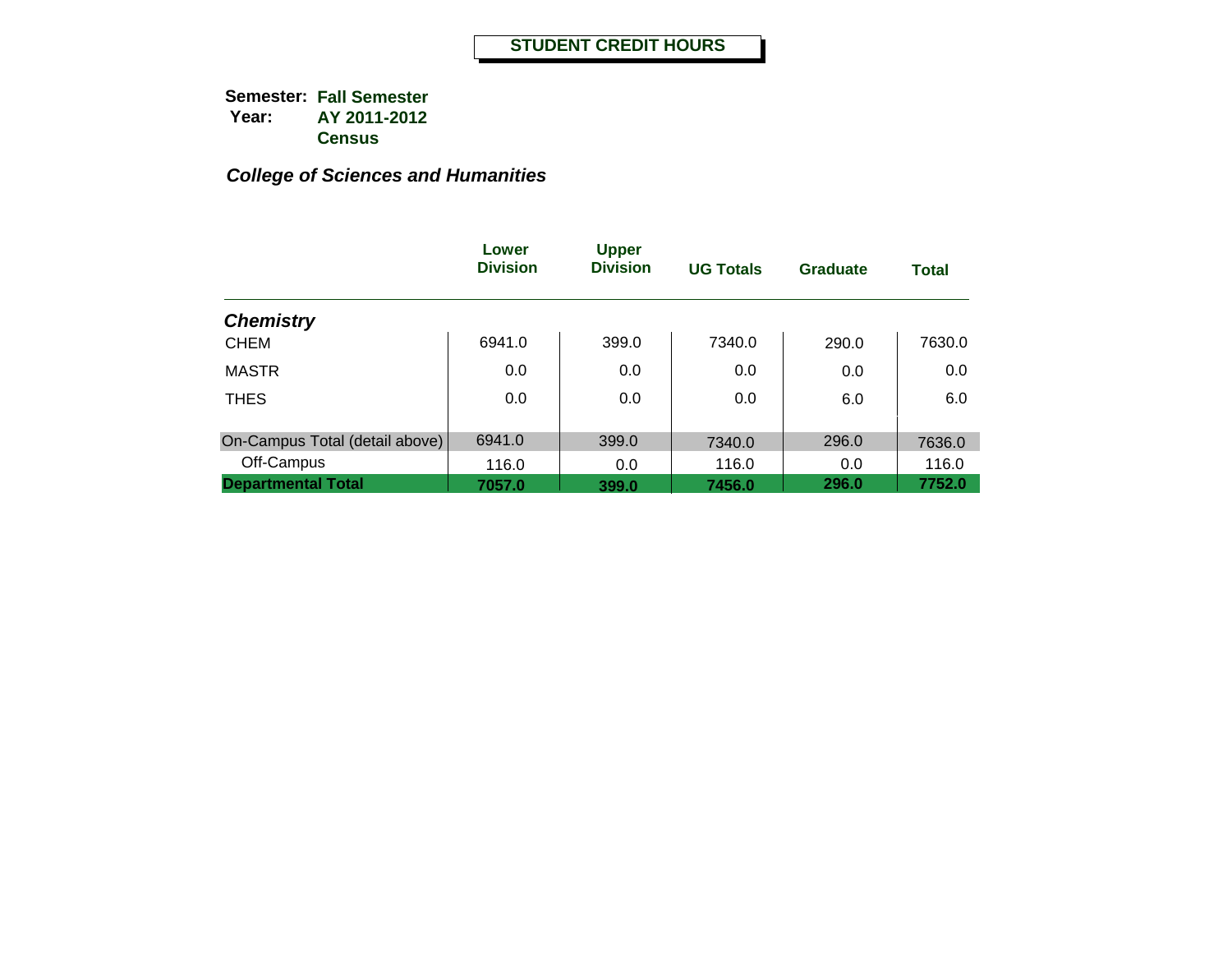|                                | Lower<br><b>Division</b> | <b>Upper</b><br><b>Division</b> | <b>UG Totals</b> | Graduate | <b>Total</b> |
|--------------------------------|--------------------------|---------------------------------|------------------|----------|--------------|
| <b>Chemistry</b>               |                          |                                 |                  |          |              |
| <b>CHEM</b>                    | 6941.0                   | 399.0                           | 7340.0           | 290.0    | 7630.0       |
| <b>MASTR</b>                   | 0.0                      | 0.0                             | 0.0              | 0.0      | 0.0          |
| <b>THES</b>                    | 0.0                      | 0.0                             | 0.0              | 6.0      | 6.0          |
| On-Campus Total (detail above) | 6941.0                   | 399.0                           | 7340.0           | 296.0    | 7636.0       |
| Off-Campus                     | 116.0                    | 0.0                             | 116.0            | 0.0      | 116.0        |
| <b>Departmental Total</b>      | 7057.0                   | 399.0                           | 7456.0           | 296.0    | 7752.0       |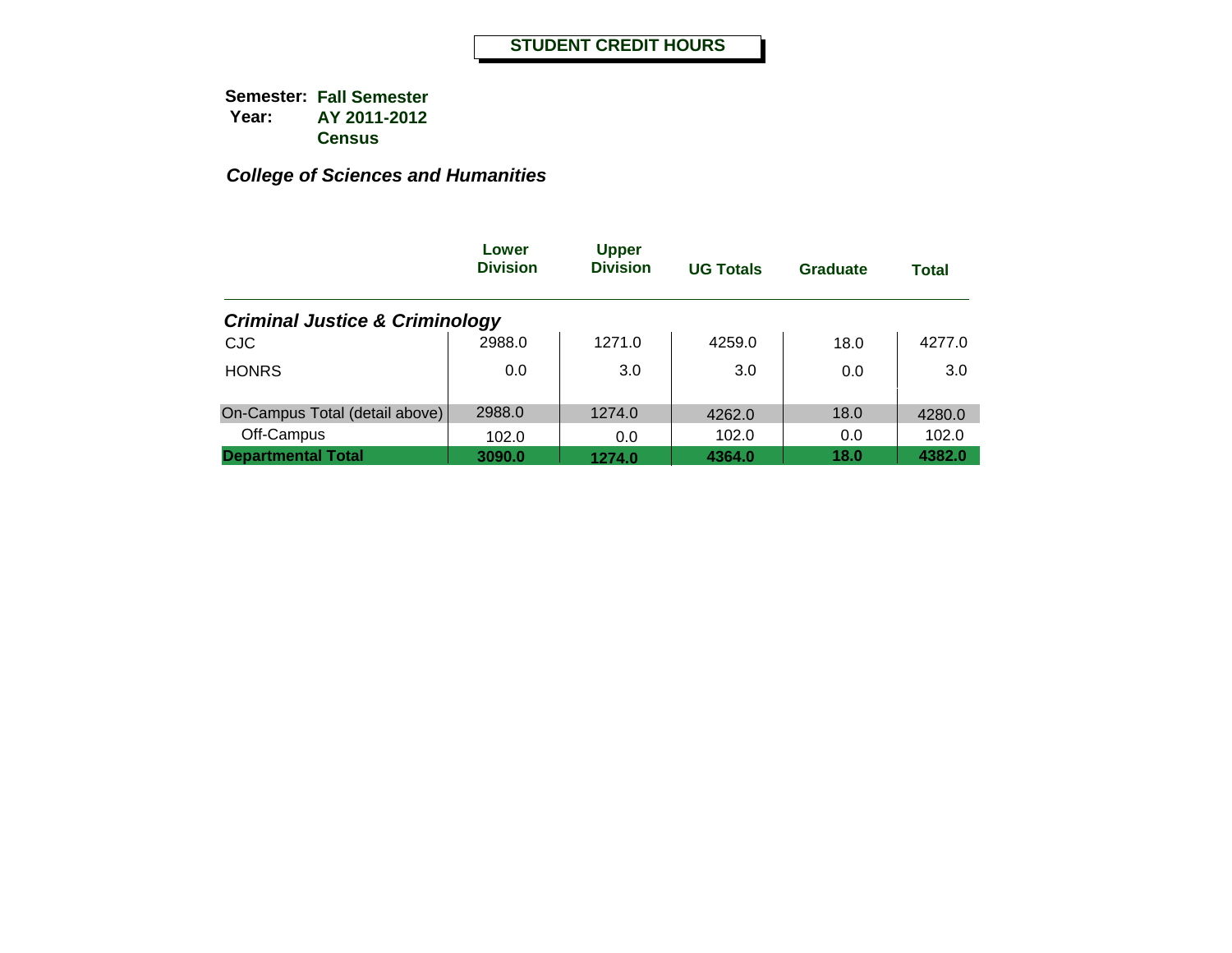|                                           | Lower<br><b>Division</b> | <b>Upper</b><br><b>Division</b> | <b>UG Totals</b> | <b>Graduate</b> | <b>Total</b> |
|-------------------------------------------|--------------------------|---------------------------------|------------------|-----------------|--------------|
| <b>Criminal Justice &amp; Criminology</b> |                          |                                 |                  |                 |              |
| <b>CJC</b>                                | 2988.0                   | 1271.0                          | 4259.0           | 18.0            | 4277.0       |
| <b>HONRS</b>                              | 0.0                      | 3.0                             | 3.0              | 0.0             | 3.0          |
| On-Campus Total (detail above)            | 2988.0                   | 1274.0                          | 4262.0           | 18.0            | 4280.0       |
| Off-Campus                                | 102.0                    | 0.0                             | 102.0            | 0.0             | 102.0        |
| <b>Departmental Total</b>                 | 3090.0                   | 1274.0                          | 4364.0           | 18.0            | 4382.0       |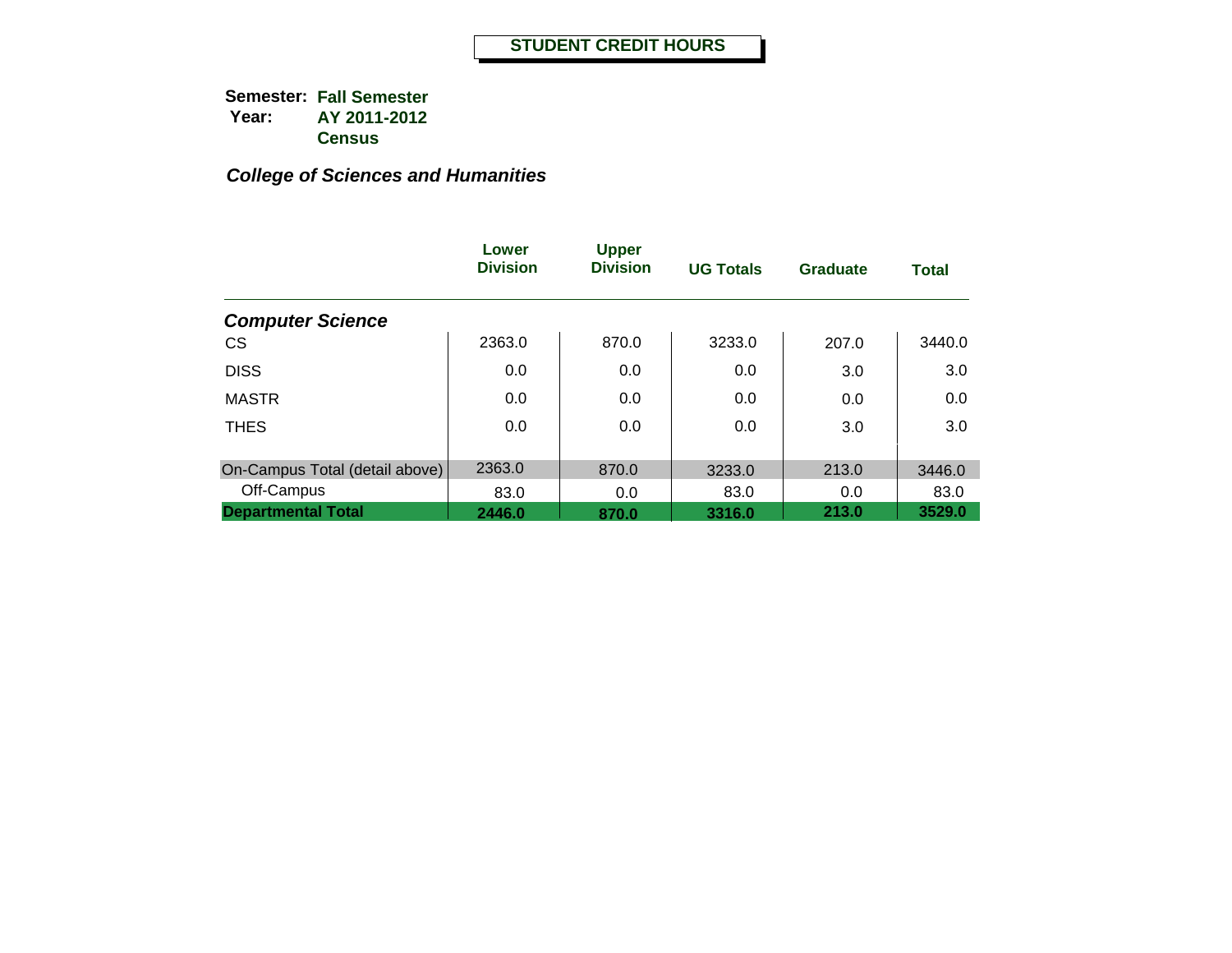|                                | Lower<br><b>Division</b> | <b>Upper</b><br><b>Division</b> | <b>UG Totals</b> | <b>Graduate</b> | <b>Total</b>   |
|--------------------------------|--------------------------|---------------------------------|------------------|-----------------|----------------|
| <b>Computer Science</b>        |                          |                                 |                  |                 |                |
| <b>CS</b>                      | 2363.0                   | 870.0                           | 3233.0           | 207.0           | 3440.0         |
| <b>DISS</b>                    | 0.0                      | 0.0                             | 0.0              | 3.0             | 3.0            |
| <b>MASTR</b>                   | 0.0                      | 0.0                             | 0.0              | 0.0             | 0.0            |
| <b>THES</b>                    | 0.0                      | 0.0                             | 0.0              | 3.0             | 3.0            |
| On-Campus Total (detail above) | 2363.0                   | 870.0                           |                  | 213.0           |                |
| Off-Campus                     | 83.0                     | 0.0                             | 3233.0<br>83.0   | 0.0             | 3446.0<br>83.0 |
| <b>Departmental Total</b>      | 2446.0                   | 870.0                           | 3316.0           | 213.0           | 3529.0         |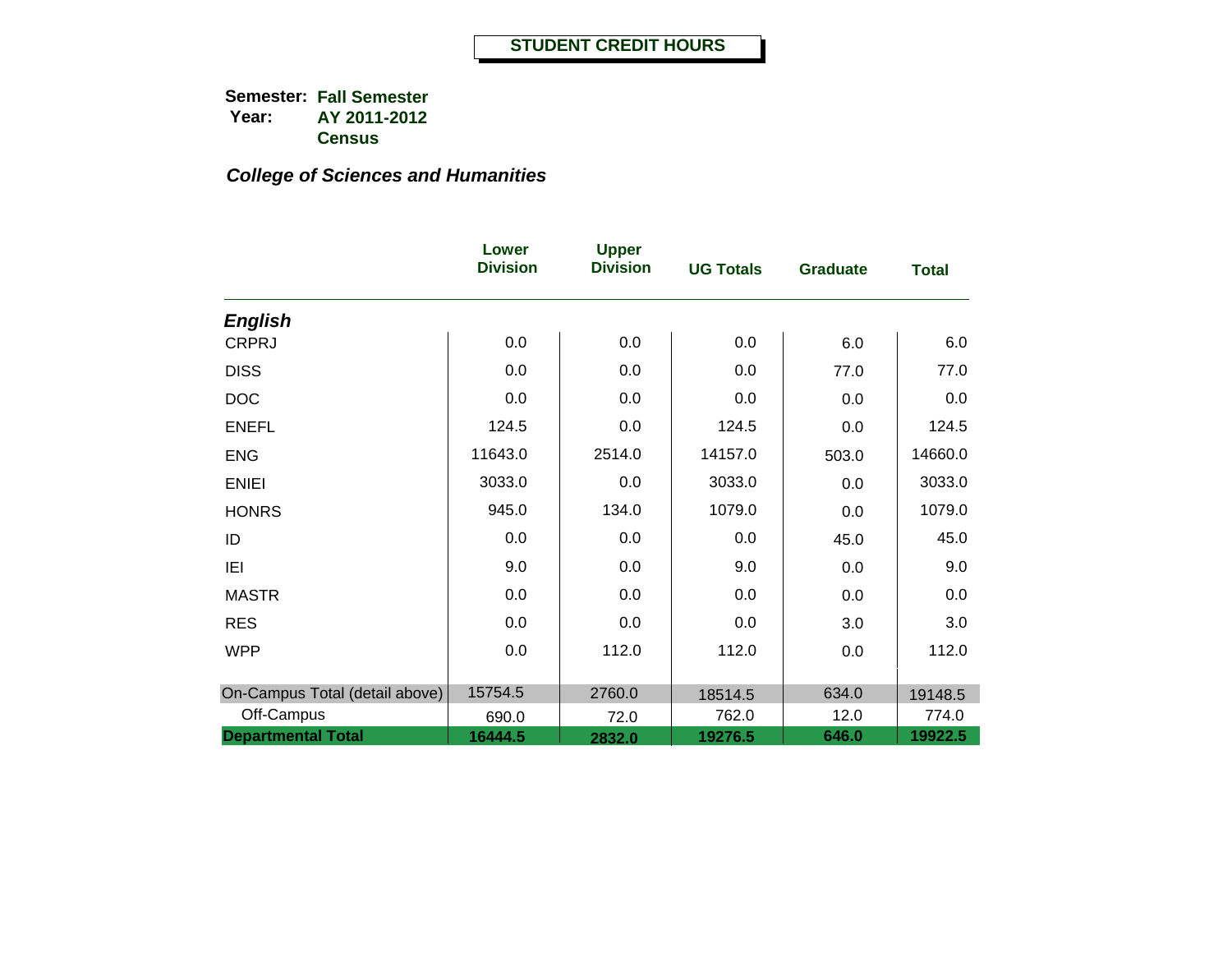|                                | Lower<br><b>Division</b> | <b>Upper</b><br><b>Division</b> | <b>UG Totals</b> | <b>Graduate</b> | <b>Total</b> |
|--------------------------------|--------------------------|---------------------------------|------------------|-----------------|--------------|
| <b>English</b>                 |                          |                                 |                  |                 |              |
| <b>CRPRJ</b>                   | 0.0                      | 0.0                             | 0.0              | 6.0             | 6.0          |
| <b>DISS</b>                    | 0.0                      | 0.0                             | 0.0              | 77.0            | 77.0         |
| <b>DOC</b>                     | 0.0                      | 0.0                             | 0.0              | 0.0             | 0.0          |
| <b>ENEFL</b>                   | 124.5                    | 0.0                             | 124.5            | 0.0             | 124.5        |
| <b>ENG</b>                     | 11643.0                  | 2514.0                          | 14157.0          | 503.0           | 14660.0      |
| <b>ENIEI</b>                   | 3033.0                   | 0.0                             | 3033.0           | 0.0             | 3033.0       |
| <b>HONRS</b>                   | 945.0                    | 134.0                           | 1079.0           | 0.0             | 1079.0       |
| ID                             | 0.0                      | 0.0                             | 0.0              | 45.0            | 45.0         |
| IEI                            | 9.0                      | 0.0                             | 9.0              | 0.0             | 9.0          |
| <b>MASTR</b>                   | 0.0                      | 0.0                             | 0.0              | 0.0             | 0.0          |
| <b>RES</b>                     | 0.0                      | 0.0                             | 0.0              | 3.0             | 3.0          |
| <b>WPP</b>                     | 0.0                      | 112.0                           | 112.0            | 0.0             | 112.0        |
|                                |                          |                                 |                  |                 |              |
| On-Campus Total (detail above) | 15754.5                  | 2760.0                          | 18514.5          | 634.0           | 19148.5      |
| Off-Campus                     | 690.0                    | 72.0                            | 762.0            | 12.0            | 774.0        |
| <b>Departmental Total</b>      | 16444.5                  | 2832.0                          | 19276.5          | 646.0           | 19922.5      |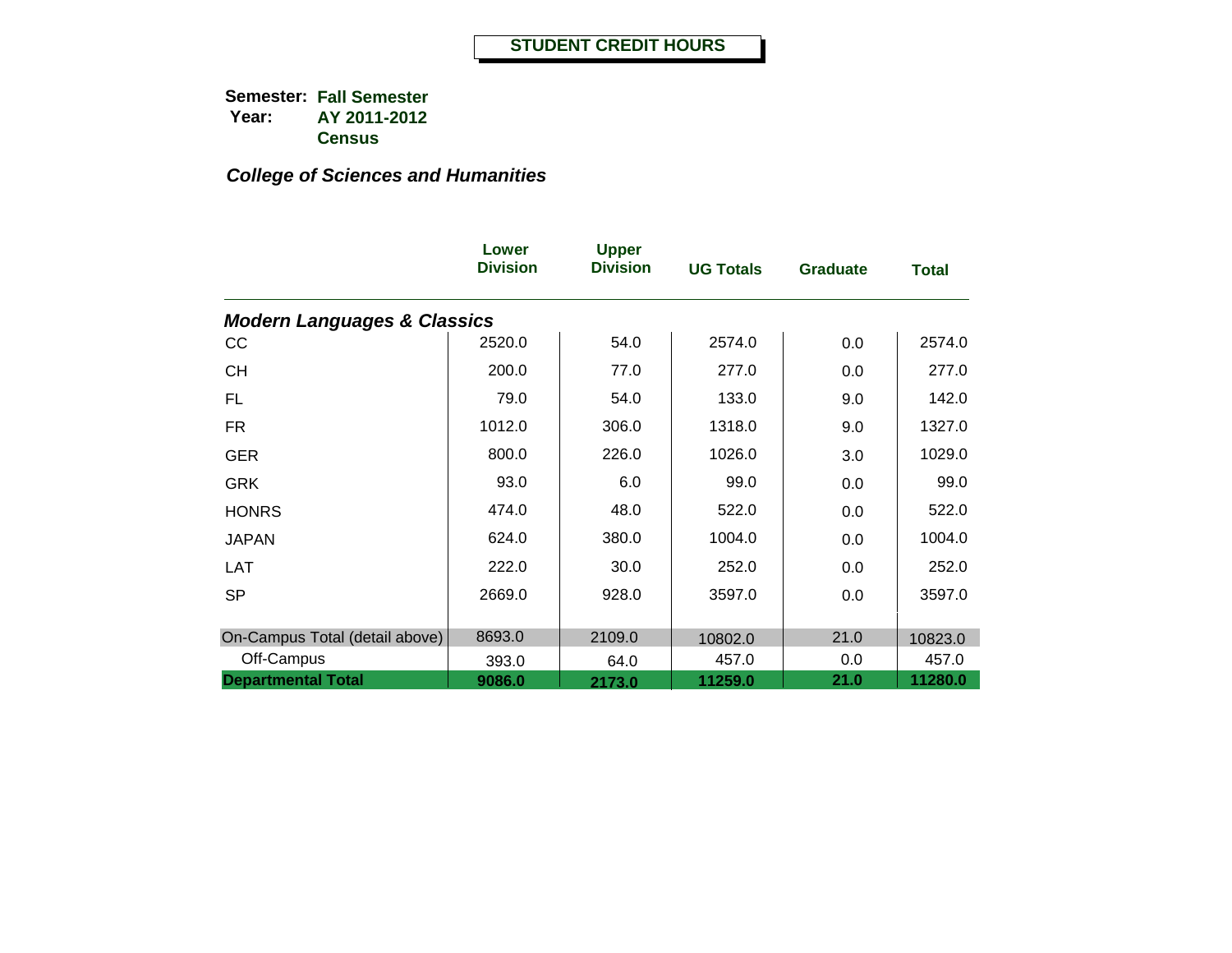|                                        | Lower<br><b>Division</b> | <b>Upper</b><br><b>Division</b> | <b>UG Totals</b> | <b>Graduate</b> | <b>Total</b> |
|----------------------------------------|--------------------------|---------------------------------|------------------|-----------------|--------------|
| <b>Modern Languages &amp; Classics</b> |                          |                                 |                  |                 |              |
| CC                                     | 2520.0                   | 54.0                            | 2574.0           | 0.0             | 2574.0       |
| <b>CH</b>                              | 200.0                    | 77.0                            | 277.0            | 0.0             | 277.0        |
| FL.                                    | 79.0                     | 54.0                            | 133.0            | 9.0             | 142.0        |
| <b>FR</b>                              | 1012.0                   | 306.0                           | 1318.0           | 9.0             | 1327.0       |
| <b>GER</b>                             | 800.0                    | 226.0                           | 1026.0           | 3.0             | 1029.0       |
| <b>GRK</b>                             | 93.0                     | 6.0                             | 99.0             | 0.0             | 99.0         |
| <b>HONRS</b>                           | 474.0                    | 48.0                            | 522.0            | 0.0             | 522.0        |
| <b>JAPAN</b>                           | 624.0                    | 380.0                           | 1004.0           | 0.0             | 1004.0       |
| <b>LAT</b>                             | 222.0                    | 30.0                            | 252.0            | 0.0             | 252.0        |
| <b>SP</b>                              | 2669.0                   | 928.0                           | 3597.0           | 0.0             | 3597.0       |
|                                        |                          |                                 |                  |                 |              |
| On-Campus Total (detail above)         | 8693.0                   | 2109.0                          | 10802.0          | 21.0            | 10823.0      |
| Off-Campus                             | 393.0                    | 64.0                            | 457.0            | 0.0             | 457.0        |
| <b>Departmental Total</b>              | 9086.0                   | 2173.0                          | 11259.0          | 21.0            | 11280.0      |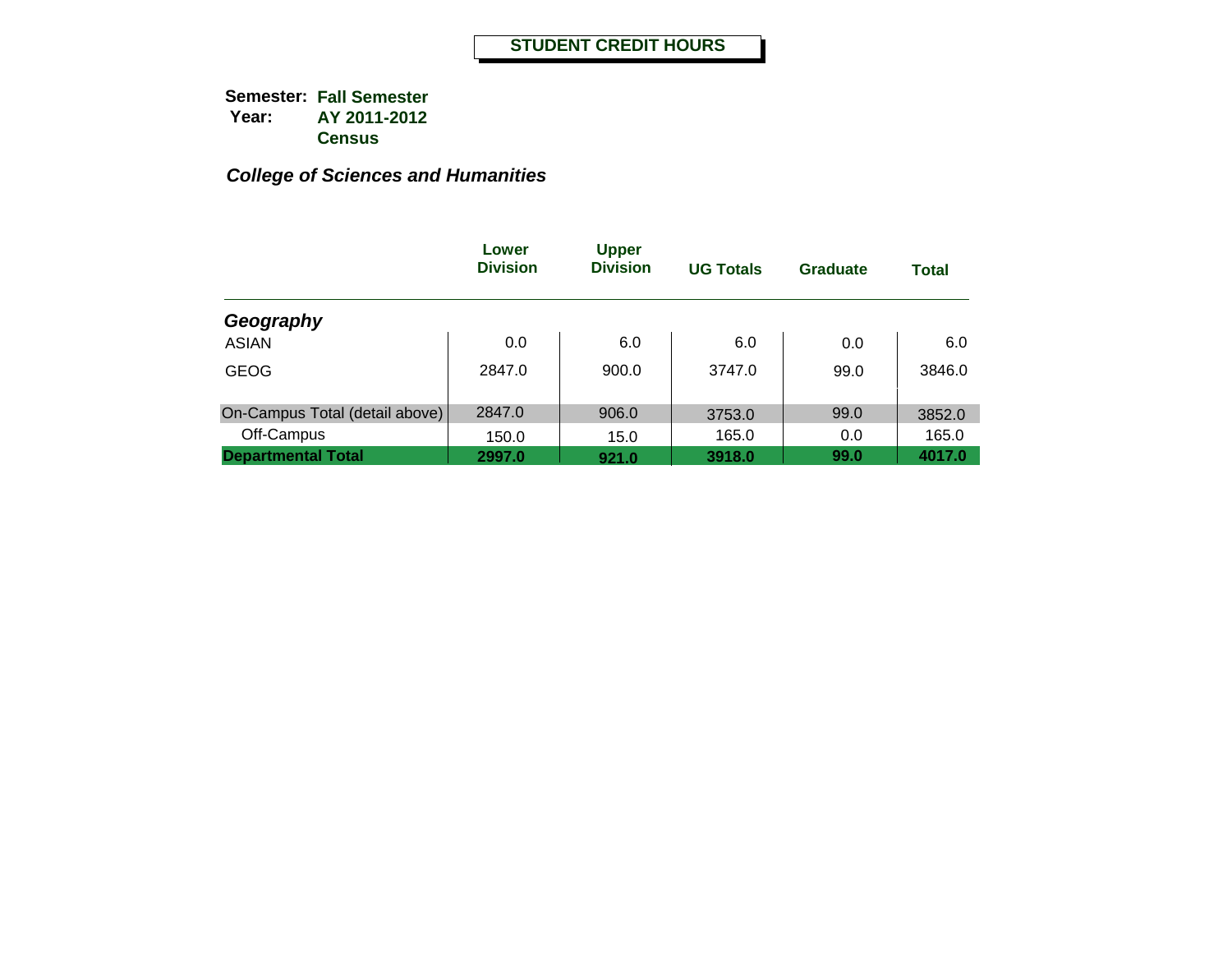|                                | Lower<br><b>Division</b> | <b>Upper</b><br><b>Division</b> | <b>UG Totals</b> | <b>Graduate</b> | <b>Total</b> |
|--------------------------------|--------------------------|---------------------------------|------------------|-----------------|--------------|
| Geography                      |                          |                                 |                  |                 |              |
| <b>ASIAN</b>                   | 0.0                      | 6.0                             | 6.0              | 0.0             | 6.0          |
| <b>GEOG</b>                    | 2847.0                   | 900.0                           | 3747.0           | 99.0            | 3846.0       |
| On-Campus Total (detail above) | 2847.0                   | 906.0                           | 3753.0           | 99.0            | 3852.0       |
| Off-Campus                     | 150.0                    | 15.0                            | 165.0            | 0.0             | 165.0        |
| <b>Departmental Total</b>      | 2997.0                   | 921.0                           | 3918.0           | 99.0            | 4017.0       |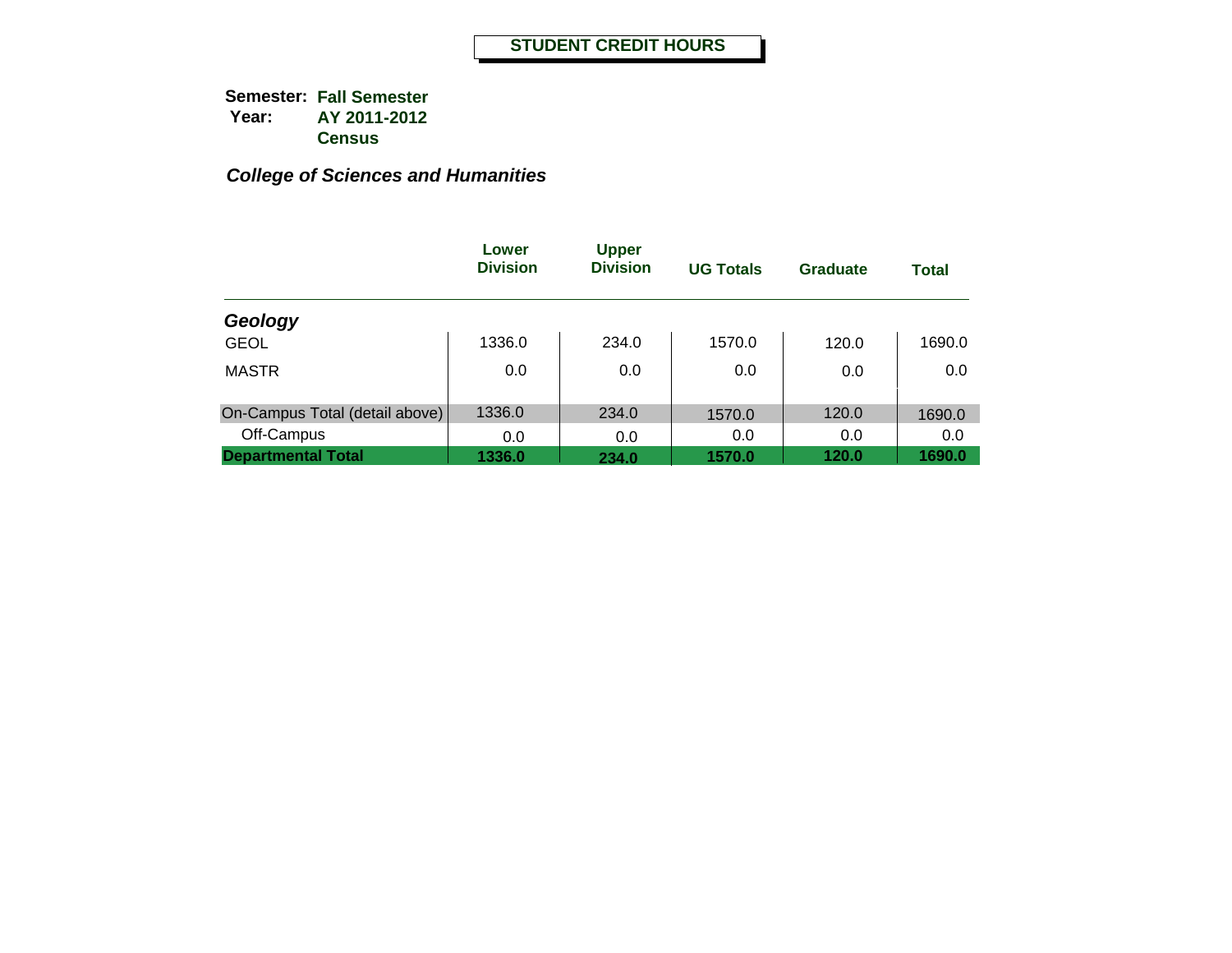|                                | Lower<br><b>Division</b> | <b>Upper</b><br><b>Division</b> | <b>UG Totals</b> | Graduate | <b>Total</b> |
|--------------------------------|--------------------------|---------------------------------|------------------|----------|--------------|
| Geology                        |                          |                                 |                  |          |              |
| <b>GEOL</b>                    | 1336.0                   | 234.0                           | 1570.0           | 120.0    | 1690.0       |
| <b>MASTR</b>                   | 0.0                      | 0.0                             | 0.0              | 0.0      | 0.0          |
| On-Campus Total (detail above) | 1336.0                   | 234.0                           | 1570.0           | 120.0    | 1690.0       |
| Off-Campus                     | 0.0                      | 0.0                             | 0.0              | 0.0      | 0.0          |
| <b>Departmental Total</b>      | 1336.0                   | 234.0                           | 1570.0           | 120.0    | 1690.0       |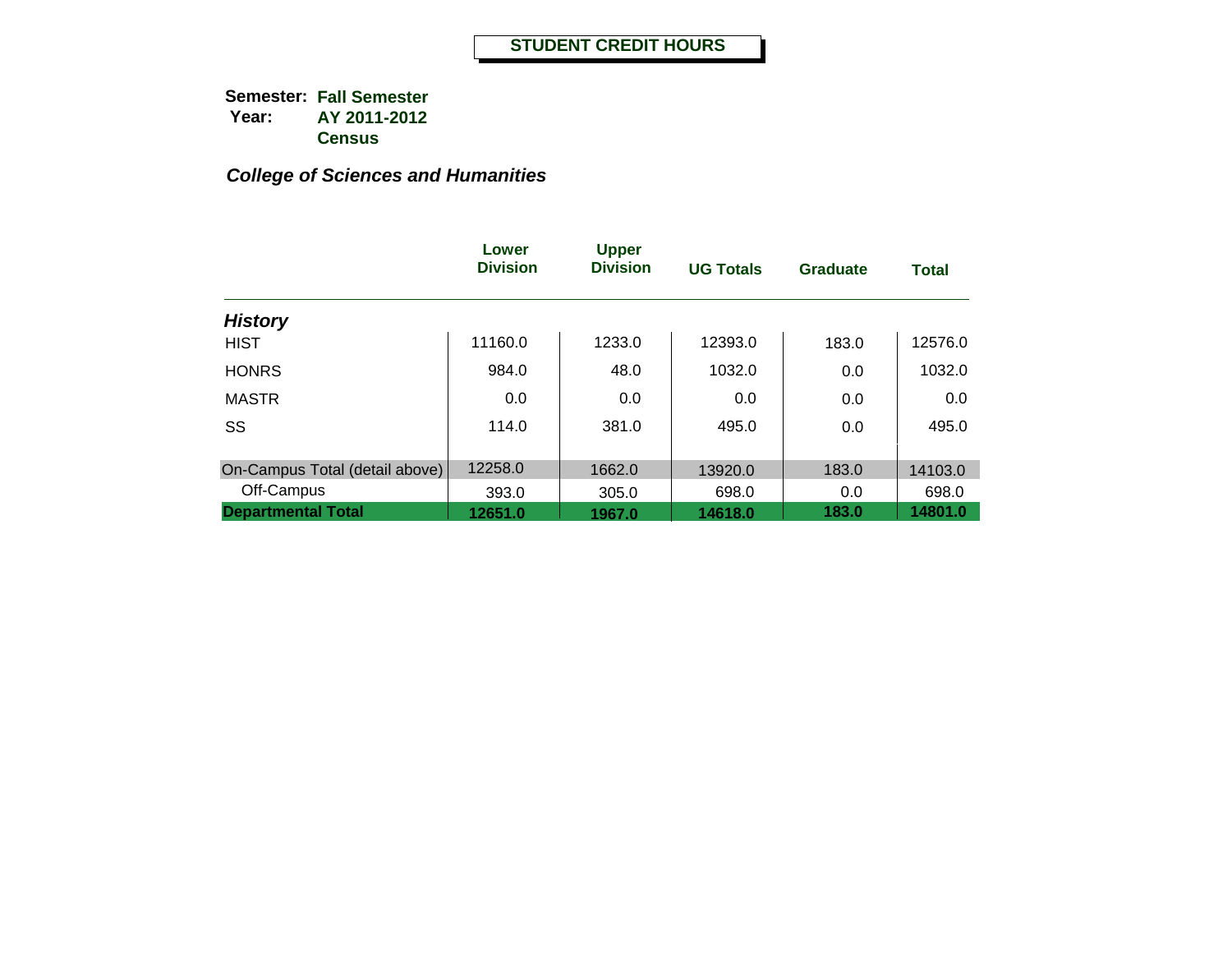|                                | Lower<br><b>Division</b> | <b>Upper</b><br><b>Division</b> | <b>UG Totals</b> | <b>Graduate</b> | <b>Total</b> |
|--------------------------------|--------------------------|---------------------------------|------------------|-----------------|--------------|
| <b>History</b>                 |                          |                                 |                  |                 |              |
| <b>HIST</b>                    | 11160.0                  | 1233.0                          | 12393.0          | 183.0           | 12576.0      |
| <b>HONRS</b>                   | 984.0                    | 48.0                            | 1032.0           | 0.0             | 1032.0       |
| <b>MASTR</b>                   | 0.0                      | 0.0                             | 0.0              | 0.0             | 0.0          |
| SS                             | 114.0                    | 381.0                           | 495.0            | 0.0             | 495.0        |
| On-Campus Total (detail above) | 12258.0                  | 1662.0                          | 13920.0          | 183.0           | 14103.0      |
| Off-Campus                     | 393.0                    | 305.0                           | 698.0            | 0.0             | 698.0        |
| <b>Departmental Total</b>      | 12651.0                  | 1967.0                          | 14618.0          | 183.0           | 14801.0      |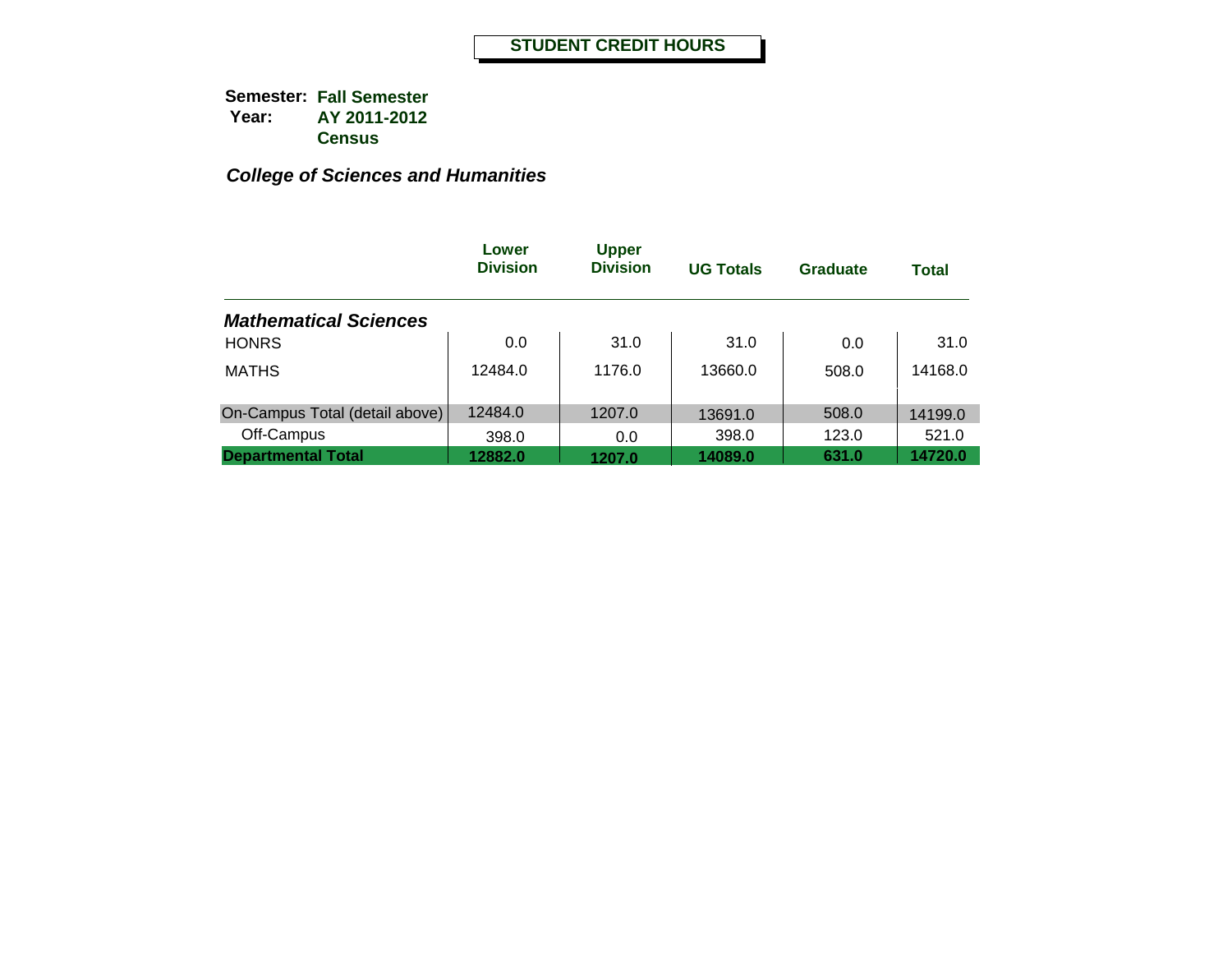|                                | Lower<br><b>Division</b> | <b>Upper</b><br><b>Division</b> | <b>UG Totals</b> | <b>Graduate</b> | <b>Total</b> |
|--------------------------------|--------------------------|---------------------------------|------------------|-----------------|--------------|
| <b>Mathematical Sciences</b>   |                          |                                 |                  |                 |              |
| <b>HONRS</b>                   | 0.0                      | 31.0                            | 31.0             | 0.0             | 31.0         |
| <b>MATHS</b>                   | 12484.0                  | 1176.0                          | 13660.0          | 508.0           | 14168.0      |
| On-Campus Total (detail above) | 12484.0                  | 1207.0                          | 13691.0          | 508.0           | 14199.0      |
| Off-Campus                     | 398.0                    | 0.0                             | 398.0            | 123.0           | 521.0        |
| <b>Departmental Total</b>      | 12882.0                  | 1207.0                          | 14089.0          | 631.0           | 14720.0      |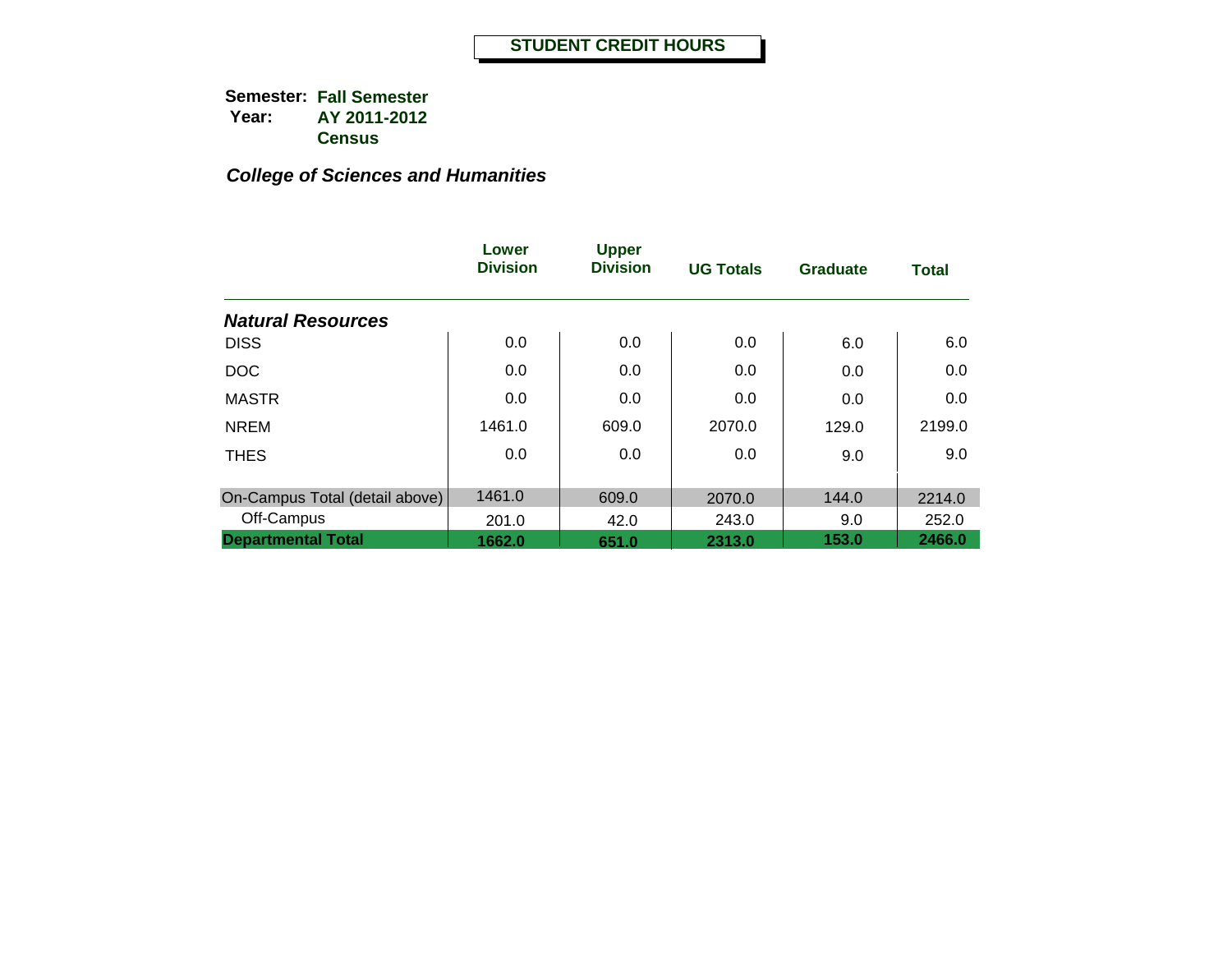|                                | Lower<br><b>Division</b> | <b>Upper</b><br><b>Division</b> | <b>UG Totals</b> | <b>Graduate</b> | <b>Total</b> |
|--------------------------------|--------------------------|---------------------------------|------------------|-----------------|--------------|
| <b>Natural Resources</b>       |                          |                                 |                  |                 |              |
| <b>DISS</b>                    | 0.0                      | 0.0                             | 0.0              | 6.0             | 6.0          |
| <b>DOC</b>                     | 0.0                      | 0.0                             | 0.0              | 0.0             | 0.0          |
| <b>MASTR</b>                   | 0.0                      | 0.0                             | 0.0              | 0.0             | 0.0          |
| <b>NREM</b>                    | 1461.0                   | 609.0                           | 2070.0           | 129.0           | 2199.0       |
| <b>THES</b>                    | 0.0                      | 0.0                             | 0.0              | 9.0             | 9.0          |
| On-Campus Total (detail above) | 1461.0                   | 609.0                           | 2070.0           | 144.0           | 2214.0       |
| Off-Campus                     | 201.0                    | 42.0                            | 243.0            | 9.0             | 252.0        |
| <b>Departmental Total</b>      | 1662.0                   | 651.0                           | 2313.0           | 153.0           | 2466.0       |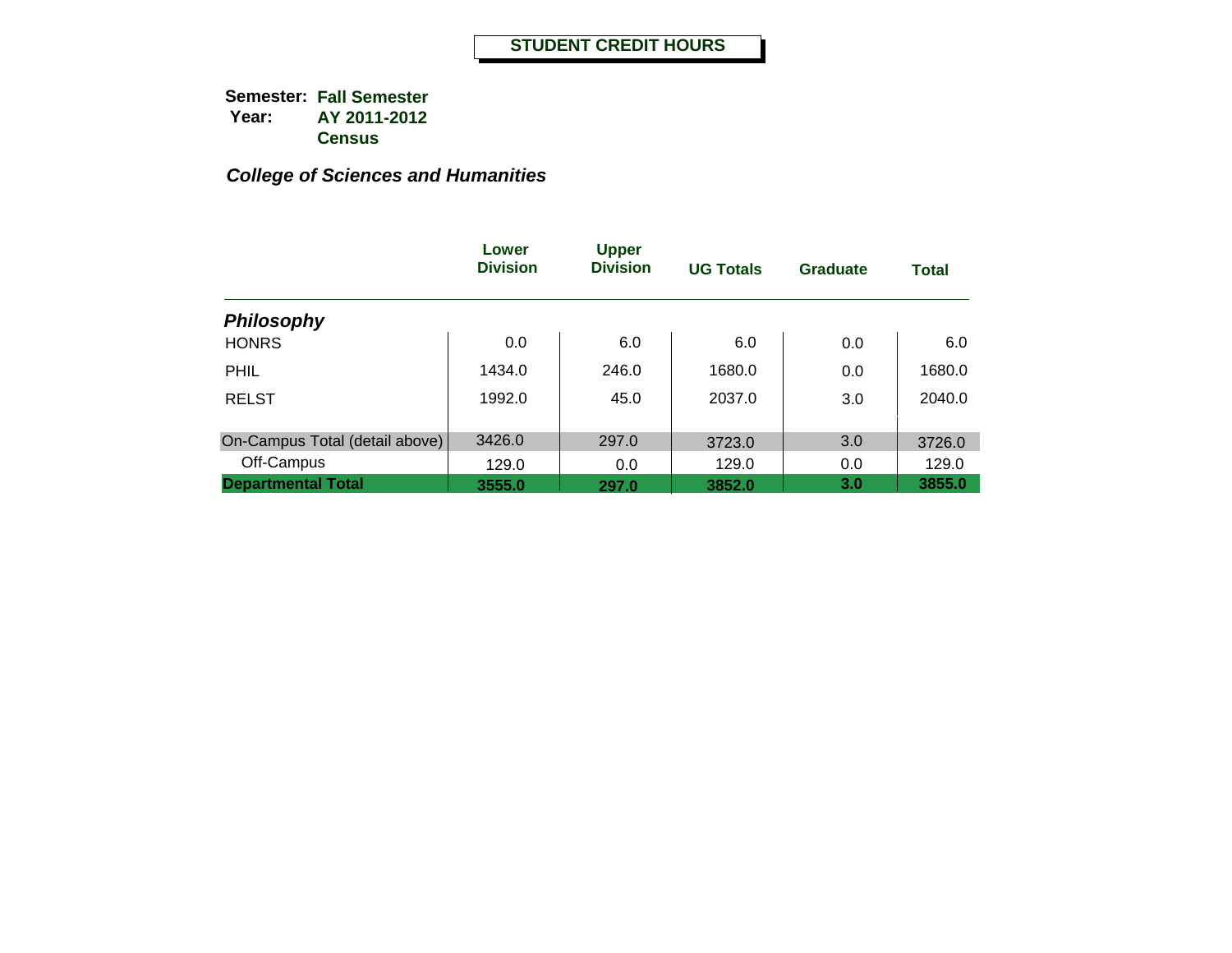|                                | Lower<br><b>Division</b> | <b>Upper</b><br><b>Division</b> | <b>UG Totals</b> | <b>Graduate</b> | <b>Total</b> |
|--------------------------------|--------------------------|---------------------------------|------------------|-----------------|--------------|
| <b>Philosophy</b>              |                          |                                 |                  |                 |              |
| <b>HONRS</b>                   | 0.0                      | 6.0                             | 6.0              | 0.0             | 6.0          |
| <b>PHIL</b>                    | 1434.0                   | 246.0                           | 1680.0           | 0.0             | 1680.0       |
| <b>RELST</b>                   | 1992.0                   | 45.0                            | 2037.0           | 3.0             | 2040.0       |
|                                |                          |                                 |                  |                 |              |
| On-Campus Total (detail above) | 3426.0                   | 297.0                           | 3723.0           | 3.0             | 3726.0       |
| Off-Campus                     | 129.0                    | 0.0                             | 129.0            | 0.0             | 129.0        |
| <b>Departmental Total</b>      | 3555.0                   | 297.0                           | 3852.0           | 3.0             | 3855.0       |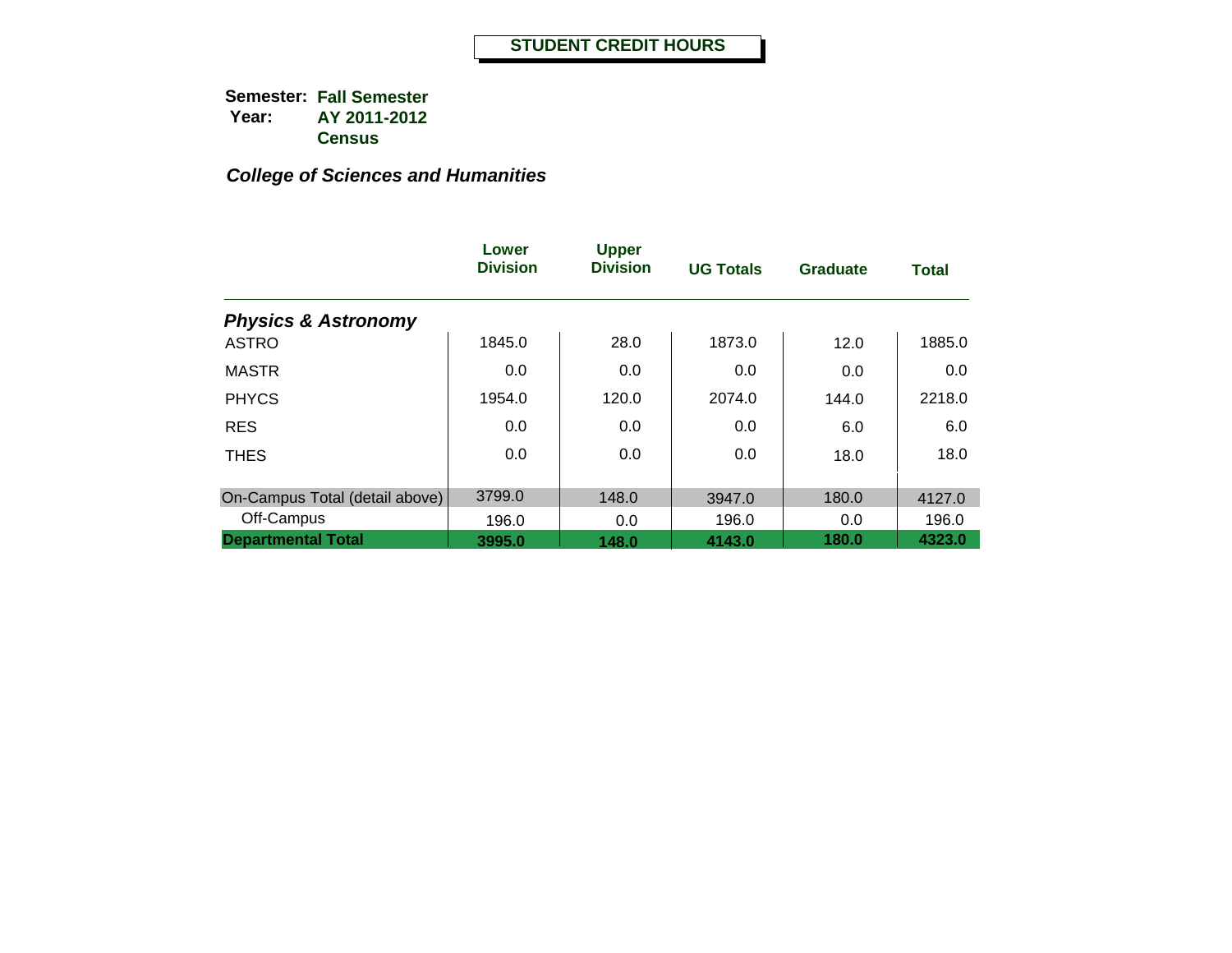|                                | Lower<br><b>Division</b> | <b>Upper</b><br><b>Division</b> | <b>UG Totals</b> | <b>Graduate</b> | <b>Total</b> |
|--------------------------------|--------------------------|---------------------------------|------------------|-----------------|--------------|
| <b>Physics &amp; Astronomy</b> |                          |                                 |                  |                 |              |
| <b>ASTRO</b>                   | 1845.0                   | 28.0                            | 1873.0           | 12.0            | 1885.0       |
| <b>MASTR</b>                   | 0.0                      | 0.0                             | 0.0              | 0.0             | 0.0          |
| <b>PHYCS</b>                   | 1954.0                   | 120.0                           | 2074.0           | 144.0           | 2218.0       |
| <b>RES</b>                     | 0.0                      | 0.0                             | 0.0              | 6.0             | 6.0          |
| <b>THES</b>                    | 0.0                      | 0.0                             | 0.0              | 18.0            | 18.0         |
| On-Campus Total (detail above) | 3799.0                   | 148.0                           | 3947.0           | 180.0           | 4127.0       |
| Off-Campus                     | 196.0                    | 0.0                             | 196.0            | 0.0             | 196.0        |
| <b>Departmental Total</b>      | 3995.0                   | 148.0                           | 4143.0           | 180.0           | 4323.0       |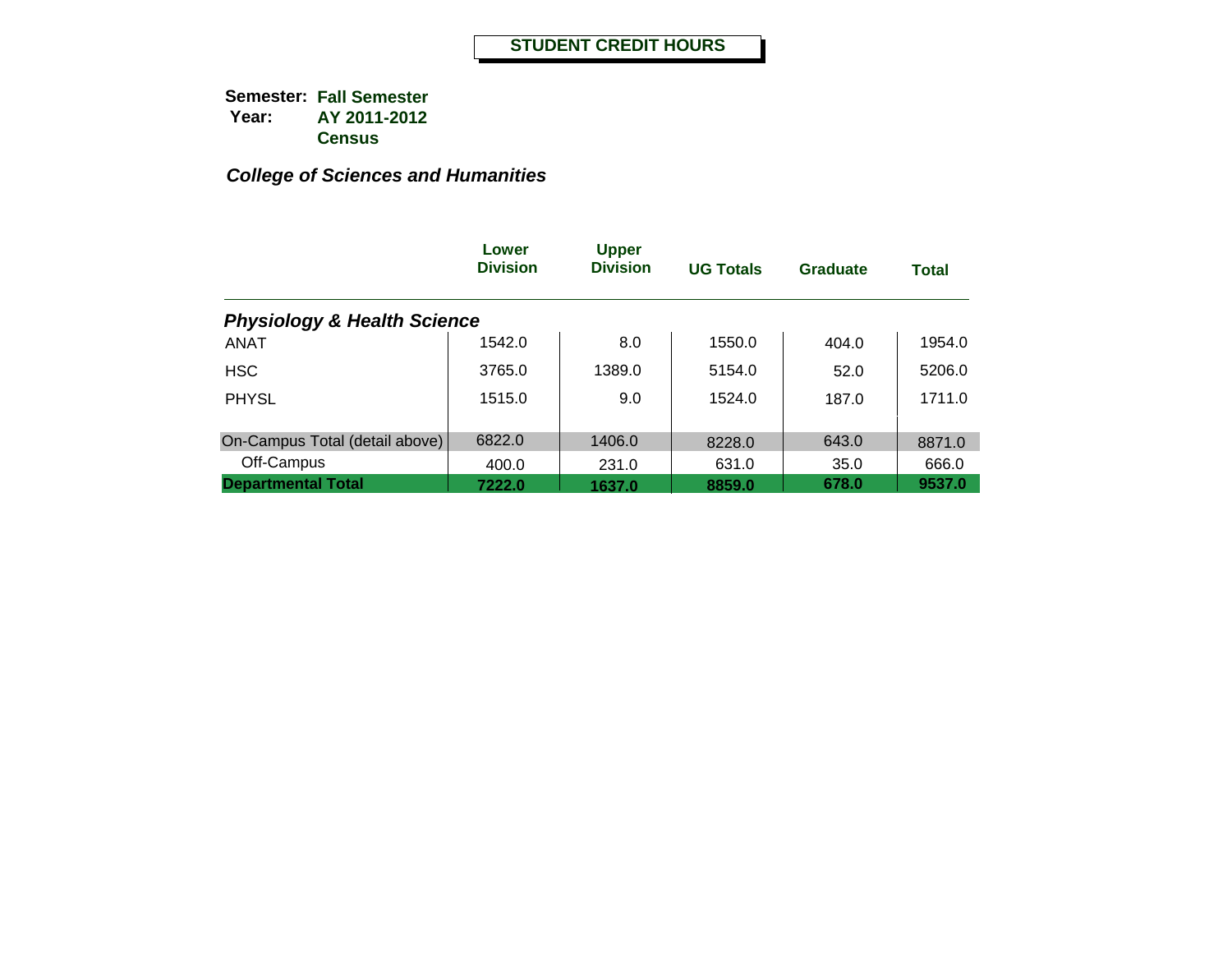|                                        | Lower<br><b>Division</b> | <b>Upper</b><br><b>Division</b> | <b>UG Totals</b> | Graduate | <b>Total</b> |
|----------------------------------------|--------------------------|---------------------------------|------------------|----------|--------------|
| <b>Physiology &amp; Health Science</b> |                          |                                 |                  |          |              |
| <b>ANAT</b>                            | 1542.0                   | 8.0                             | 1550.0           | 404.0    | 1954.0       |
| <b>HSC</b>                             | 3765.0                   | 1389.0                          | 5154.0           | 52.0     | 5206.0       |
| <b>PHYSL</b>                           | 1515.0                   | 9.0                             | 1524.0           | 187.0    | 1711.0       |
|                                        |                          |                                 |                  |          |              |
| On-Campus Total (detail above)         | 6822.0                   | 1406.0                          | 8228.0           | 643.0    | 8871.0       |
| Off-Campus                             | 400.0                    | 231.0                           | 631.0            | 35.0     | 666.0        |
| <b>Departmental Total</b>              | 7222.0                   | 1637.0                          | 8859.0           | 678.0    | 9537.0       |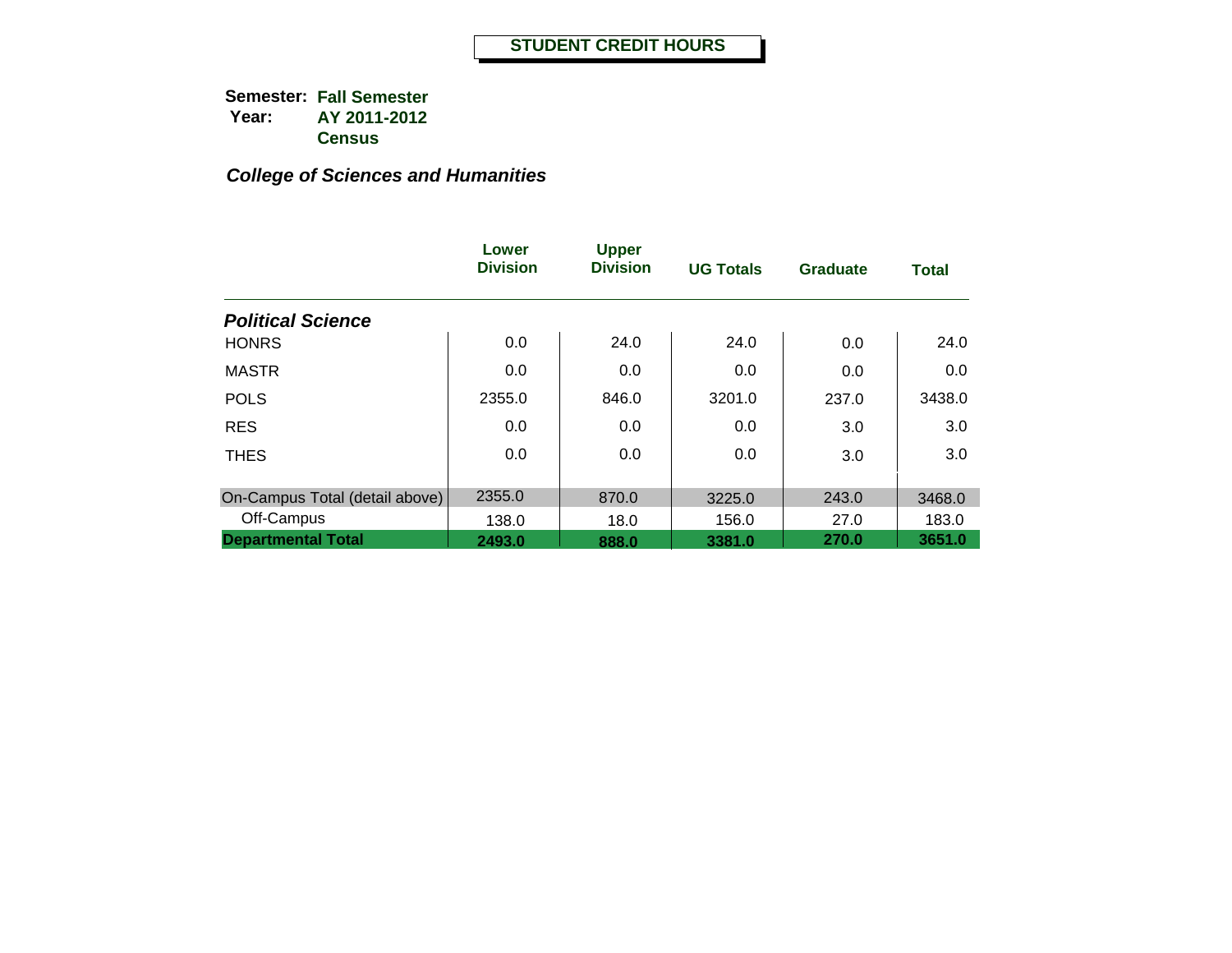|                                | Lower<br><b>Division</b> | <b>Upper</b><br><b>Division</b> | <b>UG Totals</b> | <b>Graduate</b> | <b>Total</b> |
|--------------------------------|--------------------------|---------------------------------|------------------|-----------------|--------------|
| <b>Political Science</b>       |                          |                                 |                  |                 |              |
| <b>HONRS</b>                   | 0.0                      | 24.0                            | 24.0             | 0.0             | 24.0         |
| <b>MASTR</b>                   | 0.0                      | 0.0                             | 0.0              | 0.0             | 0.0          |
| <b>POLS</b>                    | 2355.0                   | 846.0                           | 3201.0           | 237.0           | 3438.0       |
| <b>RES</b>                     | 0.0                      | 0.0                             | $0.0\,$          | 3.0             | 3.0          |
| <b>THES</b>                    | 0.0                      | 0.0                             | 0.0              | 3.0             | 3.0          |
| On-Campus Total (detail above) | 2355.0                   | 870.0                           | 3225.0           | 243.0           | 3468.0       |
| Off-Campus                     | 138.0                    | 18.0                            | 156.0            | 27.0            | 183.0        |
| <b>Departmental Total</b>      | 2493.0                   | 888.0                           | 3381.0           | 270.0           | 3651.0       |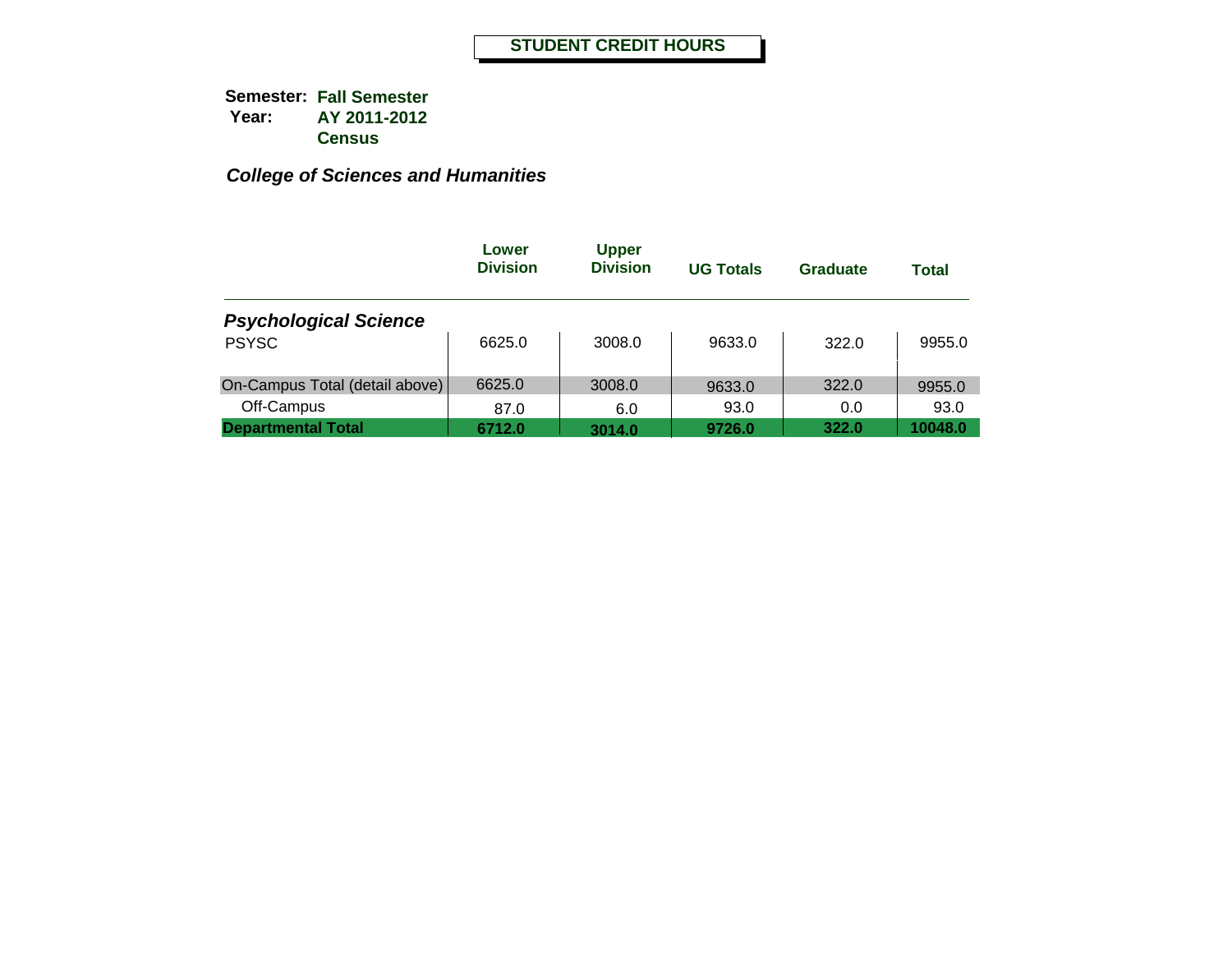|                                | Lower<br><b>Division</b> | <b>Upper</b><br><b>Division</b> | <b>UG Totals</b> | Graduate | Total   |
|--------------------------------|--------------------------|---------------------------------|------------------|----------|---------|
| <b>Psychological Science</b>   |                          |                                 |                  |          |         |
| <b>PSYSC</b>                   | 6625.0                   | 3008.0                          | 9633.0           | 322.0    | 9955.0  |
| On-Campus Total (detail above) | 6625.0                   | 3008.0                          | 9633.0           | 322.0    | 9955.0  |
| Off-Campus                     | 87.0                     | 6.0                             | 93.0             | 0.0      | 93.0    |
| <b>Departmental Total</b>      | 6712.0                   | 3014.0                          | 9726.0           | 322.0    | 10048.0 |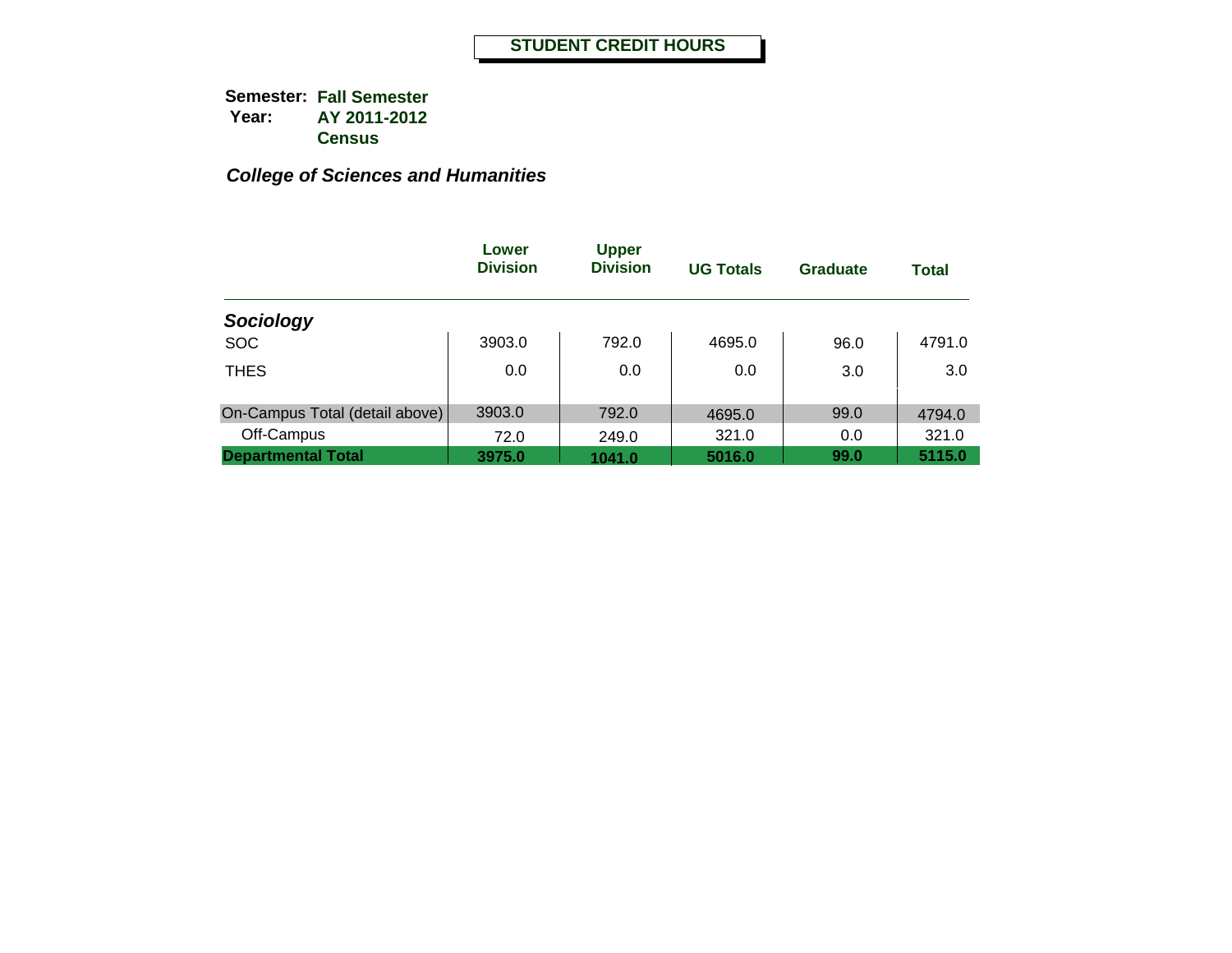|                                | Lower<br><b>Division</b> | <b>Upper</b><br><b>Division</b> | <b>UG Totals</b> | Graduate | <b>Total</b> |
|--------------------------------|--------------------------|---------------------------------|------------------|----------|--------------|
| Sociology                      |                          |                                 |                  |          |              |
| <b>SOC</b>                     | 3903.0                   | 792.0                           | 4695.0           | 96.0     | 4791.0       |
| <b>THES</b>                    | 0.0                      | 0.0                             | 0.0              | 3.0      | 3.0          |
| On-Campus Total (detail above) | 3903.0                   | 792.0                           | 4695.0           | 99.0     | 4794.0       |
| Off-Campus                     | 72.0                     | 249.0                           | 321.0            | 0.0      | 321.0        |
| <b>Departmental Total</b>      | 3975.0                   | 1041.0                          | 5016.0           | 99.0     | 5115.0       |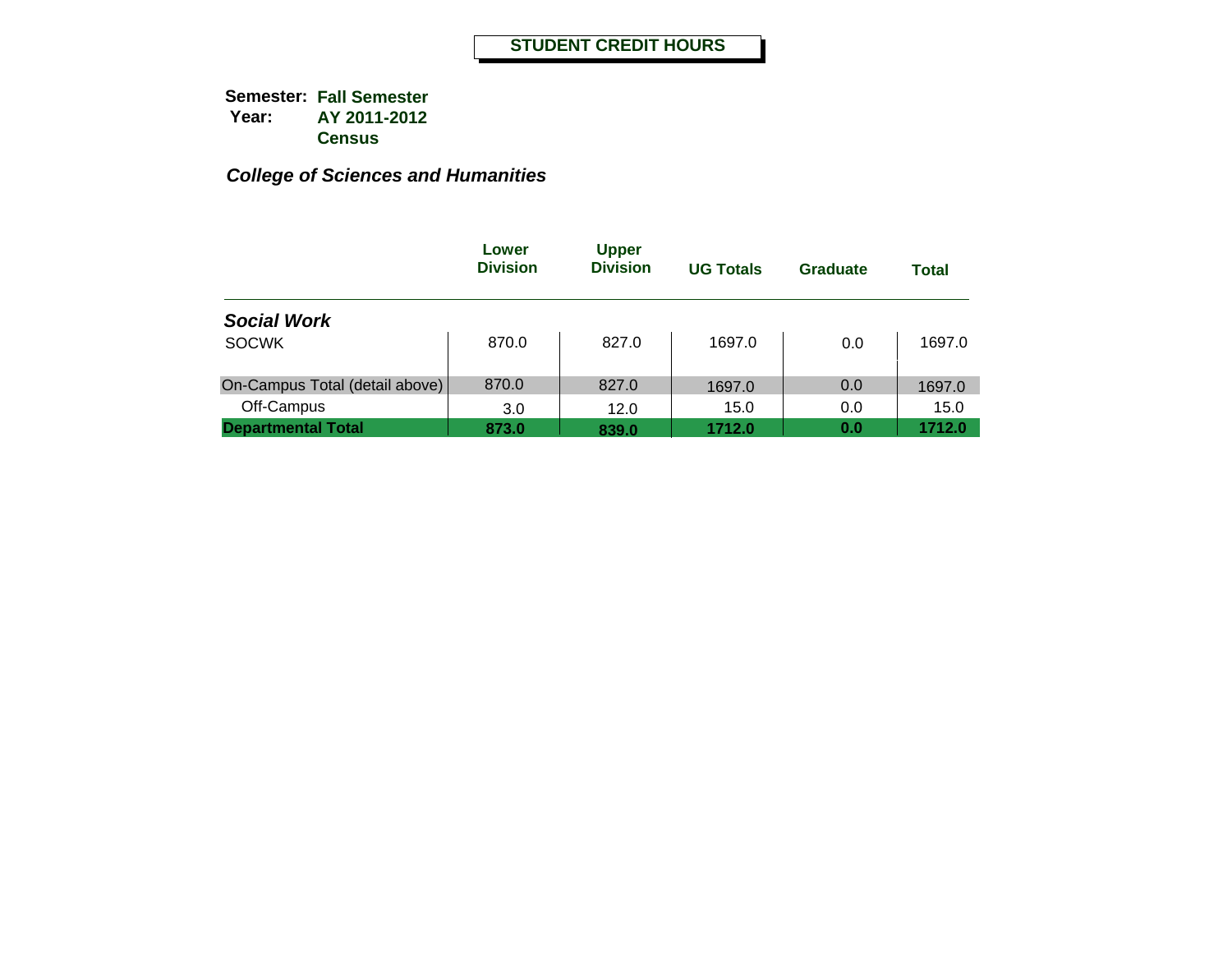|                                | Lower<br><b>Division</b> | <b>Upper</b><br><b>Division</b> | <b>UG Totals</b> | Graduate | <b>Total</b> |
|--------------------------------|--------------------------|---------------------------------|------------------|----------|--------------|
| <b>Social Work</b>             |                          |                                 |                  |          |              |
| <b>SOCWK</b>                   | 870.0                    | 827.0                           | 1697.0           | 0.0      | 1697.0       |
| On-Campus Total (detail above) | 870.0                    | 827.0                           | 1697.0           | 0.0      | 1697.0       |
| Off-Campus                     | 3.0                      | 12.0                            | 15.0             | 0.0      | 15.0         |
| <b>Departmental Total</b>      | 873.0                    | 839.0                           | 1712.0           | 0.0      | 1712.0       |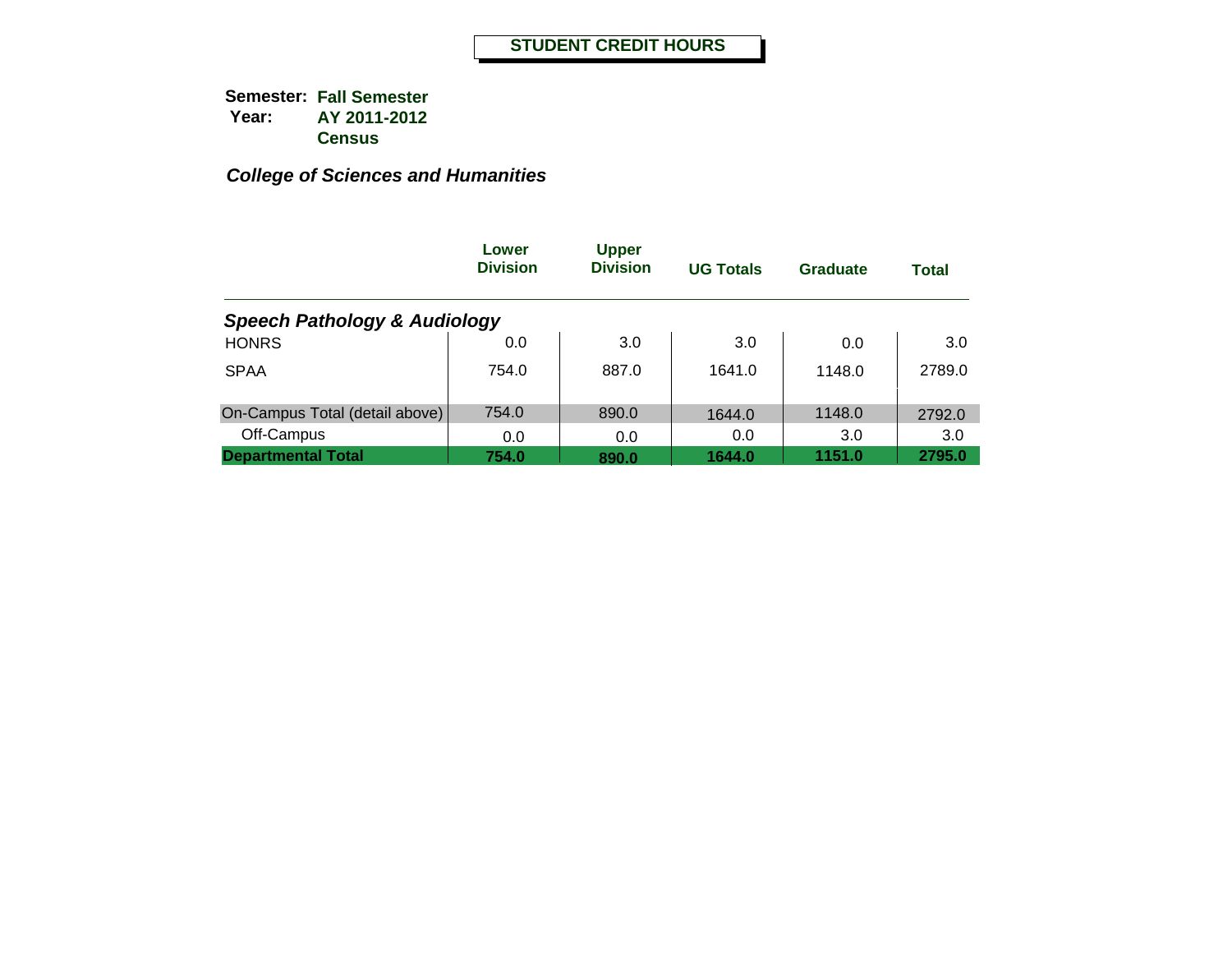|                                         | Lower<br><b>Division</b> | <b>Upper</b><br><b>Division</b> | <b>UG Totals</b> | <b>Graduate</b> | <b>Total</b> |
|-----------------------------------------|--------------------------|---------------------------------|------------------|-----------------|--------------|
| <b>Speech Pathology &amp; Audiology</b> |                          |                                 |                  |                 |              |
| <b>HONRS</b>                            | 0.0                      | 3.0                             | 3.0              | 0.0             | 3.0          |
| <b>SPAA</b>                             | 754.0                    | 887.0                           | 1641.0           | 1148.0          | 2789.0       |
| On-Campus Total (detail above)          | 754.0                    | 890.0                           | 1644.0           | 1148.0          | 2792.0       |
| Off-Campus                              | 0.0                      | 0.0                             | 0.0              | 3.0             | 3.0          |
| <b>Departmental Total</b>               | 754.0                    | 890.0                           | 1644.0           | 1151.0          | 2795.0       |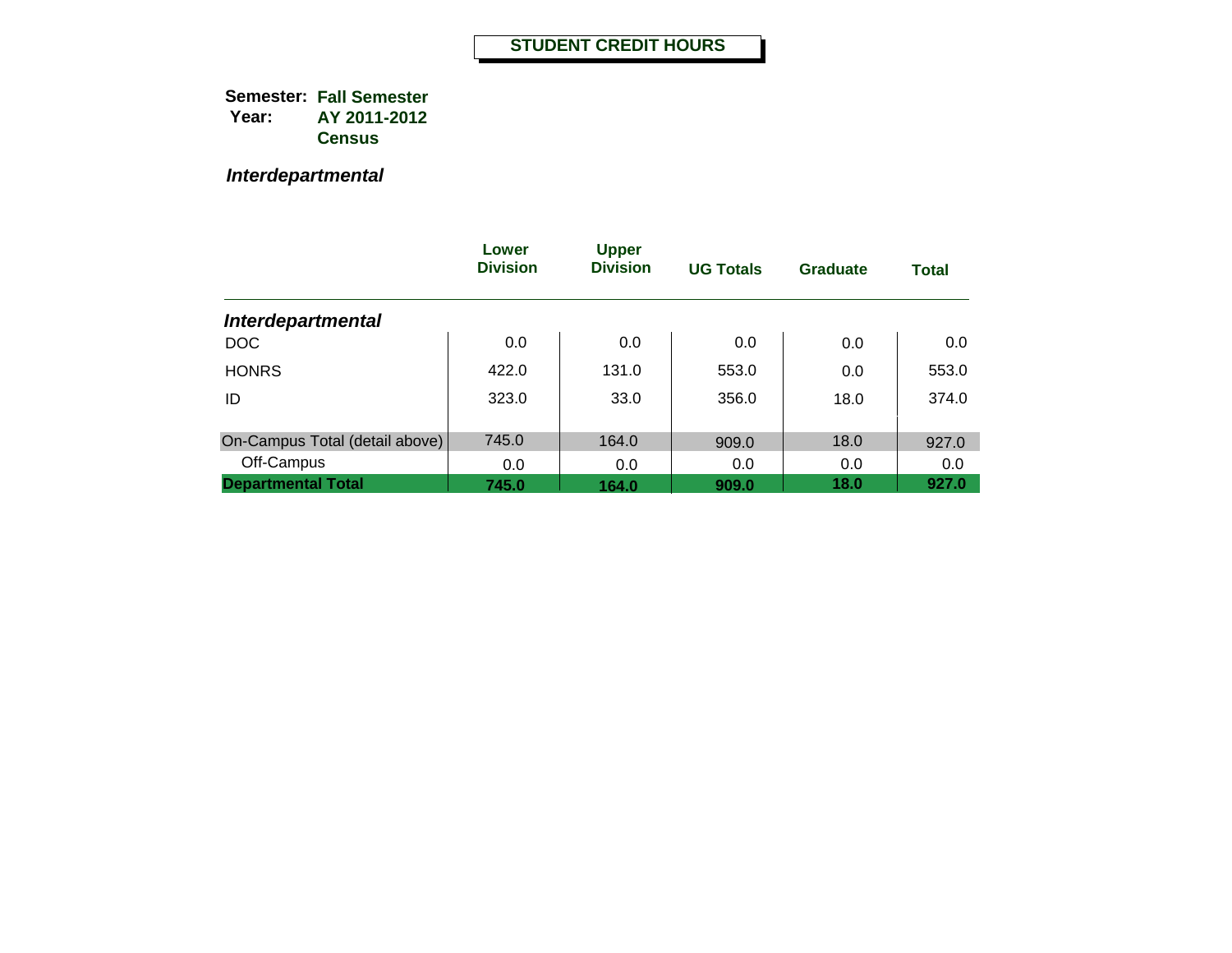*Interdepartmental*

|                                | Lower<br><b>Division</b> | <b>Upper</b><br><b>Division</b> | <b>UG Totals</b> | Graduate | <b>Total</b> |
|--------------------------------|--------------------------|---------------------------------|------------------|----------|--------------|
| <b>Interdepartmental</b>       |                          |                                 |                  |          |              |
| <b>DOC</b>                     | 0.0                      | 0.0                             | 0.0              | 0.0      | 0.0          |
| <b>HONRS</b>                   | 422.0                    | 131.0                           | 553.0            | 0.0      | 553.0        |
| ID                             | 323.0                    | 33.0                            | 356.0            | 18.0     | 374.0        |
|                                |                          |                                 |                  |          |              |
| On-Campus Total (detail above) | 745.0                    | 164.0                           | 909.0            | 18.0     | 927.0        |
| Off-Campus                     | 0.0                      | 0.0                             | 0.0              | 0.0      | 0.0          |
| <b>Departmental Total</b>      | 745.0                    | 164.0                           | 909.0            | 18.0     | 927.0        |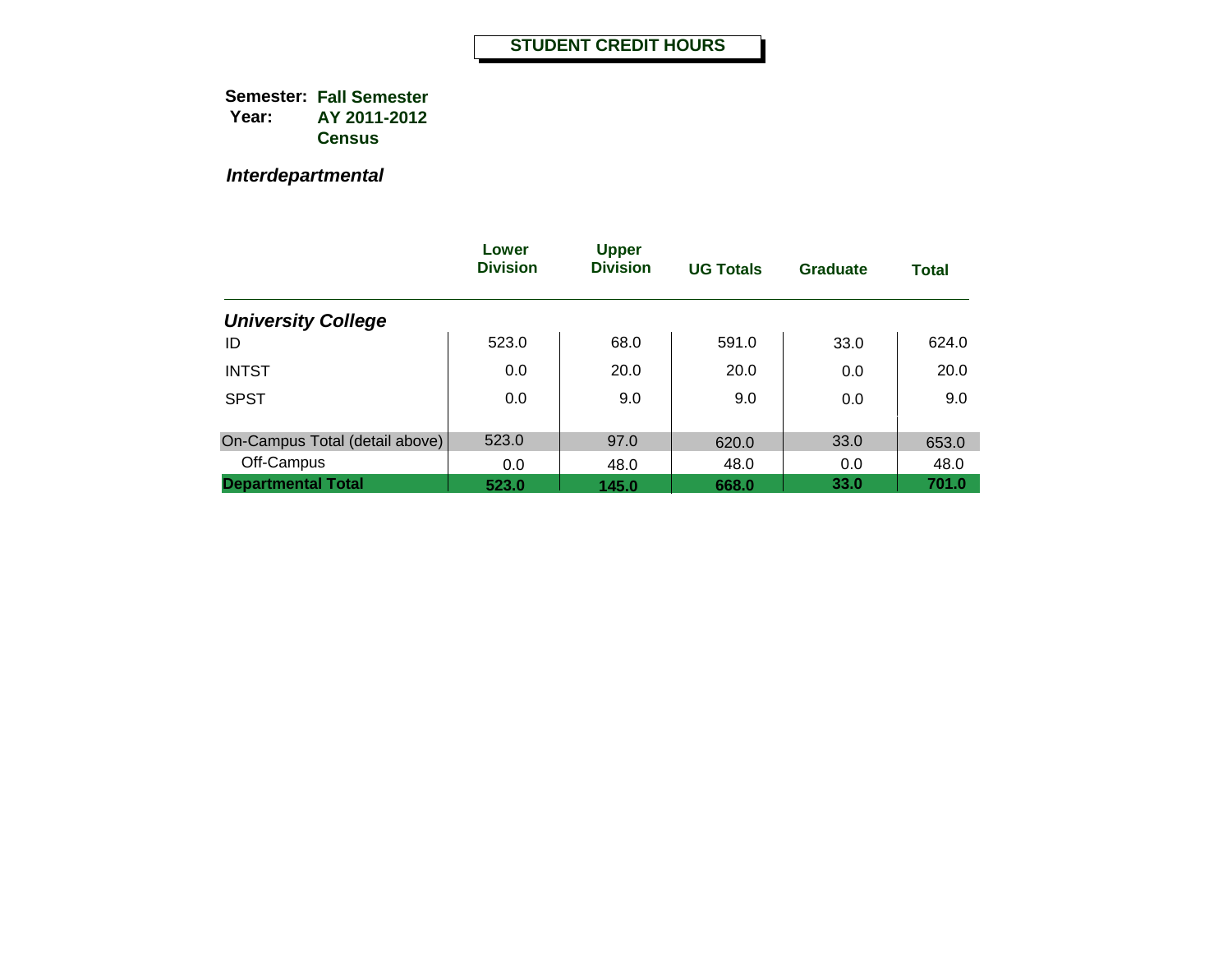*Interdepartmental*

|                                | Lower<br><b>Division</b> | <b>Upper</b><br><b>Division</b> | <b>UG Totals</b> | Graduate | <b>Total</b> |
|--------------------------------|--------------------------|---------------------------------|------------------|----------|--------------|
| <b>University College</b>      |                          |                                 |                  |          |              |
| ID                             | 523.0                    | 68.0                            | 591.0            | 33.0     | 624.0        |
| <b>INTST</b>                   | 0.0                      | 20.0                            | 20.0             | 0.0      | 20.0         |
| <b>SPST</b>                    | 0.0                      | 9.0                             | 9.0              | 0.0      | 9.0          |
|                                |                          |                                 |                  |          |              |
| On-Campus Total (detail above) | 523.0                    | 97.0                            | 620.0            | 33.0     | 653.0        |
| Off-Campus                     | 0.0                      | 48.0                            | 48.0             | 0.0      | 48.0         |
| <b>Departmental Total</b>      | 523.0                    | 145.0                           | 668.0            | 33.0     | 701.0        |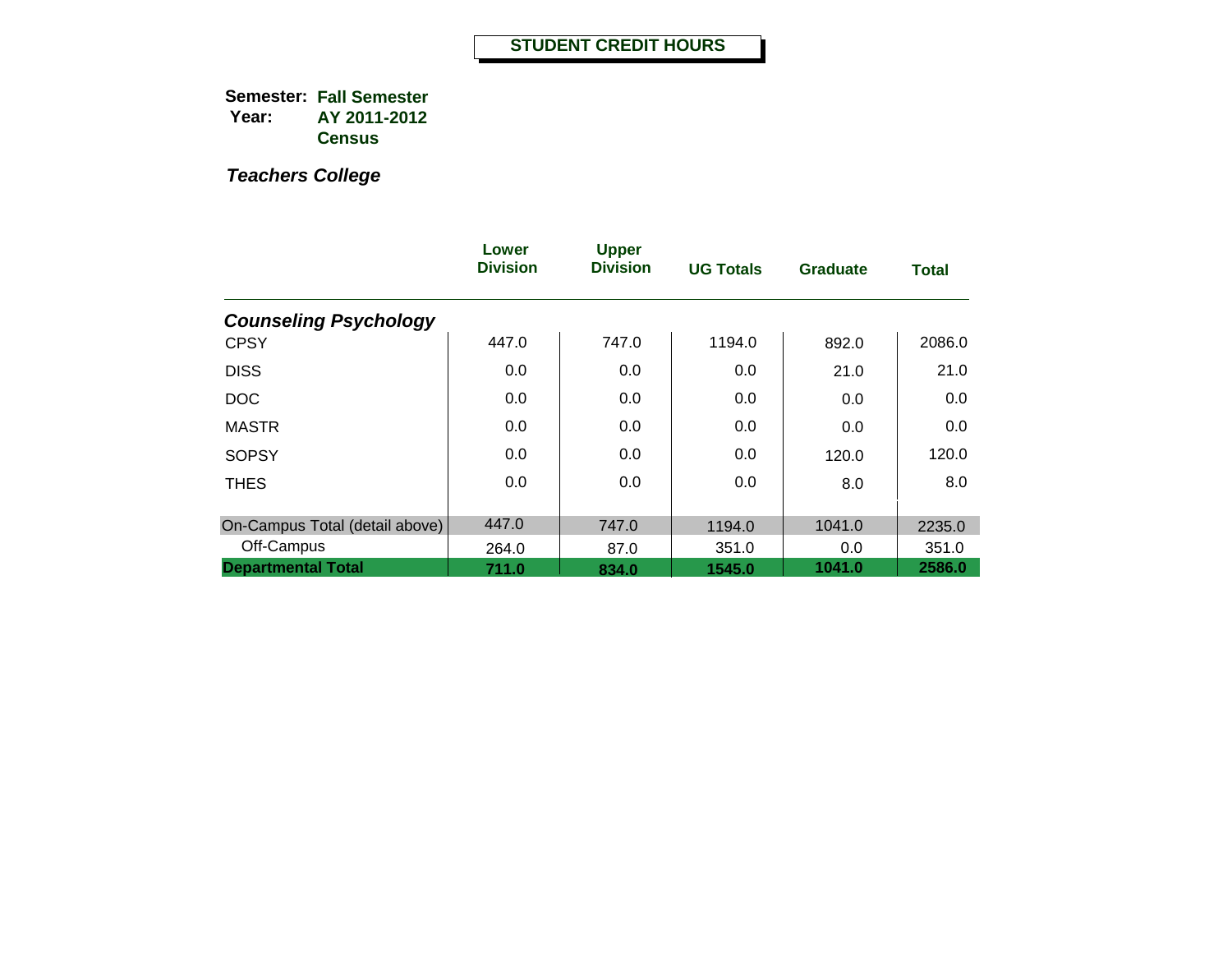|                                | Lower<br><b>Division</b> | <b>Upper</b><br><b>Division</b> | <b>UG Totals</b> | <b>Graduate</b> | <b>Total</b> |
|--------------------------------|--------------------------|---------------------------------|------------------|-----------------|--------------|
| <b>Counseling Psychology</b>   |                          |                                 |                  |                 |              |
| <b>CPSY</b>                    | 447.0                    | 747.0                           | 1194.0           | 892.0           | 2086.0       |
| <b>DISS</b>                    | 0.0                      | 0.0                             | 0.0              | 21.0            | 21.0         |
| <b>DOC</b>                     | 0.0                      | 0.0                             | 0.0              | 0.0             | 0.0          |
| <b>MASTR</b>                   | 0.0                      | 0.0                             | 0.0              | 0.0             | 0.0          |
| <b>SOPSY</b>                   | 0.0                      | 0.0                             | 0.0              | 120.0           | 120.0        |
| <b>THES</b>                    | 0.0                      | 0.0                             | 0.0              | 8.0             | 8.0          |
| On-Campus Total (detail above) | 447.0                    | 747.0                           | 1194.0           | 1041.0          | 2235.0       |
| Off-Campus                     | 264.0                    | 87.0                            | 351.0            | 0.0             | 351.0        |
| <b>Departmental Total</b>      | 711.0                    | 834.0                           | 1545.0           | 1041.0          | 2586.0       |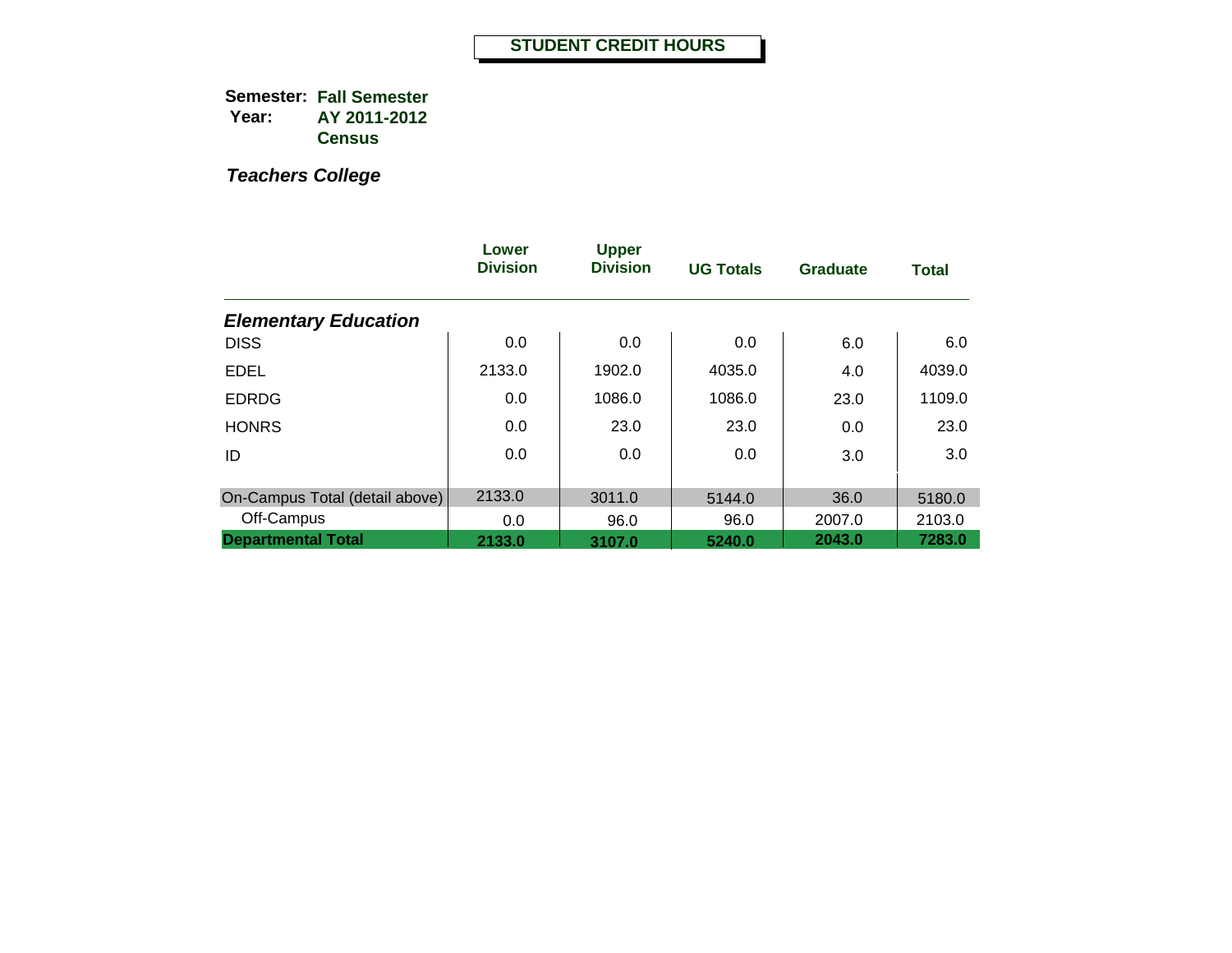|                                | Lower<br><b>Division</b> | <b>Upper</b><br><b>Division</b> | <b>UG Totals</b> | <b>Graduate</b> | <b>Total</b> |
|--------------------------------|--------------------------|---------------------------------|------------------|-----------------|--------------|
| <b>Elementary Education</b>    |                          |                                 |                  |                 |              |
| <b>DISS</b>                    | 0.0                      | 0.0                             | 0.0              | 6.0             | 6.0          |
| <b>EDEL</b>                    | 2133.0                   | 1902.0                          | 4035.0           | 4.0             | 4039.0       |
| <b>EDRDG</b>                   | 0.0                      | 1086.0                          | 1086.0           | 23.0            | 1109.0       |
| <b>HONRS</b>                   | 0.0                      | 23.0                            | 23.0             | 0.0             | 23.0         |
| ID                             | 0.0                      | 0.0                             | 0.0              | 3.0             | 3.0          |
|                                |                          |                                 |                  |                 |              |
| On-Campus Total (detail above) | 2133.0                   | 3011.0                          | 5144.0           | 36.0            | 5180.0       |
| Off-Campus                     | 0.0                      | 96.0                            | 96.0             | 2007.0          | 2103.0       |
| <b>Departmental Total</b>      | 2133.0                   | 3107.0                          | 5240.0           | 2043.0          | 7283.0       |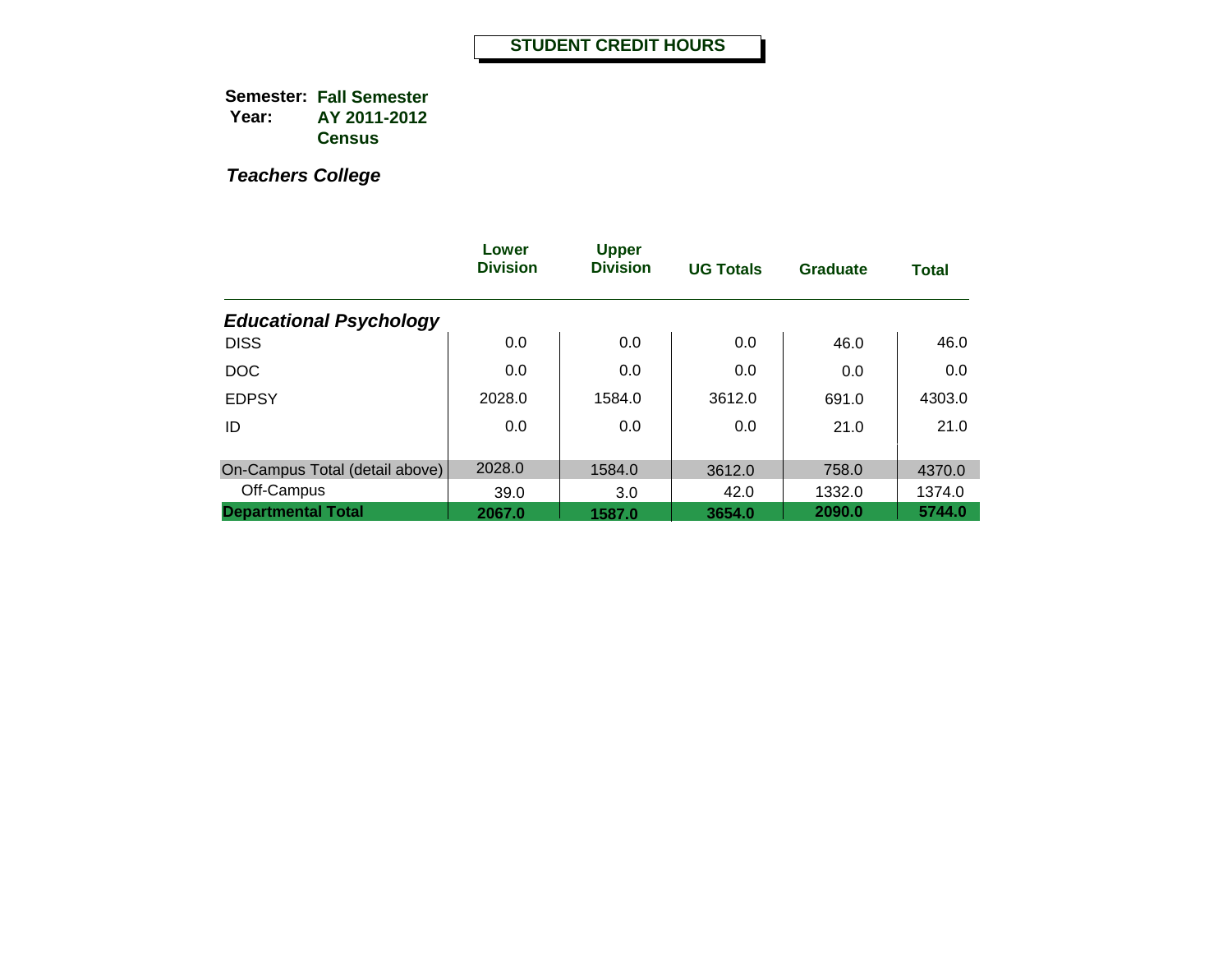|                                | Lower<br><b>Division</b> | <b>Upper</b><br><b>Division</b> | <b>UG Totals</b> | <b>Graduate</b> | <b>Total</b>     |
|--------------------------------|--------------------------|---------------------------------|------------------|-----------------|------------------|
| <b>Educational Psychology</b>  |                          |                                 |                  |                 |                  |
| <b>DISS</b>                    | 0.0                      | 0.0                             | 0.0              | 46.0            | 46.0             |
| <b>DOC</b>                     | 0.0                      | 0.0                             | 0.0              | 0.0             | 0.0              |
| <b>EDPSY</b>                   | 2028.0                   | 1584.0                          | 3612.0           | 691.0           | 4303.0           |
| ID                             | 0.0                      | 0.0                             | 0.0              | 21.0            | 21.0             |
| On-Campus Total (detail above) | 2028.0                   | 1584.0                          |                  | 758.0           |                  |
| Off-Campus                     | 39.0                     | 3.0                             | 3612.0<br>42.0   | 1332.0          | 4370.0<br>1374.0 |
| <b>Departmental Total</b>      | 2067.0                   | 1587.0                          | 3654.0           | 2090.0          | 5744.0           |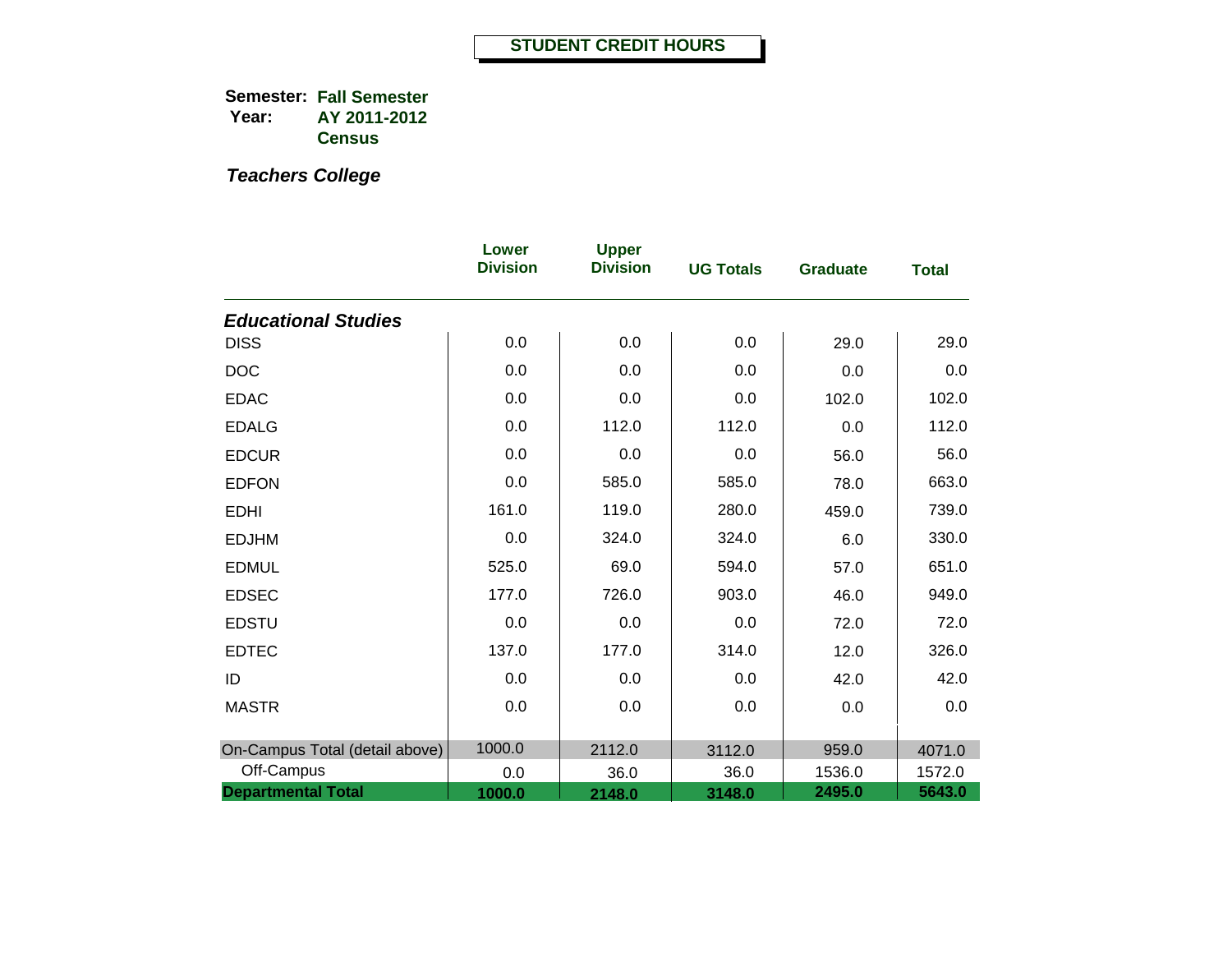|                                | Lower<br><b>Division</b> | <b>Upper</b><br><b>Division</b> | <b>UG Totals</b> | <b>Graduate</b> | <b>Total</b> |
|--------------------------------|--------------------------|---------------------------------|------------------|-----------------|--------------|
| <b>Educational Studies</b>     |                          |                                 |                  |                 |              |
| <b>DISS</b>                    | 0.0                      | 0.0                             | 0.0              | 29.0            | 29.0         |
| <b>DOC</b>                     | 0.0                      | 0.0                             | 0.0              | 0.0             | 0.0          |
| <b>EDAC</b>                    | 0.0                      | 0.0                             | 0.0              | 102.0           | 102.0        |
| <b>EDALG</b>                   | 0.0                      | 112.0                           | 112.0            | 0.0             | 112.0        |
| <b>EDCUR</b>                   | 0.0                      | 0.0                             | 0.0              | 56.0            | 56.0         |
| <b>EDFON</b>                   | 0.0                      | 585.0                           | 585.0            | 78.0            | 663.0        |
| <b>EDHI</b>                    | 161.0                    | 119.0                           | 280.0            | 459.0           | 739.0        |
| <b>EDJHM</b>                   | 0.0                      | 324.0                           | 324.0            | 6.0             | 330.0        |
| <b>EDMUL</b>                   | 525.0                    | 69.0                            | 594.0            | 57.0            | 651.0        |
| <b>EDSEC</b>                   | 177.0                    | 726.0                           | 903.0            | 46.0            | 949.0        |
| <b>EDSTU</b>                   | 0.0                      | 0.0                             | 0.0              | 72.0            | 72.0         |
| <b>EDTEC</b>                   | 137.0                    | 177.0                           | 314.0            | 12.0            | 326.0        |
| ID                             | 0.0                      | 0.0                             | 0.0              | 42.0            | 42.0         |
| <b>MASTR</b>                   | 0.0                      | 0.0                             | 0.0              | 0.0             | 0.0          |
| On-Campus Total (detail above) | 1000.0                   | 2112.0                          | 3112.0           | 959.0           | 4071.0       |
| Off-Campus                     | 0.0                      | 36.0                            | 36.0             | 1536.0          | 1572.0       |
| <b>Departmental Total</b>      | 1000.0                   | 2148.0                          | 3148.0           | 2495.0          | 5643.0       |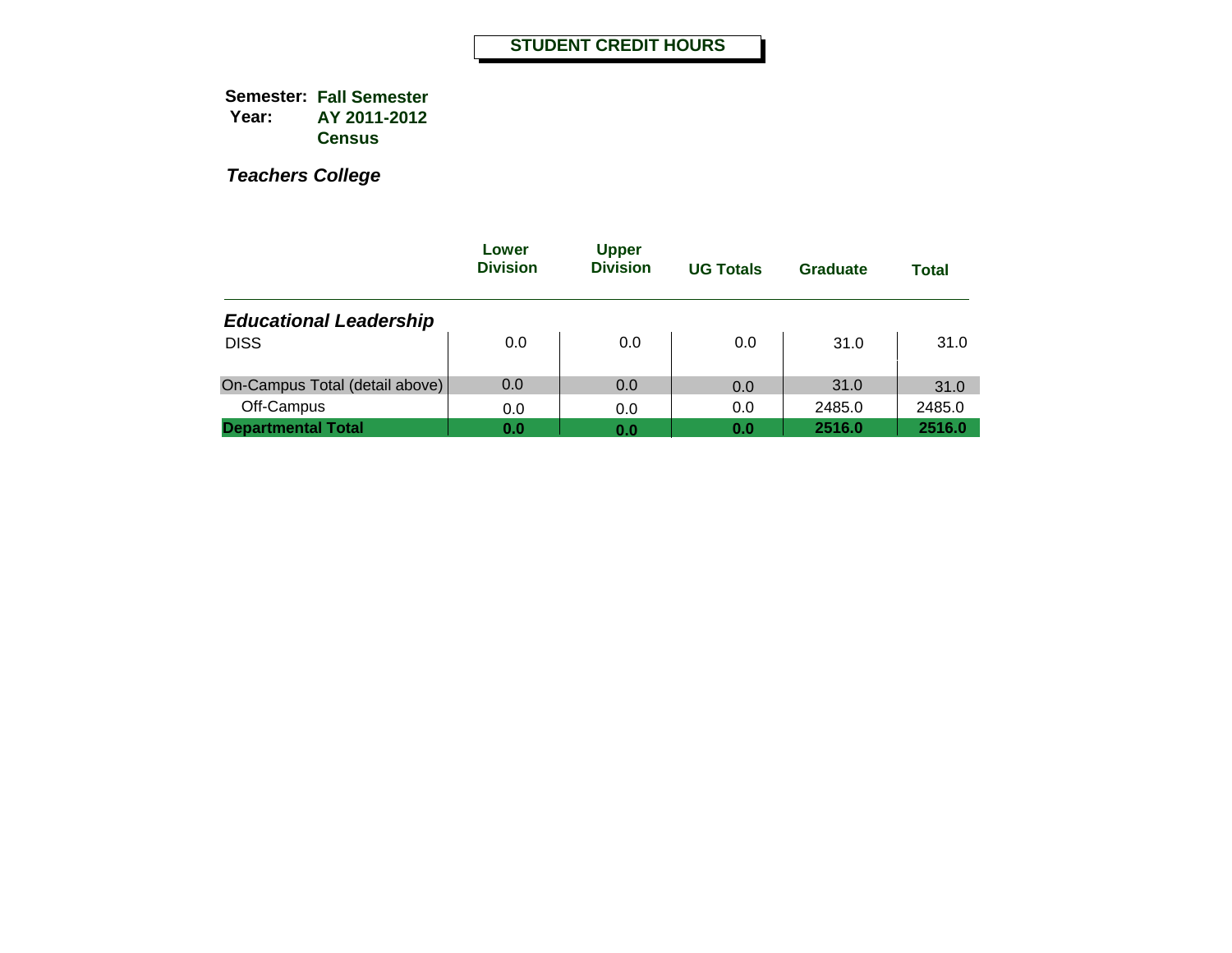|                                | Lower<br><b>Division</b> | <b>Upper</b><br><b>Division</b> | <b>UG Totals</b> | Graduate | <b>Total</b> |
|--------------------------------|--------------------------|---------------------------------|------------------|----------|--------------|
| <b>Educational Leadership</b>  |                          |                                 |                  |          |              |
| <b>DISS</b>                    | 0.0                      | 0.0                             | 0.0              | 31.0     | 31.0         |
| On-Campus Total (detail above) | 0.0                      | 0.0                             | 0.0              | 31.0     | 31.0         |
| Off-Campus                     | 0.0                      | 0.0                             | 0.0              | 2485.0   | 2485.0       |
| <b>Departmental Total</b>      | 0.0                      | 0.0                             | 0.0              | 2516.0   | 2516.0       |